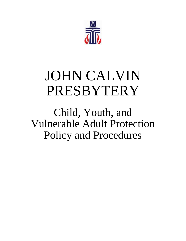

# JOHN CALVIN PRESBYTERY

Child, Youth, and Vulnerable Adult Protection Policy and Procedures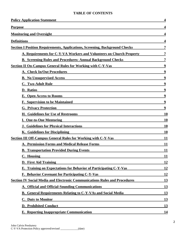#### **TABLE OF CONTENTS**

| <b>Policy Application Statement</b>                                                | 4         |
|------------------------------------------------------------------------------------|-----------|
| <b>Purpose</b>                                                                     |           |
| <b>Monitoring and Oversight</b>                                                    |           |
| <b>Definitions</b>                                                                 |           |
| <b>Section I Position Requirements, Applications, Screening, Background Checks</b> | 7         |
| A. Requirements for C-Y-VA Workers and Volunteers on Church Property               | 7         |
| <b>B. Screening Rules and Procedures: Annual Background Checks</b>                 |           |
| <b>Section II On-Campus General Rules for Working with C-Y-Vas</b>                 | 9         |
| A. Check In/Out Procedures                                                         | 9         |
| <b>B.</b> No Unsupervised Access                                                   | 9         |
| <b>C. Two-Adult Rule</b>                                                           | 9         |
| D. Ratios                                                                          | 9         |
| <b>E. Open Access to Rooms</b>                                                     | 9         |
| <b>F. Supervision to be Maintained</b>                                             | 9         |
| <b>G. Privacy Protection</b>                                                       | 9         |
| <b>H. Guidelines for Use of Restrooms</b>                                          | <b>10</b> |
| <b>I. One-to-One Mentoring</b>                                                     | 10        |
| <b>J. Guidelines for Physical Interactions</b>                                     | 10        |
| <b>K.</b> Guidelines for Disciplining                                              | 10        |
| <b>Section III Off-Campus General Rules for Working with C-Y-Vas</b>               | 11        |
| <b>A. Permission Forms and Medical Release Forms</b>                               | 11        |
| <b>B. Transportation Provided During Events</b>                                    | 11        |
| C. Housing                                                                         | <u>11</u> |
| D. First Aid Training                                                              | 12        |
| <b>E.</b> Training on Expectations for Behavior of Participating C-Y-Vas           | <u>12</u> |
| <b>F. Behavior Covenant for Participating C-Y-Vas</b>                              | <u>12</u> |
| <b>Section IV Social Media and Electronic Communications Rules and Procedures</b>  | <b>13</b> |
| A. Official and Official-Sounding Communications                                   | <u>13</u> |
| B. General Requirements Relating to C-Y-VAs and Social Media                       | 13        |
| <b>C.</b> Duty to Monitor                                                          | <u>13</u> |
| <b>D. Prohibited Conduct</b>                                                       | 13        |
| <b>E. Reporting Inappropriate Communication</b>                                    | 14        |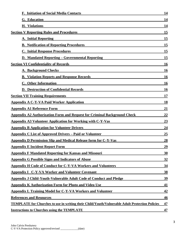| <b>F. Initiation of Social Media Contacts</b>                                                         | 14        |
|-------------------------------------------------------------------------------------------------------|-----------|
| <b>G.</b> Education                                                                                   | 14        |
| <b>H.</b> Violations                                                                                  | 14        |
| <b>Section V Reporting Rules and Procedures</b>                                                       | 15        |
| <b>A. Initial Reporting</b>                                                                           | <u>15</u> |
| <b>B. Notification of Reporting Procedures</b>                                                        | <u>15</u> |
| <b>C. Initial Response Procedures</b>                                                                 | 15        |
| <b>D. Mandated Reporting – Governmental Reporting</b>                                                 | 15        |
| <b>Section VI Confidentiality of Records</b>                                                          | <b>16</b> |
| <b>A. Background Checks</b>                                                                           | <u>16</u> |
| <b>B. Violation Reports and Response Records</b>                                                      | <b>16</b> |
| C. Other Information                                                                                  | <b>16</b> |
| <b>D. Destruction of Confidential Records</b>                                                         | <b>16</b> |
| <b>Section VII Training Requirements</b>                                                              | 17        |
| <b>Appendix A C-Y-VA Paid Worker Application</b>                                                      | 18        |
| <b>Appendix A1 Reference Form</b>                                                                     | 21        |
| <b>Appendix A2 Authorization Form and Request for Criminal Background Check</b>                       | 22        |
| <b>Appendix A3 Volunteer Application for Working with C-Y-Vas</b>                                     | 23        |
| <b>Appendix B Application for Volunteer Drivers</b>                                                   | 24        |
| <b>Appendix C List of Approved Drivers – Paid or Volunteer</b>                                        | 25        |
| <b>Appendix D Permission Slip and Medical Release form for C-Y-Vas</b>                                | <u>28</u> |
| <b>Appendix E Incident Report Form</b>                                                                | 29        |
| <b>Appendix F Mandated Reporting for Kansas and Missouri</b>                                          | 30        |
| <b>Appendix G Possible Signs and Indicators of Abuse</b>                                              | <u>32</u> |
| <b>Appendix H Code of Conduct for C-Y-VA Workers and Volunteers</b>                                   | 34        |
| <b>Appendix I C-Y-VA Worker and Volunteer Covenant</b>                                                | <u>38</u> |
| Appendix J Child-Youth-Vulnerable Adult Code of Conduct and Pledge                                    | 39        |
| <b>Appendix K Authorization Form for Photo and Video Use</b>                                          | 41        |
| <b>Appendix L Training Model for C-Y-VA Workers and Volunteer</b>                                     | 42        |
| <b>References and Resources</b>                                                                       | 46        |
| <b>TEMPLATE for Churches to use in writing their Child/Youth/Vulnerable Adult Protection Policies</b> | 47        |
| <b>Instructions to Churches using the TEMPLATE</b>                                                    | 47        |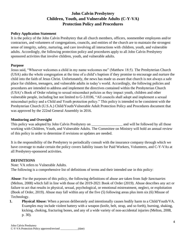# **John Calvin Presbytery Children, Youth, and Vulnerable Adults (C-Y-VA) Protection Policy and Procedures**

#### **Policy Application Statement**

It is the policy of the John Calvin Presbytery that all church members, officers, nonmember employees and/or contractors, and volunteers of congregations, councils, and entities of the church are to maintain the strongest sense of integrity, safety, nurturing, and care involving all interactions with children, youth, and vulnerable adults. Accordingly, the following protection policy and procedures apply to all John Calvin Presbytery sponsored activities that involve children, youth, and vulnerable adults.

#### **Purpose**

Jesus said, "Whoever welcomes a child in my name welcomes me" (Matthew 18:5). The Presbyterian Church (USA) asks the whole congregation at the time of a child's baptism if they promise to encourage and nurture the child into the faith of Jesus Christ. Unfortunately, the news has made us aware that church is not always a safe place for children, teenagers, and vulnerable adults in today's world. Accordingly, the following policies and procedures are intended to address and implement the directives contained within the Presbyterian Church (USA)'s Book of Order relating to sexual misconduct policies as they impact youth, children and other vulnerable people, including but not limited to G-3.0106, "All councils shall adopt and implement a sexual misconduct policy and a Child and Youth protection policy." This policy is intended to be consistent with the Presbyterian Church (U.S.A.) Child/Youth/Vulnerable Adult Protection Policy and Procedures document that was approved by the 222nd General Assembly in 2016.

#### **Monitoring and Oversight**

This policy was adopted by John Calvin Presbytery on and will be followed by all those working with Children, Youth, and Vulnerable Adults. The Committee on Ministry will hold an annual review of this policy in order to determine if revisions or updates are needed.

It is the responsibility of the Presbytery to periodically consult with the insurance company through which we have coverage to make certain the policy covers liability issues for Paid Workers, Volunteers, and C-Y-VAs at all Presbytery-sponsored activities.

#### **DEFINITIONS**

Note: VA refers to Vulnerable Adults. The following is a comprehensive list of definitions of terms and their intended use in this policy:

**Abuse**: For the purposes of this policy, the following definitions of abuse are taken from *Safe Sanctuaries* (Melton, 2008) which fall in line with those of the 2019-2021 Book of Order (2019). Abuse describes any act or failure to act that results in physical, sexual, psychological, or emotional mistreatment, neglect, or exploitation (Book of Order, 2019). Abuse may fall within any of the five (5) following areas plus item six (6) Misuse of Technology.

**1. Physical Abuse:** When a person deliberately and intentionally causes bodily harm to a Child/Youth/VA. Examples may include violent battery with a weapon (knife, belt, strap, and so forth), burning, shaking, kicking, choking, fracturing bones, and any of a wide variety of non-accidental injuries (Melton, 2008, p. 30).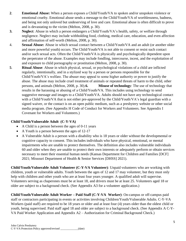- **2**. **Emotional Abuse:** When a person exposes a Child/Youth/VA to spoken and/or unspoken violence or emotional cruelty. Emotional abuse sends a message to the Child/Youth/VA of worthlessness, badness, and being not only unloved but undeserving of love and care. Emotional abuse is often difficult to prove and is devastating to the victim (Melton, 2008, p. 30).
- **3. Neglect**: Abuse in which a person endangers a Child/Youth/VA's health, safety, or welfare through negligence. Neglect may include withholding food, clothing, medical care, education, and even affection and affirmation of self-worth (Melton, 2008, p. 30).
- 4. **Sexual Abuse:** Abuse in which sexual contact between a Child/Youth/VA and an adult (or another older and more powerful youth) occurs. The Child/Youth/VA is not able to consent or resist such contact and/or such sexual acts. Often the Child/Youth/VA is physically and psychologically dependent upon the perpetrator of the abuse. Examples may include fondling, intercourse, incest, and the exploitation of and exposure to child pornography or prostitution (Melton, 2008, p. 30).
- **5**. **Ritual Abuse**: Abuse in which physical, sexual, or psychological violations of a child are inflicted regularly, intentionally, and in a stylized way by a person or persons responsible for the Child/Youth/VA's welfare. The abuser may appeal to some higher authority or power to justify the abuse. The abuse may include cruel treatment of animals or repeated threats of harm to the child, other persons, and animals (Melton, 2008, p. 30).**6. Misuse of technology**: The use of technology that results in the harassing or abusing of a Child/Youth/VA. This includes using technology to send suggestive message and images to a Child/Youth/VA. Adults should not have any technological contact with a Child/Youth/VA that is not either pre-approved by the Child/Youth/VA's legal guardian with a signed waiver, or the contact is on an open public medium, such as a presbytery website or other social media program. (See Appendix H Code of Conduct for Workers and Volunteers. See Appendix I Covenant for Workers and Volunteers.)

#### **Child/Youth/Vulnerable Adult (C-Y-VA)**

- A Child is a person between the ages of 0-11 years
- A Youth is a person between the ages of 12-17
- A Vulnerable Adult is a person with a disability who is 18 years or older without the developmental or cognitive capacity to consent. This includes individuals who have physical, emotional, or mental impairments who are unable to protect themselves. The definition also includes vulnerable individuals 60 and older when they are unable to protect their own interests or adequately perform or obtain services necessary to meet their essential human needs (Kansas Department for Children and Families [DCF] 2021; Missouri Department of Health & Senior Services [DHSS] 2021).

**Child/Youth/Vulnerable Adult Volunteer (C-Y-VA Volunteer)**: Unpaid volunteers who are working with children, youth or vulnerable adults. Youth between the ages of 12 and 17 may volunteer, but they must only help with children and other youth who are at least four years younger. A qualified adult will supervise. Volunteers serving as chaperones must be at least 18, and drivers must be at least 25. Volunteers aged 18 or older are subject to a background check. (See Appendix A3 for a volunteer application.)

**Child/Youth/Vulnerable Adult Worker – Paid Staff (C-Y-VA Worker)**: On-campus or off-campus paid staff or contractors participating in events or activities involving Children/Youth/Vulnerable Adults. C-Y-VA Workers (paid staff) are required to be 18 years or older and at least four (4) years older than the oldest child or youth, being supervised. Paid staff aged 18 and older are subject to a background check. (See Appendix A C-Y-VA Paid Worker Application and Appendix A2 – Authorization for Criminal Background Check.)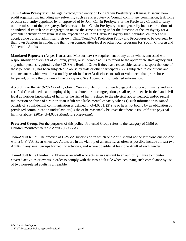**John Calvin Presbytery**: The legally-recognized entity of John Calvin Presbytery, a Kansas/Missouri nonprofit organization, including any sub-entity such as a Presbytery or Council committee, commission, task force or other sub-entity appointed by or approved of by John Calvin Presbytery or the Presbytery Council to carry out the mission of the presbytery. References to John Calvin Presbytery do not generally include the actions of an individual church or its congregation unless the same is acting under the direction of the Presbytery for a particular activity or program. It is the expectation of John Calvin Presbytery that individual churches will adopt, abide by, and administer their own Child/Youth/VA Protection Policy and Procedures to be overseen by their own Sessions in conducting their own congregation-level or other local programs for Youth, Children and Vulnerable Adults.

**Mandated Reporter:** (As per Kansas and Missouri law) A requirement of any adult who is entrusted with responsibility or oversight of children, youth, or vulnerable adults to report to the appropriate state agency and any other persons required by the PCUSA's Book of Order if they have reasonable cause to suspect that one of these persons: 1.) has been subjected to abuse by staff or other participants; 2) is subjected to conditions and circumstances which would reasonably result in abuse; 3) discloses to staff or volunteers that prior abuse happened, outside the purview of the presbytery. See Appendix F for detailed information.

According to the *2019-2021 Book of Order*: "Any member of this church engaged in ordered ministry and any certified Christian educator employed by this church or its congregations, shall report to ecclesiastical and civil legal authorities knowledge of harm, or the risk of harm, related to the physical abuse, neglect, and/or sexual molestation or abuse of a Minor or an Adult who lacks mental capacity when (1) such information is gained outside of a confidential communication as defined in G-4.0301, (2) she or he is not bound by an obligation of privileged communication under law, or (3) she or he reasonably believes that there is risk of future physical harm or abuse" (2019, G-4.0302 *Mandatory Reporting*).

**Protected Group**: For the purposes of this policy, Protected Group refers to the category of Child or Children/Youth/Vulnerable Adults (C-Y-VA).

**Two-Adult Rule**: The practice of C-Y-VA supervision in which one Adult should not be left alone one-on-one with a C-Y-VA. Even when two Adults are in the vicinity of an activity, as often as possible include at least two Adults in any small groups formed for activities, and where possible, at least one Adult of each gender.

**Two-Adult Rule Floater**: A Floater is an adult who acts as an assistant to an authority figure to monitor covered activities or events in order to comply with the two-adult rule when achieving such compliance by use of two non-related adults is unfeasible.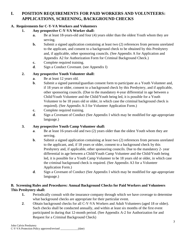# **I. POSITION REQUIREMENTS FOR PAID WORKERS AND VOLUNTEERS: APPLICATIONS, SCREENING, BACKGROUND CHECKS**

#### **A. Requirements for C-Y-VA Workers and Volunteers**

#### **1. Any prospective C-Y-VA Worker shall:**

- **a.** Be at least 18-years-old and four (4) years older than the oldest Youth whom they are serving.
- **b.** Submit a signed application containing at least two (2) references from persons unrelated to the applicant, and consent to a background check to be obtained by this Presbytery and, if applicable, other sponsoring councils. (See Appendix A for Application and Appendix A2 for Authorization Form for Criminal Background Check.)
- **c.** Complete required training.
- **d**. Sign a Conduct Covenant. (see Appendix I)

### **2. Any prospective Youth Volunteer shall:**

- **a**. Be at least 12 years old.
- **b.** Submit a signed parental/guardian consent form to participate as a Youth Volunteer and, if 18 years or older, consent to a background check by this Presbytery, and if applicable, other sponsoring councils. (Due to the mandatory 4-year differential in age between a Child/Youth Volunteer and the Child/Youth being led, it is possible for a Youth Volunteer to be 18 years old or older, in which case the criminal background check is required). (See Appendix A-3 for Volunteer Application Form.)
- **c.** Complete required training.
- **d**. Sign a Covenant of Conduct (See Appendix I which may be modified for age-appropriate language.)

### **3. Any prospective Youth Camp Volunteer shall:**

- **a**. Be at least 16-years-old and two (2) years older than the oldest Youth whom they are serving.
- **b**. Submit a signed application containing at least two (2) references from persons unrelated to the applicant, and, if 18 years or older, consent to a background check by this Presbytery and, if applicable, other sponsoring councils. Due to the mandatory 2- year differential in age between a Child/Youth Camp Volunteer and the Child/Youth being led, it is possible for a Youth Camp Volunteer to be 18 years old or older, in which case the criminal background check is required. (See Appendix A3 for a Volunteer Application Form.)
- **d**. Sign a Covenant of Conduct (See Appendix I which may be modified for age-appropriate language.)

#### **B. Screening Rules and Procedures: Annual Background Checks for Paid Workers and Volunteers This Presbytery shall:**

- **1.** Periodically consult with the insurance company through which we have coverage to determine what background checks are appropriate for their particular event.
- **2**. Obtain background checks for all C-Y-VA Workers and Adult Volunteers (aged 18 or older). Such checks shall be conducted annually, and within at least six months of the first event participated in during that 12-month period. (See Appendix A-2 for Authorization for and Request for a Criminal Background Check)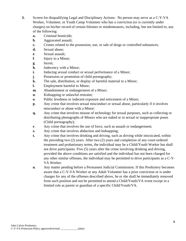- **3.** Screen for disqualifying Legal and Disciplinary Actions: No person may serve as a C-Y-VA Worker, Volunteer, or Youth Camp Volunteer who has a conviction (or is currently under charges) on his/her record of certain felonies or misdemeanors, including, but not limited to, any of the following:
	- **a.** Criminal homicide;
	- **b**. Aggravated assault;
	- **c.** Crimes related to the possession, use, or sale of drugs or controlled substances;
	- **d.** Sexual abuse;
	- **e**. Sexual assault;
	- **f**. Injury to a Minor;
	- **g**. Incest;
	- **h**. Indecency with a Minor;
	- **i.** Inducing sexual conduct or sexual performance of a Minor;
	- **j**. Possession or promotion of child pornography;
	- **k.** The sale, distribution, or display of harmful material to a Minor;
	- **l.** Employment harmful to Minor;
	- **m**. Abandonment or endangerment of a Minor;
	- **n.** Kidnapping or unlawful restraint;
	- **o**. Public lewdness or indecent exposure and enticement of a Minor;
	- **p**. Any crime that involves sexual misconduct or sexual abuse, particularly if it involves misconduct or abuse with a Minor;
	- **q.** Any crime that involves misuse of technology for sexual purposes, such as collecting or distributing photographs of Minors who are naked or in sexual or inappropriate poses (Child pornography);
	- **r.** Any crime that involves the use of force, such as assault or endangerment;
	- **s.** Any crime that involves abduction and kidnapping;
	- **t.** Any crime that involves drinking and driving, such as driving while intoxicated, within the preceding two (2) years. After two (2) years and completion of any court-ordered treatment and probationary terms, the individual may be a Child/Youth Worker but shall not drive participants. Five (5) years after the crime involving drinking and driving, provided the above conditions are satisfied and the individual has not been charged for any other similar offenses, the individual may be permitted to drive participants as a C-Y-VA Worker.
	- **u**. Any matter pending before a Permanent Judicial Commission. If this Presbytery becomes aware that a C-Y-VA Worker or any Adult Volunteer has a prior conviction or is under charges for any of the offenses described above, he or she shall be immediately removed from such position and not be permitted to attend a Child/Youth/VA event except in a limited role as parent or guardian of a specific Child/Youth/VA.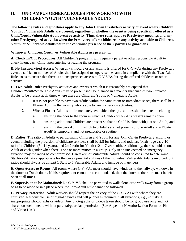# **II. ON-CAMPUS GENERAL RULES FOR WORKING WITH CHILDREN/YOUTH/ VULNERABLE ADULTS**

**The following rules and guidelines apply to any John Calvin Presbytery activity or event where Children, Youth or Vulnerable Adults are present, regardless of whether the event is being specifically offered as a Child/Youth/Vulnerable Adult event or activity. Thus, these rules apply to Presbytery meetings and any other Presbytery-led activities when the Presbytery offers childcare or any activity available to Children, Youth, or Vulnerable Adults not in the continued presence of their parents or guardians.** 

#### **Whenever Children, Youth, or Vulnerable Adults are present….**

**A. Check In/Out Procedures**: All Children's programs will require a parent or other responsible Adult to check in/out each Child upon entering or leaving the program.

**B. No Unsupervised Access:** When any childcare or any activity is offered for C-Y-VAs during any Presbytery event, a sufficient number of Adults shall be assigned to supervise the same, in compliance with the Two-Adult Rule, so as to ensure that there is no unsupervised access to C-Y-VAs during the offered childcare or other activity.

**C. Two-Adult Rule:** Presbytery activities and events at which it is reasonably anticipated that Children/Youth/Vulnerable Adults may be present shall be planned in a manner that enables two unrelated Adults to be present at all times where there are Children, Youth, or Vulnerable Adults.

- **1.** If it is not possible to have two Adults within the same room or immediate space, there shall be a Floater Adult in the vicinity who is able to freely check on activities.
- **2**. When a Floater Adult is not immediately available, other precautions shall be taken, including
	- **a**. ensuring the door to the room in which a Child/Youth/VA is present remains open,
	- **b.** ensuring additional Children are present so that no Child is alone with just one Adult, and
	- **c**. ensuring the period during which two Adults are not present (or one Adult and a Floater Adult) is temporary and not predictable or routine.

**D. Ratios:** The ratio of Adults to participating Children and Youth for any John Calvin Presbytery activity or event, including the provision of childcare services, shall be 2:8 for infants and toddlers (birth - age 2), 2:10 ratio for Children (3 - 11 years), and 2:12 ratio for Youth (12 - 17 years old). Additionally, there should be one Adult of each gender when there is one or more minors in a group. Only in an unexpected or emergency situation may the ratios be compromised. Caretakers of Vulnerable Adults should be consulted to determine Staff-to-VA ratios appropriate for the developmental abilities of the individual Vulnerable Adults involved, but ratios should always be at least 1 Staff to 5 Vulnerable Adults and include both genders.

**E. Open Access to Rooms**: All rooms where C-Y-VAs meet should have windows to the hallway, windows in the doors or Dutch doors. If this requirement cannot be accommodated, then the doors to the room must be left open at all times.

**F. Supervision to be Maintained**: No C-Y-VA shall be permitted to walk alone or to walk away from a group so as to be alone or in a place where the Two-Adult Rule cannot be followed.

**G. Privacy Protection**: Adult workers should respect the privacy of the C-Y-VAs with whom they are entrusted. Responsible use of digital devices and cell phones is required in all situations, *e.g.,* not taking inappropriate photographs or videos. Any photographs or videos taken should be for group use only and not shared on social media without parental/guardian permission. (See Appendix K Authorization Form for Photo and Video Use.)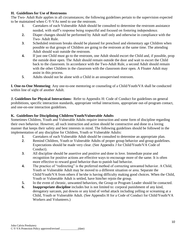#### **H. Guidelines for Use of Restrooms**

The Two- Adult Rule applies in all circumstances; the following guidelines pertain to the supervision expected to be maintained when C-Y-VAs need to use the restroom.

- **1**. Caretakers of each Vulnerable Adult should be consulted to determine the restroom assistance needed, with staff's response being respectful and focused on fostering independence.
- **2.** Diaper changes should be performed by Adult staff only and otherwise in compliance with the Two- Adult Rule.
- **3**. Scheduled restroom breaks should be planned for preschool and elementary age Children when possible so that groups of Children are going to the restroom at the same time. The attending Adult should wait outside the restroom.
- **4.** If just one Child must go to the restroom, one Adult should escort the Child and, if possible, prop the outside door open. The Adult should remain outside the door and wait to escort the Child back to the classroom. In accordance with the Two-Adult Rule, a second Adult should remain with the other Children in the classroom with the classroom door open. A Floater Adult may assist in this process.
- **5**. Adults should not be alone with a Child in an unsupervised restroom.

**I. One-to-One Mentoring**: Any one-to-one mentoring or counseling of a Child/Youth/VA shall be conducted within line of sight of another Adult.

**J. Guidelines for Physical Interactions:** Refer to Appendix H: Code of Conduct for guidelines on general prohibitions, specific interaction standards, appropriate verbal interactions, appropriate out-of-program contact, and one-on-one interaction guidelines.

#### **K. Guidelines for Disciplining Children/Youth/Vulnerable Adults**

Sometimes Children, Youth and Vulnerable Adults require instruction and some form of discipline regarding their own behavior. However, all such instruction and action should be constructive and done in a loving manner that keeps their safety and best interests in mind. The following guidelines should be followed in the implementation of any discipline for Children, Youth or Vulnerable Adults:

- **1**. Caretakers of each Vulnerable Adult should be consulted to determine an appropriate plan.
- **2**. Remind Children, Youth or Vulnerable Adults of proper group behavior and group guidelines. Expectations should be made very clear. (See Appendix J for Child/Youth/VA Code of Conduct).
- **3**. All discipline should be assertive and positive and done in love. Immediate praise and recognition for positive actions are effective ways to encourage more of the same. It is often more effective to reward good behavior than to punish bad behavior.
- **4.** The practice of "redirecting" is the preferred method of correcting unwanted behavior. A Child, Youth or Vulnerable Adult may be moved to a different situation or area. Separate the Child/Youth/VA from others if he/she is having difficulty making good choices. When the Child, Youth or Vulnerable Adult is settled, have him/her rejoin the group.
- **5.** In the event of chronic, unwanted behaviors, the Group or Program Leader should be contacted.
- **6. Inappropriate discipline** includes but is not limited to: corporal punishment of any kind, derogatory sarcasm, put downs or any kind of verbal attack including yelling or screaming at a Child, Youth or Vulnerable Adult. (See Appendix H for a Code of Conduct for Child/Youth/VA Workers and Volunteers.)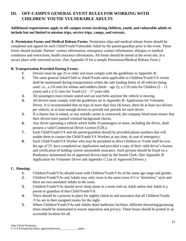# **III. OFF-CAMPUS GENERAL EVENT RULES FOR WORKING WITH CHILDREN/ YOUTH/ VULNERABLE ADULTS**

#### **Additional requirements apply to off-campus events involving children, youth, and vulnerable adults to include but not limited to mission trips, service trips, camps, and retreats.**

**A**. **Permission Forms and Medical Release Forms**: Permission slips and medical release forms should be completed and signed for each Child/Youth/Vulnerable Adult by the parent/guardian prior to the event. These forms should include: Parents' contact information; emergency contact information; allergies or medical conditions and restrictions; health insurance information. All forms should be stored at the event site, in a secure place with restricted access. (See Appendix D for a sample Permission/Medical Release Form.)

#### **B. Transportation Provided During Events**:

- **1**. Drivers must be age 25 or older and must comply with the guidelines in Appendix B.
- **2.** The same general Adult/Child or Adult/Youth ratios applicable to Children/Youth/VA events shall be maintained during transportation within the safe loading limits of all vehicles being used: i.e., a 2:8 ratio for infants and toddlers (birth – age 2); a 2:10 ratio for Children  $(3 - 11)$ years) and a 2:12 ratio for Youth  $(12 – 17$  years old).
- **3.** All passengers must remain seated and use seat belts anytime the vehicle is moving.
- **4.** All drivers must comply with the guidelines set in Appendix B: Application for Volunteer Driver. It is recommended that on trips of more than four (4) hours, there be at least two drivers per vehicle, or at least enough drivers to provide rest periods for each driver.
- **5.** If a charter bus is rented, or any outside carrier is contracted, the company hired must ensure that their drivers have passed criminal background checks.
- **6.** Any driver operating a vehicle which holds 16 passengers or more, including the driver, shall possess a valid Commercial Driver License (CDL).
- **7.** Each Child/Youth/VA and the parent/guardian should be provided phone numbers that will enable them to contact the Child/Youth/VA Workers at any time, in case of emergency.
- **8.** Each Child/Youth/VA Worker who may be permitted to drive Children or Youth shall be over the age of 25, have completed an Application and provided a copy of their valid driver's license and verification of holding current automobile insurance. Such persons should be listed on a Presbytery-maintained list of approved drivers kept by the Stated Clerk. (See Appendix B Application for Volunteer Driver and Appendix C List of Approved Drivers.)

#### **C. Housing:**

- **1.** Children/Youth/VAs should room with Children/Youth/VAs of the same age range and gender.
- **2.** Children/Youth/VAs and Adults may only room in the same room if it is "dormitory" style and there are two unrelated Adults in the room.
- **3.** Children/Youth/VAs should never sleep alone in a room with an Adult unless that Adult is a parent or guardian of that Child/Youth/VA.
- **4.** There should be a process in place for nightly check-in and assurance that all Children/Youth/ /VAs are in their assigned rooms for the night.
- **5.** Where Children/Youth/VAs and Adults share bathroom facilities, different showering/grooming times should be maintained to ensure separation and privacy. These hours should be posted in an accessible location for all.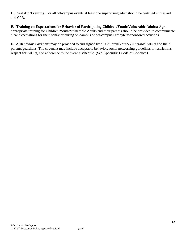**D. First Aid Training:** For all off-campus events at least one supervising adult should be certified in first aid and CPR.

**E. Training on Expectations for Behavior of Participating Children/Youth/Vulnerable Adults:** Ageappropriate training for Children/Youth/Vulnerable Adults and their parents should be provided to communicate clear expectations for their behavior during on-campus or off-campus Presbytery-sponsored activities.

**F. A Behavior Covenant** may be provided to and signed by all Children/Youth/Vulnerable Adults and their parents/guardians. The covenant may include acceptable behavior, social networking guidelines or restrictions, respect for Adults, and adherence to the event's schedule. (See Appendix J Code of Conduct.)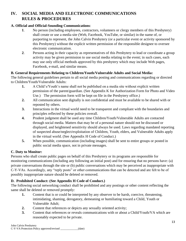# **IV. SOCIAL MEDIA AND ELECTRONIC COMMUNICATIONS RULES & PROCEDURES**

#### **A. Official and Official-Sounding Communications**:

- **1**. No person (including employees, contractors, volunteers or clergy members of this Presbytery) shall create or use a media site (Web, Facebook, YouTube, or similar) in the name of, or purporting to represent, the John Calvin Presbytery (or a particular event or activity sponsored by this Presbytery) without the explicit written permission of the responsible designee to oversee electronic communication.
- **2**. Persons acting in their capacity as representatives of this Presbytery to lead or coordinate a group activity may be given permission to use social media relating to the event; in such cases, each may use only official methods approved by this presbytery which may include Web pages, Facebook, e-mail, and similar means.

#### **B. General Requirements Relating to Children/Youth/Vulnerable Adults and Social Media:**

The following general guidelines pertain to all social media posting and communications regarding or directed to Children/Youth/Vulnerable Adults:

- **1.** A Child's/Youth's name shall not be published on a media site without explicit written permission of the parent/guardian. (See Appendix K for Authorization Form for Photo and Video Use.) The permission form will be kept on file in the Presbytery office.)
- **2.** All communication sent digitally is not confidential and must be available to be shared with or reposted by others.
- **3.** Interactions in the virtual world need to be transparent and compliant with the boundaries and principles reflected by these policies overall.
- **4.** Prudent judgment shall be used any time Children/Youth/Vulnerable Adults are contacted through social media. Matters that may be of a personal nature should not be discussed or displayed, and heightened sensitivity should always be used. Laws regarding mandated reporting of suspected abuse/neglect/exploitation of Children, Youth, elders, and Vulnerable Adults apply in the virtual world. (See Appendix H Code of Conduct.)
- **5.** When possible, communication (including images) shall be sent to entire groups or posted in public social media space, not in private messages.

#### **C. Duty to Monitor:**

Persons who shall create public pages on behalf of this Presbytery or its programs are responsible for monitoring communications (including any following an initial post) and for ensuring that no persons have: (a) private conversations through the site or (b) public conversations which may be perceived as inappropriate with C-Y-VAs. Accordingly, any "reply posts" or other communications that can be detected and are felt to be of possibly inappropriate nature should be deleted or removed.

#### **D. Prohibited Conduct: (See Appendix H Code of Conduct.)**

The following social networking conduct shall be prohibited and any postings or other content reflecting the same shall be deleted or removed promptly:

- **1.** Content that is or could be interpreted by any observer to be harsh, coercive, threatening, intimidating, shaming, derogatory, demeaning or humiliating toward a Child, Youth or Vulnerable Adult;
- **2.** Content that references or depicts any sexually oriented activity;
- **3.** Content that references or reveals communications with or about a Child/Youth/VA which are reasonably expected to be private.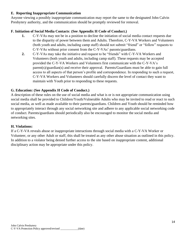#### **E. Reporting Inappropriate Communication**

Anyone viewing a possibly inappropriate communication may report the same to the designated John Calvin Presbytery authority, and the communication should be promptly reviewed for removal.

### **F. Initiation of Social Media Contacts**: **(See Appendix H Code of Conduct.)**

- **1.** C-Y-VAs may not be in a position to decline the initiation of social media contact requests due to the disparity of power between them and Adults. Therefore, C-Y-VA Workers and Volunteers (both youth and adults, including camp staff) should not submit "friend" or "follow" requests to C-Y-VAs without prior consent from the C-Y-VAs' parents/guardians.
- **2.** C-Y-VAs may take the initiative and request to be "friends" with C-Y-VA Workers and Volunteers (both youth and adults, including camp staff). These requests may be accepted provided the C-Y-VA Workers and Volunteers first communicate with the C-Y-VA's parent(s)/guardian(s) and receive their approval. Parents/Guardians must be able to gain full access to all aspects of that person's profile and correspondence. In responding to such a request, C-Y-VA Workers and Volunteers should carefully discern the level of contact they want to maintain with Youth prior to responding to these requests.

#### **G. Education: (See Appendix H Code of Conduct.)**

A description of these rules on the use of social media and what is or is not appropriate communication using social media shall be provided to Children/Youth/Vulnerable Adults who may be invited to read or react to such social media, as well as made available to their parents/guardians. Children and Youth should be reminded how to appropriately interact through any social networking site and adhere to any applicable social networking code of conduct. Parents/guardians should periodically also be encouraged to monitor the social media and networking sites.

#### **H. Violations:**

If a C-Y-VA reveals abuse or inappropriate interactions through social media with a C-Y-VA Worker or Volunteer, or any other Adult or staff, this shall be treated as any other abuse situation as outlined in this policy. In addition to a violator being denied further access to the site based on inappropriate content, additional disciplinary action may be appropriate under this policy.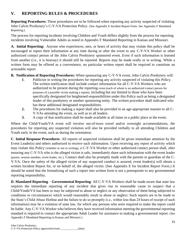# **V. REPORTING RULES & PROCEDURES**

**Reporting Procedures:** These procedures are to be followed when reporting any activity suspected of violating John Calvin Presbytery's C-Y-VA Protection Policy. (See Appendix E Incident Report Form. See Appendix F Mandated Reporting.)

The process for reporting incidents involving Children and Youth differs slightly from the process for reporting incidents involving Vulnerable Adults as noted in Appendix F Mandated Reporting in Kansas and Missouri.

**A. Initial Reporting:** Anyone who experiences, sees, or hears of activity that may violate this policy shall be encouraged to report their information at any time during or after the event to any C-Y-VA Worker or other authorized contact person of the John Calvin Presbytery sponsored event. Even if such information is learned from another (i.e., it is hearsay) it should still be reported. Reports may be made orally or in writing. While a written form may be offered as a convenience, no particular written report shall be required to constitute an actionable report.

- **B. Notification of Reporting Procedures:** When sponsoring any C-Y-VA event, John Calvin Presbytery will:
	- **1**. Publicize in writing the procedures for reporting any activity suspected of violating this Policy. The written notification shall include contact information for all C-Y-VA Workers who are authorized to be present during the reporting event (each of whom is an authorized contact person for purposes of a possible victim making a report), including but not limited to those who have been specifically designated for heightened responsibilities under this Policy such as being a designated leader of this presbytery or another sponsoring entity. The written procedure shall indicated who has these additional designated responsibilities.
	- **2.** The procedures for making a report shall also be provided in an age-appropriate manner to all C-Y-VAs attending the event, as well as to all leaders.
	- **3.** A copy of that notification shall be made available at all times in a public place at the event.

Where the Child/Youth/VA event will involve out-of-town travel and/or overnight accommodations, the procedures for reporting any suspected violation will also be provided verbally to all attending Children and Youth early in the event, such as during the orientation.

**C**. **Initial Response Procedures**: All reports of suspected violations shall be given immediate attention by the Event Leader(s) and others authorized to receive such information. Upon receiving any report of activity which may violate this Policy (whether or not in writing), a C-Y-VA Worker or other authorized contact person shall, after ensuring any C-Y-VA who is the alleged victim is safe, immediately share such information with the event leader (pastor, session member, event leader, etc.). Contact shall also be promptly made with the parents or guardian of the C-Y-VA. Once the safety of the alleged victim of any suspected conduct is assured, event leader(s) will obtain a written Incident Report for, or on behalf of, the alleged victim. (See Appendix E for Incident Report Form.) It should be noted that the formalizing of such a report into written form is not a prerequisite to any governmental reporting responsibility.

**D. Mandated Reporting** – **Governmental Reporting**: All C-Y-VA Workers shall be made aware that state law requires the immediate reporting of any incident that gives rise to reasonable cause to suspect that a Child/Youth/VA has been or may be subjected to abuse or neglect or any observation of them being subjected to conditions or circumstances which would reasonably result in abuse or neglect. Such reports are to be made to the State's Child Abuse Hotline and the failure to do so promptly (i.e., within less than 24 hours of receipt of such information) may be a violation of state law, for which any persons who were required to make the report could be liable. Any C-Y-VA Worker who believes they have received information meeting the governmental reporting standard is required to contact the appropriate Adult Leader for assistance in making a governmental report. (See Appendix F Mandated Reporting in Kansas and Missouri.)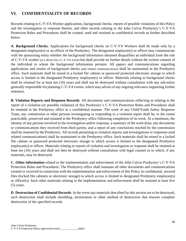# **VI. CONFIDENTIALITY OF RECORDS**

Records relating to C-Y-VA Worker applications, background checks, reports of possible violations of this Policy and the investigation or response thereto, and other records relating to the John Calvin Presbytery's C-Y-VA Protection Rules and Procedures shall be created, used and retained as confidential records as further described below:

**A**. **Background Checks**: Applications for background checks on C-Y-VA Workers shall be made only by a designated employee(s) or an officer of the Presbytery. The designated employee(s) or officer may communicate with the sponsoring entity whether the background information obtained disqualifies an individual from the role of C-Y-VA worker (or a driver for a C-Y-VA event) but shall provide no further details without the written consent of the individual to whom the background information pertains. All papers and communications regarding applications and results of background checks (and related communications) shall be maintained in the Presbytery office. Such materials shall be stored in a locked file cabinet or password protected electronic storage to which access is limited to the designated Presbytery employee(s) or officer. Materials relating to background checks shall be retained for at least ten (10) years and shall not be destroyed without consultation with any sub-entity generally responsible for planning C-Y-VA events, which may advise of any ongoing relevance supporting further retention.

**B**. **Violation Reports and Response Records**: All documents and communications reflecting or relating to the report of a violation (or possible violation) of this Presbytery's C-Y-VA Protection Rules and Procedures shall be retained in the Presbytery office in a confidential manner. The work of any Child/Youth Safety Response Team, any commission or other persons investigating or responding to a violation report shall be, to the extent practicable, preserved and retained in the Presbytery office following completion of its work. At a minimum, the identity of any persons involved in the investigation and/or response, a summary of the work done, any documents or communications they received from third parties, and a report of any conclusions reached by the commission shall be retained by the Presbytery. All records pertaining to violation reports and investigations or responses (and related communications) shall be maintained in the Presbytery office. Such materials shall be stored in a locked file cabinet or password protected electronic storage to which access is limited to the designated Presbytery employee(s) or officer. Materials relating to reports of violation and investigation or response shall be retained at least ten (10) years and shall not then be destroyed without consultation with legal counsel as to which, if any materials, may be destroyed.

**C. Other information** related to the implementation and enforcement of the John Calvin Presbytery's C-Y-VA Protection Rules and Procedures: The Presbytery office shall maintain all other documents and communications created or received in connection with the implementation and enforcement of this Policy in confidential, secured files (locked file cabinets or electronic storage) to which access is limited to designated Presbytery employee(s) or officer(s). Such other materials relating to the implementation and enforcement shall be retained at least five (5) years.

**D**. **Destruction of Confidential Records**: In the event any materials described by this section are to be destroyed, such destruction shall include shredding, incineration or other method of destruction that ensures complete destruction of the specified records.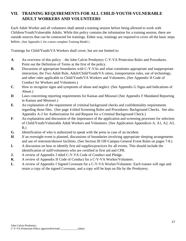# **VII. TRAINING REQUIREMENTS FOR ALL CHILD-YOUTH-VULNERABLE ADULT WORKERS AND VOLUNTEERS**

Each Adult Worker and all volunteers shall attend a training session before being allowed to work with Children/Youth/Vulnerable Adults. While this policy contains the information for a training session, there are outside sources that can be contracted for trainings. Either way, trainings are required to cover all the basic steps below. (See Appendix L for a more complete Training Model.)

Trainings for Child/Youth/VA Workers shall cover, but are not limited to:

- **A**. An overview of this policy the John Calvin Presbytery C-Y-VA Protection Rules and Procedures. Point out the Definition of Terms at the first of the policy.
- **B.** Discussion of appropriate boundaries with C-Y-VAs and what constitutes appropriate and inappropriate interaction, the Two Adult Rule, Adult/Child/Youth/VA ratios, transportation rules, use of technology, and other rules applicable to Child/Youth/VA Workers and Volunteers. (See Appendix H Code of Conduct for Workers and Volunteers.)
- **C**. How to recognize signs and symptoms of abuse and neglect. (See Appendix G Signs and Indications of Abuse.)
- **D.** Laws concerning reporting requirements for Kansas and Missouri (See Appendix F Mandated Reporting in Kansas and Missouri.)
- **E**. An explanation of the requirement of criminal background checks and confidentiality requirements regarding those files. (See page 4 titled Screening Rules and Procedures: Background Checks. See also Appendix A-2 for Authorization for and Request for a Criminal Background Check.)
- **F**. An explanation and discussion of the importance of the application and screening processes for selection of Child/Youth/Vulnerable Adult Workers and Volunteers. (See Application Appendices A, A1, A2, A3, B.)
- **G**. Identification of who is authorized to speak with the press in case of an incident.
- **H**. If an overnight event is planned, discussions of boundaries involving appropriate sleeping arrangements and use of restroom/shower facilities. (See Section III Off-Campus General Event Rules on pages 7-8.)
- **I.** A discussion on how to identify first aid supplies/practices for all events. This should include the identification of staff/volunteers who are certified in first aid and CPR.
- **J.** A review of Appendix J titled C-Y-VA Code of Conduct and Pledge.
- **K**. A review of Appendix H Code of Conduct for a C-Y-VA Worker/Volunteer.
- **L**. A review of Appendix I Signed Covenant for a C-Y-VA Worker/Volunteer. Each trainee will sign and retain a copy of the signed Covenant, and a copy will be kept on file by the Presbytery.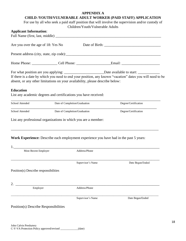#### **APPENDIX A**

# **CHILD /YOUTH/VULNERABLE ADULT WORKER (PAID STAFF) APPLICATION**

For use by all who seek a paid staff position that will involve the supervision and/or custody of Children/Youth/Vulnerable Adults

|                                                                               |                               | Children/Touth/Vullerable Addits |                                                                                                                |
|-------------------------------------------------------------------------------|-------------------------------|----------------------------------|----------------------------------------------------------------------------------------------------------------|
| <b>Applicant Information:</b>                                                 |                               |                                  |                                                                                                                |
|                                                                               |                               |                                  |                                                                                                                |
|                                                                               |                               |                                  |                                                                                                                |
| Are you over the age of 18: Yes No                                            |                               |                                  |                                                                                                                |
|                                                                               |                               |                                  |                                                                                                                |
|                                                                               |                               |                                  |                                                                                                                |
|                                                                               |                               |                                  |                                                                                                                |
|                                                                               |                               |                                  | Home Phone: ___________________Cell Phone: _________________________Email: ___________________________________ |
|                                                                               |                               |                                  |                                                                                                                |
|                                                                               |                               |                                  | For what position are you applying: ________________________________Date available to start: ________________  |
|                                                                               |                               |                                  | If there is a date by which you need to end your position, any known "vacation" dates you will need to be      |
| absent, or any other limitations on your availability, please describe below: |                               |                                  |                                                                                                                |
|                                                                               |                               |                                  |                                                                                                                |
| <b>Education</b>                                                              |                               |                                  |                                                                                                                |
| List any academic degrees and certifications you have received:               |                               |                                  |                                                                                                                |
|                                                                               |                               |                                  |                                                                                                                |
| School Attended                                                               | Date of Completion/Graduation |                                  | Degree/Certification                                                                                           |
|                                                                               |                               |                                  |                                                                                                                |
| School Attended                                                               | Date of Completion/Graduation |                                  | Degree/Certification                                                                                           |
|                                                                               |                               |                                  |                                                                                                                |
| List any professional organizations in which you are a member:                |                               |                                  |                                                                                                                |
|                                                                               |                               |                                  |                                                                                                                |
|                                                                               |                               |                                  |                                                                                                                |
|                                                                               |                               |                                  |                                                                                                                |
|                                                                               |                               |                                  | Work Experience: Describe each employment experience you have had in the past 5 years:                         |
|                                                                               |                               |                                  |                                                                                                                |
|                                                                               |                               |                                  |                                                                                                                |
| Most Recent Employer                                                          |                               | Address/Phone                    |                                                                                                                |
|                                                                               |                               |                                  |                                                                                                                |
|                                                                               |                               | Supervisor's Name                | Date Began/Ended                                                                                               |
|                                                                               |                               |                                  |                                                                                                                |
| Position(s) Describe responsibilities                                         |                               |                                  |                                                                                                                |
|                                                                               |                               |                                  |                                                                                                                |
|                                                                               |                               |                                  |                                                                                                                |
|                                                                               |                               |                                  |                                                                                                                |
| Employer                                                                      |                               | Address/Phone                    |                                                                                                                |
|                                                                               |                               |                                  |                                                                                                                |
|                                                                               |                               | Supervisor's Name                | Date Began/Ended                                                                                               |
|                                                                               |                               |                                  |                                                                                                                |
| Position(s) Describe Responsibilities                                         |                               |                                  |                                                                                                                |
|                                                                               |                               |                                  |                                                                                                                |
|                                                                               |                               |                                  |                                                                                                                |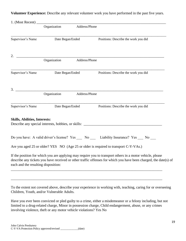**Volunteer Experience:** Describe any relevant volunteer work you have performed in the past five years.

|                                      | Organization Address/Phone                                          |                  |                                                                                                                                                                                                                               |
|--------------------------------------|---------------------------------------------------------------------|------------------|-------------------------------------------------------------------------------------------------------------------------------------------------------------------------------------------------------------------------------|
| Supervisor's Name                    |                                                                     | Date Began/Ended | Positions: Describe the work you did                                                                                                                                                                                          |
|                                      | <u> 1980 - Johann Barbara, martxa alemaniar amerikan basar da a</u> |                  |                                                                                                                                                                                                                               |
|                                      | Organization                                                        | Address/Phone    |                                                                                                                                                                                                                               |
| Supervisor's Name                    |                                                                     | Date Began/Ended | Positions: Describe the work you did                                                                                                                                                                                          |
|                                      | Organization Address/Phone                                          |                  | $3.$ $\overline{\phantom{a}}$                                                                                                                                                                                                 |
|                                      |                                                                     |                  |                                                                                                                                                                                                                               |
|                                      |                                                                     |                  | Supervisor's Name Date Began/Ended Positions: Describe the work you did                                                                                                                                                       |
| <b>Skills, Abilities, Interests:</b> |                                                                     |                  | Describe any special interests, hobbies, or skills: _____________________________                                                                                                                                             |
|                                      |                                                                     |                  | Do you have: A valid driver's license? Yes __ No __ Liability Insurance? Yes __ No __                                                                                                                                         |
|                                      |                                                                     |                  | Are you aged 25 or older? YES NO (Age 25 or older is required to transport C-Y-VAs.)                                                                                                                                          |
| each and the resulting disposition:  |                                                                     |                  | If the position for which you are applying may require you to transport others in a motor vehicle, please<br>describe any tickets you have received or other traffic offenses for which you have been charged, the date(s) of |
|                                      |                                                                     |                  |                                                                                                                                                                                                                               |

To the extent not covered above, describe your experience in working with, teaching, caring for or overseeing Children, Youth, and/or Vulnerable Adults.

Have you ever been convicted or pled guilty to a crime, either a misdemeanor or a felony including, but not limited to a drug-related charge, Minor in possession charge, Child endangerment, abuse, or any crimes involving violence, theft or any motor vehicle violations? Yes No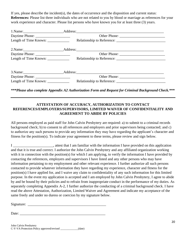If yes, please describe the incident(s), the dates of occurrence and the disposition and current status: **References:** Please list three individuals who are not related to you by blood or marriage as references for your work experience and character. Please list persons who have known you for at least three (3) years.

| Length of Time Known: _____________                                                                        |  |
|------------------------------------------------------------------------------------------------------------|--|
|                                                                                                            |  |
|                                                                                                            |  |
| Length of Time Known: _____________                                                                        |  |
|                                                                                                            |  |
|                                                                                                            |  |
| Length of Time Known: $\frac{1}{\sqrt{1-\frac{1}{2}}}\left\vert \frac{1}{\sqrt{1-\frac{1}{2}}}\right\vert$ |  |

*\*\*\*Please also complete Appendix A2 Authorization Form and Request for Criminal Background Check.\*\*\**

#### **ATTESTATION OF ACCURACY, AUTHORIZATION TO CONTACT REFERENCES/EMPLOYERS/SUPERVISORS, LIMITED WAIVER OF CONFIDENTIALITY AND AGREEMENT TO ABIDE BY POLICIES**

All persons employed as paid staff for John Calvin Presbytery are required: a) to submit to a criminal records background check; b) to consent to all references and employers and prior supervisors being contacted; and c) to authorize any such persons to provide any information they may have regarding the applicant's character and fitness for the position(s). To indicate your agreement to these terms, please review and sign below.

I \_\_\_\_\_\_\_\_\_\_\_\_\_\_\_\_\_\_\_\_\_, attest that I am familiar with the information I have provided on this application and that it is true and correct. I authorize the John Calvin Presbytery and any affiliated organization working with it in connection with the position(s) for which I am applying, to verify the information I have provided by contacting the references, employers and supervisors I have listed and any other persons who may have information pertaining to my employment and other relevant experience. I further authorize all such persons contacted to provide whatever information they have regarding my experience, character and fitness for the position(s) I have applied for, and I waive any claim to confidentiality of any such information for this limited purpose. In the event my application is accepted and I am employed by John Calvin Presbytery, I agree to abide by and be bound by their policies and to refrain from inappropriate conduct in the performance of my duties. As separately completing Appendix A-2, I further authorize the conducting of a criminal background check. I have read the above Attestation, Authorization, Limited Waiver and Agreement and indicate my acceptance of the same freely and under no duress or coercion by my signature below.

Signature: \_\_\_\_\_\_\_\_\_\_\_\_\_\_\_\_\_\_\_\_\_\_\_\_\_\_\_\_\_\_\_\_\_\_\_\_\_\_\_\_\_\_\_

Date: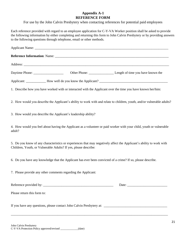#### **Appendix A-1 REFERENCE FORM**

For use by the John Calvin Presbytery when contacting references for potential paid employees

Each reference provided with regard to an employee application for C-Y-VA Worker position shall be asked to provide the following information by either completing and returning this form to John Calvin Presbytery or by providing answers to the following questions through telephone, email or other methods.

| 1. Describe how you have worked with or interacted with the Applicant over the time you have known her/him:                                                                             |
|-----------------------------------------------------------------------------------------------------------------------------------------------------------------------------------------|
| 2. How would you describe the Applicant's ability to work with and relate to children, youth, and/or vulnerable adults?                                                                 |
| 3. How would you describe the Applicant's leadership ability?                                                                                                                           |
| 4. How would you feel about having the Applicant as a volunteer or paid worker with your child, youth or vulnerable<br>adult?                                                           |
| 5. Do you know of any characteristics or experiences that may negatively affect the Applicant's ability to work with<br>Children, Youth, or Vulnerable Adults? If yes, please describe: |
| 6. Do you have any knowledge that the Applicant has ever been convicted of a crime? If so, please describe.                                                                             |
| 7. Please provide any other comments regarding the Applicant:                                                                                                                           |
|                                                                                                                                                                                         |
| Please return this form to:                                                                                                                                                             |
|                                                                                                                                                                                         |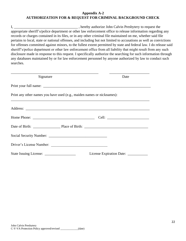#### **Appendix A-2 AUTHORIZATION FOR & REQUEST FOR CRIMINAL BACKGROUND CHECK**

I, \_\_\_\_\_\_\_\_\_\_\_\_\_\_\_\_\_\_\_\_\_\_\_\_\_\_\_\_\_\_\_\_\_\_\_ , hereby authorize John Calvin Presbytery to request the appropriate sheriff's/police department or other law enforcement office to release information regarding any records or charges contained in its files, or in any other criminal file maintained on me, whether said file pertains to local, state or national offenses, and including but not limited to accusations as well as convictions for offenses committed against minors, to the fullest extent permitted by state and federal law. I do release said sheriff's/police department or other law enforcement office from all liability that might result from any such disclosure made in response to this request. I specifically authorize the searching for such information through any databases maintained by or for law enforcement personnel by anyone authorized by law to conduct such searches.

| Signature                                                              | Date                                 |
|------------------------------------------------------------------------|--------------------------------------|
|                                                                        |                                      |
| Print any other names you have used (e.g., maiden names or nicknames): |                                      |
|                                                                        |                                      |
|                                                                        |                                      |
|                                                                        |                                      |
|                                                                        |                                      |
| Driver's License Number:                                               |                                      |
|                                                                        | License Expiration Date: ___________ |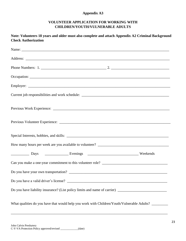#### **Appendix A3**

#### **VOLUNTEER APPLICATION FOR WORKING WITH CHILDREN/YOUTH/VULNERABLE ADULTS**

### **Note: Volunteers 18 years and older must also complete and attach Appendix A2 Criminal Background Check Authorization**

| Do you have a valid driver's license?                                                                |  |  |
|------------------------------------------------------------------------------------------------------|--|--|
| Do you have liability insurance? (List policy limits and name of carrier) __________________________ |  |  |
| What qualities do you have that would help you work with Children/Youth/Vulnerable Adults? ________  |  |  |

\_\_\_\_\_\_\_\_\_\_\_\_\_\_\_\_\_\_\_\_\_\_\_\_\_\_\_\_\_\_\_\_\_\_\_\_\_\_\_\_\_\_\_\_\_\_\_\_\_\_\_\_\_\_\_\_\_\_\_\_\_\_\_\_\_\_\_\_\_\_\_\_\_\_\_\_\_\_\_\_\_\_\_\_\_\_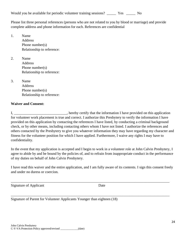Would you be available for periodic volunteer training sessions? \_\_\_\_\_ Yes \_\_\_\_\_ No

Please list three personal references (persons who are not related to you by blood or marriage) and provide complete address and phone information for each. References are confidential

1. Name **Address** Phone number(s) Relationship to reference:

2. Name Address Phone number(s) Relationship to reference:

3. Name Address Phone number(s) Relationship to reference:

#### **Waiver and Consent:**

I, \_\_\_\_\_\_\_\_\_\_\_\_\_\_\_\_\_\_\_\_\_\_\_\_\_\_, hereby certify that the information I have provided on this application for volunteer work placement is true and correct. I authorize this Presbytery to verify the information I have provided on this application by contacting the references I have listed, by conducting a criminal background check, or by other means, including contacting others whom I have not listed. I authorize the references and others contacted by the Presbytery to give you whatever information they may have regarding my character and fitness for the volunteer position for which I have applied. Furthermore, I waive any rights I may have to confidentiality.

In the event that my application is accepted and I begin to work in a volunteer role at John Calvin Presbytery, I agree to abide by and be bound by the policies of, and to refrain from inappropriate conduct in the performance of my duties on behalf of John Calvin Presbytery.

I have read this waiver and the entire application, and I am fully aware of its contents. I sign this consent freely and under no duress or coercion.

\_\_\_\_\_\_\_\_\_\_\_\_\_\_\_\_\_\_\_\_\_\_\_\_\_\_\_\_\_\_\_\_\_\_\_\_\_\_\_\_\_\_\_\_\_\_\_\_\_\_\_\_\_\_\_\_\_\_\_\_\_\_\_\_\_\_\_\_\_\_\_\_\_\_\_\_\_\_\_\_\_\_\_\_\_\_\_

\_\_\_\_\_\_\_\_\_\_\_\_\_\_\_\_\_\_\_\_\_\_\_\_\_\_\_\_\_\_\_\_\_\_\_\_\_\_\_\_\_\_\_\_\_\_\_\_\_\_\_\_\_\_\_\_\_\_\_\_\_\_\_\_\_\_\_\_\_\_\_\_\_\_\_\_\_\_\_\_\_\_\_\_\_\_\_

Signature of Applicant Date

Signature of Parent for Volunteer Applicants Younger than eighteen (18)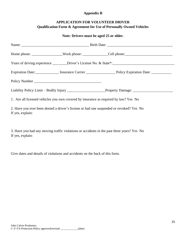#### **Appendix B**

#### **APPLICATION FOR VOLUNTEER DRIVER Qualification Form & Agreement for Use of Personally Owned Vehicles**

#### **Note: Drivers must be aged 25 or older.**

|                                                                                                             |  | Expiration Date: Insurance Carrier Manuel Policy Expiration Date: Manuel Manuel Policy Expiration Date:        |  |  |
|-------------------------------------------------------------------------------------------------------------|--|----------------------------------------------------------------------------------------------------------------|--|--|
|                                                                                                             |  |                                                                                                                |  |  |
|                                                                                                             |  | Liability Policy Limit – Bodily Injury _____________________________Property Damage: _________________________ |  |  |
| 1. Are all licensed vehicles you own covered by insurance as required by law? Yes No                        |  |                                                                                                                |  |  |
| 2. Have you ever been denied a driver's license or had one suspended or revoked? Yes No<br>If yes, explain: |  |                                                                                                                |  |  |

3. Have you had any moving traffic violations or accidents in the past three years? Yes No If yes, explain:

Give dates and details of violations and accidents on the back of this form.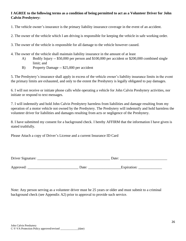#### **I AGREE to the following terms as a condition of being permitted to act as a Volunteer Driver for John Calvin Presbytery:**

1. The vehicle owner's insurance is the primary liability insurance coverage in the event of an accident.

2. The owner of the vehicle which I am driving is responsible for keeping the vehicle in safe working order.

3. The owner of the vehicle is responsible for all damage to the vehicle however caused.

- 4. The owner of the vehicle shall maintain liability insurance in the amount of at least
	- A) Bodily Injury -- \$50,000 per person and \$100,000 per accident or \$200,000 combined single limit; and
	- B) Property Damage -- \$25,000 per accident

5. The Presbytery's insurance shall apply in excess of the vehicle owner's liability insurance limits in the event the primary limits are exhausted, and only to the extent the Presbytery is legally obligated to pay damages.

6. I will not receive or initiate phone calls while operating a vehicle for John Calvin Presbytery activities, nor initiate or respond to text messages.

7. I will indemnify and hold John Calvin Presbytery harmless from liabilities and damage resulting from my operation of a motor vehicle not owned by the Presbytery. The Presbytery will indemnify and hold harmless the volunteer driver for liabilities and damages resulting from acts or negligence of the Presbytery.

8. I have submitted my consent for a background check. I hereby AFFIRM that the information I have given is stated truthfully.

Please Attach a copy of Driver's License and a current Insurance ID Card

| Driver Si<br>– Signature ( |  |
|----------------------------|--|
|----------------------------|--|

Approved: \_\_\_\_\_\_\_\_\_\_\_\_\_\_\_\_\_\_\_\_\_\_\_\_\_\_\_\_ Date: \_\_\_\_\_\_\_\_\_\_\_\_\_\_\_\_\_\_Expiration: \_\_\_\_\_\_\_\_\_\_\_\_\_

Note: Any person serving as a volunteer driver must be 25 years or older and must submit to a criminal background check (see Appendix A2) prior to approval to provide such service.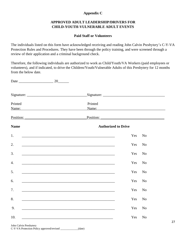#### **Appendix C**

#### **APPROVED ADULT LEADERSHIP/DRIVERS FOR CHILD-YOUTH-VULNERABLE ADULT EVENTS**

#### **Paid Staff or Volunteers**

The individuals listed on this form have acknowledged receiving and reading John Calvin Presbytery's C-Y-VA Protection Rules and Procedures. They have been through the policy training, and were screened through a review of their application and a criminal background check.

Therefore, the following individuals are authorized to work as Child/Youth/VA Workers (paid employees or volunteers), and if indicated, to drive the Children/Youth/Vulnerable Adults of this Presbytery for 12 months from the below date.

Date \_\_\_\_\_\_\_\_\_\_\_\_\_\_\_\_\_\_\_ 20\_\_\_\_\_\_

| Printed<br>Name: Name and Allen and Allen and Allen and Allen and Allen and Allen and Allen and Allen and Allen and Allen | Printed<br>Name: Name and the state of the state of the state of the state of the state of the state of the state of the state of the state of the state of the state of the state of the state of the state of the state of the state of |  |  |
|---------------------------------------------------------------------------------------------------------------------------|-------------------------------------------------------------------------------------------------------------------------------------------------------------------------------------------------------------------------------------------|--|--|
| Position: Position:                                                                                                       | Position:                                                                                                                                                                                                                                 |  |  |
| <b>Name</b>                                                                                                               | <b>Authorized to Drive</b>                                                                                                                                                                                                                |  |  |
| 1.                                                                                                                        | Yes<br>N <sub>o</sub>                                                                                                                                                                                                                     |  |  |
| 2.                                                                                                                        | Yes<br>N <sub>o</sub>                                                                                                                                                                                                                     |  |  |
| 3.                                                                                                                        | Yes<br>No<br>and the control of the control of the control of the control of the control of the control of the control of the                                                                                                             |  |  |
| $\overline{4}$ .                                                                                                          | Yes<br>N <sub>o</sub>                                                                                                                                                                                                                     |  |  |
| 5.                                                                                                                        | Yes<br>N <sub>o</sub>                                                                                                                                                                                                                     |  |  |
| 6.                                                                                                                        | Yes<br>N <sub>o</sub>                                                                                                                                                                                                                     |  |  |
| 7.                                                                                                                        | Yes<br>N <sub>o</sub>                                                                                                                                                                                                                     |  |  |
| 8.                                                                                                                        | Yes<br>N <sub>o</sub>                                                                                                                                                                                                                     |  |  |
| 9.                                                                                                                        | No<br>Yes                                                                                                                                                                                                                                 |  |  |
| 10.                                                                                                                       | Yes<br>N <sub>o</sub><br><u> 1989 - Johann Stoff, deutscher Stoffen und der Stoffen und der Stoffen und der Stoffen und der Stoffen und der</u>                                                                                           |  |  |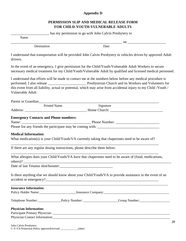#### **Appendix D**

#### **PERMISSION SLIP AND MEDICAL RELEASE FORM FOR CHILD-YOUTH-VULNERABLE ADULTS**

|                                                                                                                                                                                                                                                   | has my permission to go with John Calvin Presbytery to |           |               |
|---------------------------------------------------------------------------------------------------------------------------------------------------------------------------------------------------------------------------------------------------|--------------------------------------------------------|-----------|---------------|
| Name                                                                                                                                                                                                                                              |                                                        |           |               |
|                                                                                                                                                                                                                                                   |                                                        |           | $\mathbf{on}$ |
| Destination                                                                                                                                                                                                                                       |                                                        | Date      |               |
| I understand that transportation will be provided John Calvin Presbytery in vehicles driven by approved Adult<br>drivers.                                                                                                                         |                                                        |           |               |
| In the event of an emergency, I give permission for the Child/Youth/Vulnerable Adult Workers to secure<br>necessary medical treatment for my Child/Youth/Vulnerable Adult by qualified and licensed medical personnel.                            |                                                        |           |               |
| I understand that efforts will be made to contact me at the numbers below before any medical procedure is<br>this event from all liability, actual or potential, which may arise from accidental injury to my Child /Youth /<br>Vulnerable Adult. |                                                        |           |               |
| Parent or Guardian<br><u>Example 2014</u>                                                                                                                                                                                                         |                                                        |           |               |
| <b>Printed Name</b>                                                                                                                                                                                                                               |                                                        | Signature |               |
|                                                                                                                                                                                                                                                   |                                                        |           |               |
| <b>Medical Information:</b><br>What medication(s) is your Child/Youth/VA currently taking that chaperones need to be aware of?                                                                                                                    |                                                        |           |               |
| If there are any regular dosing instructions, please describe them below:                                                                                                                                                                         |                                                        |           |               |
| What allergies does your Child/Youth/VA have that chaperones need to be aware of (food, medications,                                                                                                                                              |                                                        |           |               |
| Date of last Tetanus shot/booster:                                                                                                                                                                                                                |                                                        |           |               |
| Is there anything else we should know about your Child/Youth/VA to provide assistance in the event of an                                                                                                                                          |                                                        |           |               |
| <b>Insurance Information:</b>                                                                                                                                                                                                                     |                                                        |           |               |
| Telephone Number: Policy Number: __________________Group Number: ________________                                                                                                                                                                 |                                                        |           |               |
| <b>Physician Information:</b>                                                                                                                                                                                                                     |                                                        |           |               |
|                                                                                                                                                                                                                                                   |                                                        |           |               |
| Physician Contact Information: Contact Information:                                                                                                                                                                                               |                                                        |           |               |
|                                                                                                                                                                                                                                                   |                                                        |           |               |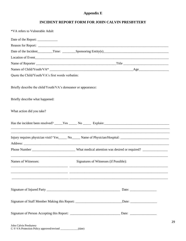### **Appendix E**

### **INCIDENT REPORT FORM FOR JOHN CALVIN PRESBYTERY**

| *VA refers to Vulnerable Adult                                |                                                                                                                |
|---------------------------------------------------------------|----------------------------------------------------------------------------------------------------------------|
|                                                               |                                                                                                                |
|                                                               |                                                                                                                |
|                                                               |                                                                                                                |
|                                                               |                                                                                                                |
|                                                               |                                                                                                                |
|                                                               |                                                                                                                |
| Quote the Child/Youth/VA's first words verbatim:              |                                                                                                                |
| Briefly describe the child/Youth/VA's demeanor or appearance: |                                                                                                                |
| Briefly describe what happened:                               |                                                                                                                |
| What action did you take?                                     |                                                                                                                |
|                                                               |                                                                                                                |
|                                                               | Injury requires physician visit? Yes_____ No_____ Name of Physician/Hospital: ________________________________ |
|                                                               | Phone Number ______________________________What medical attention was desired or required? ___________________ |
| Names of Witnesses:                                           | Signatures of Witnesses (if Possible):                                                                         |
|                                                               |                                                                                                                |
|                                                               |                                                                                                                |
|                                                               | Signature of Staff Member Making this Report: _______________________________Date: _________________           |
|                                                               |                                                                                                                |
| John Calvin Presbytery                                        |                                                                                                                |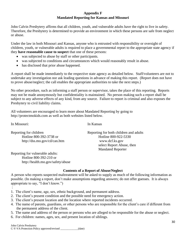#### **Appendix F Mandated Reporting for Kansas and Missouri**

John Calvin Presbytery affirms that all children, youth, and vulnerable adults have the right to live in safety. Therefore, the Presbytery is determined to provide an environment in which these persons are safe from neglect or abuse.

Under the law in both Missouri and Kansas, anyone who is entrusted with responsibility or oversight of children, youth, or vulnerable adults is required to place a governmental report to the appropriate state agency if they **have reasonable cause to suspect** that one of these persons:

- was subjected to abuse by staff or other participants.
- was subjected to conditions and circumstances which would reasonably result in abuse.
- has disclosed that prior abuse happened.

A report shall be made immediately to the respective state agency as detailed below. Staff/volunteers are not to undertake any investigation nor ask leading questions in advance of making this report. (Report does not have to prove abuse/neglect; the call enables the appropriate authorities to take the next steps.)

No other procedure, such as informing a staff person or supervisor, takes the place of this reporting. Reports may not be made anonymously but confidentiality is maintained. No person making such a report shall be subject to any adverse effects of any kind, from any source. Failure to report is criminal and also exposes the Presbytery to civil liability claims.

All volunteers are encouraged to learn more about Mandated Reporting by going to [http://protectmokids.com](http://protectmokids.com/) as well as both websites listed below.

In Missouri: In Kansas

<http://dss.mo.gov/cd/can.htm>[www.dcf.ks.gov](http://www.dcf.ks.gov/)

Reporting for children Reporting for both children and adults Hotline 800-392-3738 or Hotline 800-922-5330 select Report Abuse, then Mandated Reporter

Reporting for vulnerable adults: Hotline 800-392-210 or <http://health.mo.gov/safety/abuse>

#### **Contents of a Report of Abuse/Neglect**

A person who reports suspected maltreatment will be asked to supply as much of the following information as possible. (In making a report, don't make assumptions regarding answers; do not offer guesses. It is always appropriate to say, "I don't know.")

- :
- 1. The client's name, age, sex, ethnic background, and permanent address.
- 2. The client's present condition and the possible need for emergency action.
- 3. The client's present location and the location where reported incidents occurred.
- 4. The name of parents, guardians, or other persons who are responsible for the client's care if different from the permanent address of the client.
- 5. The name and address of the person or persons who are alleged to be responsible for the abuse or neglect.
- 6. For children: names, ages, sex, and present location of siblings.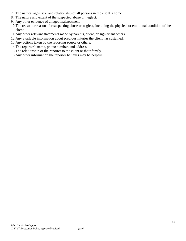- 7. The names, ages, sex, and relationship of all persons in the client's home.
- 8. The nature and extent of the suspected abuse or neglect.
- 9. Any other evidence of alleged maltreatment.
- 10.The reason or reasons for suspecting abuse or neglect, including the physical or emotional condition of the client.
- 11.Any other relevant statements made by parents, client, or significant others.
- 12.Any available information about previous injuries the client has sustained.
- 13.Any actions taken by the reporting source or others.
- 14.The reporter's name, phone number, and address.
- 15.The relationship of the reporter to the client or their family.
- 16.Any other information the reporter believes may be helpful.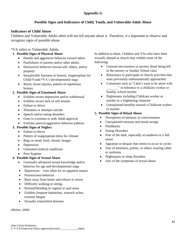#### **Appendix G**

#### **Possible Signs and Indicators of Child, Youth, and Vulnerable Adult Abuse**

#### **Indicators of Child Abuse**

Children and Vulnerable Adults often will not tell anyone about it. Therefore, it's important to observe and recognize signs of possible abuse.

#### \*VA refers to Vulnerable Adults

#### **1. Possible Signs of Physical Abuse**

- Hostile and aggressive behavior toward others
- Fearfulness of parents and/or other adults.
- Destructive behavior toward self, others, and/or property
- Inexplicable fractures or bruises, inappropriate for Child/Youth/\*VA's developmental stage
- Burns, facial injuries, pattern of repetitious bruises

#### **2. Possible Signs of Emotional Abuse**

- Exhibits severe depression and/or withdrawal
- Exhibits severe lack of self-esteem
- Failure to thrive
- Threatens or attempts suicide
- Speech and/or eating disorders
- Goes to extremes to seek Adult approval
- Extreme passive/aggressive behavior patterns

#### **3. Possible Signs of Neglect**

- Failure to thrive
- Pattern of inappropriate dress for climate
- Begs or steals food; chronic hunger
- Depression
- Untreated medical conditions
- Poor hygiene

#### **4. Possible Signs of Sexual Abuse**

- Unusually advanced sexual knowledge and/or behavior for age and developmental stage
- Depression cries often for no apparent reason
- Promiscuous behavior
- Runs away from home and refuses to return
- Difficulty walking or sitting.
- Bruised/bleeding in vaginal or anal areas
- Exhibits frequent headaches, stomach aches, extreme fatigue
- Sexually transmitted diseases

(Melton, 2008)

In addition to these, Children and VAs who have been sexually abused at church may exhibit some of the following:

- Unusual nervousness or anxiety about being left in the nursery or Sunday School class
- Reluctance to participate in church activities that were previously enthusiastically approached
- Comments such as "I don't want to be alone with \_\_\_\_\_\_\_" in reference to a childcare worker or Sunday school teacher
- Nightmares including Childcare worker or teacher as a frightening character
- Unexplained hostility toward a Childcare worker or teacher.

#### **5. Possible Signs of Ritual Abuse**

- Disruptions of memory or consciousness
- Unexplained mistrust and mood swings
- Flashbacks
- Eating Disorders
- Fear of the dark, especially at sundown or a full moon
- Agitation or despair that seems to occur in cycles
- Fear of ministers, priests, or others wearing robes or uniforms
- Nightmares or sleep disorders
- Any of the symptoms of sexual abuse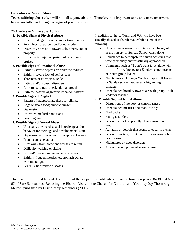#### **Indicators of Youth Abuse**

Teens suffering abuse often will not tell anyone about it. Therefore, it's important to be able to be observant, listen carefully, and recognize signs of possible abuse.

#### \*VA refers to Vulnerable Adults

#### **1. Possible Signs of Physical Abuse**

- Hostile and aggressive behavior toward others
- Fearfulness of parents and/or other adults.
- Destructive behavior toward self, others, and/or property.
- Burns, facial injuries, pattern of repetitious bruises

#### **2. Possible Signs of Emotional Abuse**

- Exhibits severe depression and/or withdrawal
- Exhibits severe lack of self-esteem
- Threatens or attempts suicide
- Eating and/or speech disorders
- Goes to extremes to seek adult approval
- Extreme passive/aggressive behavior patterns

#### **3. Possible Signs of Neglect**

- Pattern of inappropriate dress for climate
- Begs or steals food; chronic hunger
- Depression
- Untreated medical conditions
- Poor hygiene

#### **4. Possible Signs of Sexual Abuse**

- Unusually advanced sexual knowledge and/or behavior for their age and developmental state
- Depression cries often for no apparent reason
- Promiscuous behavior
- Runs away from home and refuses to return
- Difficulty walking or sitting
- Bruised/bleeding in vaginal or anal areas
- Exhibits frequent headaches, stomach aches, extreme fatigue
- Sexually transmitted diseases

In addition to these, Youth and VA who have been sexually abused at church may exhibit some of the following:

- Unusual nervousness or anxiety about being left in the nursery or Sunday School class alone
- Reluctance to participate in church activities that were previously enthusiastically approached
- Comments such as "I don't want to be alone with " in reference to a Sunday school teacher or Youth group leader
- Nightmares including a Youth group Adult leader or Sunday school teacher as a frightening character
- Unexplained hostility toward a Youth group Adult leader or teacher.

#### **5. Possible Signs of Ritual Abuse**

- Disruptions of memory or consciousness
- Unexplained mistrust and mood swings
- Flashbacks
- Eating Disorders
- Fear of the dark, especially at sundown or a full moon
- Agitation or despair that seems to occur in cycles
- Fear of ministers, priests, or others wearing robes or uniforms
- Nightmares or sleep disorders
- Any of the symptoms of sexual abuse

This material, with additional description of the scope of possible abuse, may be found on pages 36-38 and 66- 67 of Safe Sanctuaries: Reducing the Risk of Abuse in the Church for Children and Youth by Joy Thornburg Melton, published by Discipleship Resources (2008)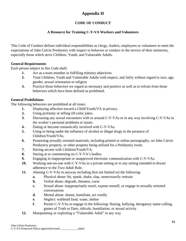# **Appendix H**

# **CODE OF CONDUCT**

### **A Resource for Training C-Y-VA Workers and Volunteers**

This Code of Conduct defines individual responsibilities as clergy, leaders, employees or volunteers to meet the expectations of John Calvin Presbytery with respect to behavior or conduct in the service of their ministries, especially those which serve Children, Youth, and Vulnerable Adults.

#### **General Requirements**

Each person subject to this Code shall:

- **1.** Act as a team member in fulfilling ministry objectives
- **2.** Treat Children, Youth and Vulnerable Adults with respect, and fairly without regard to race, age, gender, sexual orientation or religion
- **3.** Practice those behaviors we regard as necessary and positive as well as to refrain from those behaviors which have been defined as prohibited.

#### **General Prohibitions**

The following behaviors are prohibited at all times:

- **1.** Displaying affection toward a Child/Youth/VA in privacy.
- **2.** Using profanity or telling off-color jokes.
- **3.** Discussing any sexual encounters with or around C-Y-VAs or in any way involving C-Y-VAs in the worker's personal problems or issues.
- **4.** Dating or become romantically involved with C-Y-VAs.
- **5.** Using or being under the influence of alcohol or illegal drugs in the presence of Children/Youth/VAs.
- **6.** Possessing sexually oriented materials, including printed or online pornography, on John Calvin Presbytery property, or other property being utilized for a Presbytery event.
- **7.** Having secrets with Children/Youth/VA.
- **8.** Staring at or commenting on C-Y-VA's bodies.
- **9.** Engaging in inappropriate or unapproved electronic communication with C-Y-VAs.
- **10.** Working one-on-one with C-Y-VAs in a private setting or in any setting intended to thwart adherence to the Two-Adult Rule.
- **11.** Abusing C-Y-VAs in anyway including (but not limited to) the following:
	- **a**. Physical abuse: hit, spank, shake, slap, unnecessarily restrain
	- **b.** Verbal abuse: degrade, threaten, curse
	- **c.** Sexual abuse: inappropriately touch, expose oneself, or engage in sexually oriented conversations
	- **d**. Mental abuse: shame, humiliate, act cruelly
	- **e**. Neglect: withhold food, water, shelter
	- **f.** Permit C-Y-VAs to engage in the following: Hazing, bullying, derogatory name-calling, games of Truth or Dare, ridicule, humiliation, or sexual activity
- **12.** Manipulating or exploiting a "Vulnerable Adult" in any way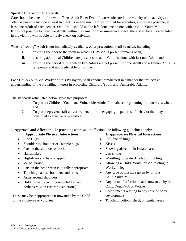#### **Specific Interaction Standards**

Care should be taken to follow the Two- Adult Rule: Even if two Adults are in the vicinity of an activity, as often as possible include at least two Adults in any small groups formed for activities, and where possible, at least one Adult of each gender. One Adult should not be left alone one on one with a Child/Youth/VA. If it is not possible to have two Adults within the same room or immediate space, there shall be a Floater Adult in the vicinity who is able to freely check on activities.

When a "roving" Adult is not immediately available, other precautions shall be taken, including

- **i**. ensuring the door to the room in which a C-Y-VA is present remains open,
- **ii.** ensuring additional Children are present so that no Child is alone with just one Adult, and
- **iii.** ensuring the period during which two Adults are not present (or one Adult and a Floater Adult) is temporary and not predictable or routine.

Each Child/Youth/VA Worker of this Presbytery shall conduct him/herself in a manner that reflects an understanding of the prevailing interest in protecting Children, Youth and Vulnerable Adults.

The standards articulated below serve two purposes:

- 1. To protect Children, Youth and Vulnerable Adults from abuse or grooming for abuse elsewhere; and
- 2. To protect/prevent staff and/or leadership from engaging in patterns of behavior that may be construed as abusive or predatory.

**1. Approval and Affection** – In providing approval or affection, the following guidelines apply:

- Side Hugs
- Shoulder-to-shoulder or "temple hugs"
- Pats on the shoulder or back
- Handshakes
- High-fives and hand slapping
- Verbal praise
- Pats on the head when culturally appropriate
- Touching hands, shoulders, and arms
- Arms around shoulders
- Holding hands (with young children and perhaps VAs in escorting situations)

These may be inappropriate if unwanted by the Child or the employee or volunteer.

#### **Appropriate Physical Interactions Inappropriate Physical Interactions**

- Full-frontal hugs
- Kisses
- Showing affection in isolated area
- Lap sitting
- Wrestling, piggyback rides, or tickling
- Allowing a Child, Youth, or VA to cling to Worker's leg
- Any type of massage given by or to a Child/Youth/VA
- Any form of affection that is unwanted by the Child/Youth/VA or Worker
- Compliments relating to physique or body development
- Touching bottom, chest, or genital areas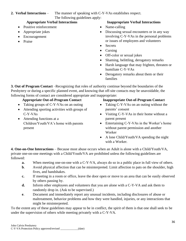**2. Verbal Interactions** – The manner of speaking with C-Y-VAs establishes respect. The following guidelines apply:

- Positive reinforcement
- Appropriate jokes
- Encouragement
- Praise

#### **Appropriate Verbal Interactions Inappropriate Verbal Interactions**

- Name-calling
- Discussing sexual encounters or in any way involving C-Y-VAs in the personal problems or issues of employees and volunteers
- Secrets
- Cursing
- Off-color or sexual jokes
- Shaming, belittling, derogatory remarks
- Harsh language that may frighten, threaten or humiliate C-Y-VAs
- Derogatory remarks about them or their families

**3. Out of Program Contact** –Recognizing that roles of authority continue beyond the boundaries of the Presbytery or during a specific planned event, and knowing that off-site contacts may be unavoidable, the following forms of contact are considered appropriate and inappropriate:

- Taking groups of C-Y-VAs on an outing
- Attending sporting activities with groups of C-Y-VAs
- Attending functions at a Children/Youth/VA's home with parents present

#### **Appropriate Out-of-Program Contact Inappropriate Out-of-Program Contact**

- Taking C-Y-VAs on an outing without the parents' consent
- Visiting C-Y-VAs in their home without a parent present
- Entertaining C-Y-VAs in the Worker's home without parent permission and another Worker
- A lone Child/Youth/VA spending the night with a Worker.

**4. One-on-One Interactions** – Because most abuse occurs when an Adult is alone with a Child/Youth/VA, private one-on-one meetings with a Child/Youth/VA are prohibited unless the following guidelines are followed:

- **a.** When meeting one-on-one with a C-Y-VA, always do so in a public place in full view of others.
- **b**. Avoid physical affection that can be misinterpreted. Limit affection to pats on the shoulder, high fives, and handshakes.
- **c.** If meeting in a room or office, leave the door open or move to an area that can be easily observed by others passing by.
- **d.** Inform other employees and volunteers that you are alone with a C-Y-VA and ask them to randomly drop in. (Ask to be supervised.)
- **e**. Document and immediately report any unusual incidents, including disclosures of abuse or maltreatment, behavior problems and how they were handled, injuries, or any interactions that might be misinterpreted.

To the extent any of these guidelines may appear to be in conflict, the spirit of them is that one shall seek to be under the supervision of others while meeting privately with a C-Y-VA.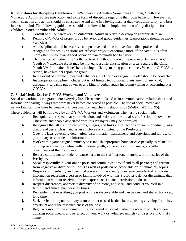**6. Guidelines for Discipling Children/Youth/Vulnerable Adults** – Sometimes Children, Youth and Vulnerable Adults require instruction and some form of discipline regarding their own behavior. However, all such instruction and action should be constructive and done in a loving manner that keeps their safety and best interest in mind. The following guidelines should be followed in the implementation of any discipline for Children, Youth or Vulnerable Adults:

- **a**. Consult with the caretakers of Vulnerable Adults in order to develop an appropriate plan.
- **b.** Remind C-Y-VAs of proper group behavior and group guidelines. Expectations should be made very clear.
- **c**. All discipline should be assertive and positive and done in love. Immediate praise and recognition for positive actions are effective ways to encourage more of the same. It is often more effective to reward good behavior than to punish bad behavior.
- **d.** The practice of "redirecting" is the preferred method of correcting unwanted behavior. A Child, Youth or Vulnerable Adult may be moved to a different situation or area. Separate the Child-Youth-VA from others if he/she is having difficulty making good choices. When the C-Y-VA is settled, have him/her rejoin the group.
- **e.** In the event of chronic, unwanted behaviors, the Group or Program Leader should be contacted.
- **f.** Inappropriate discipline includes but is not limited to: corporeal punishment of any kind, derogatory sarcasm, put downs or any kind of verbal attack including yelling or screaming at a C-Y-VA.

# **7. Social Media Use for C-Y-VA Workers and Volunteers**

Social networking is integrated into everyday life. Electronic tools aid us in communication, relationships, and information sharing in ways that were never before conceived as possible. The use of social media and networking can blur lines between work, personal life, and church relationships (Melton, 2014, p. 95).

These guidelines will be followed by all C-Y-VA Workers and Volunteers when using social media:

- **a**. Recognize and respect that your behaviors and actions online are also a reflection of how other Christians and people associated with this Presbytery may be portrayed.
- **b.** Recognize that all your posted words, images, and links are reflections on you individually, as a disciple of Jesus Christ, and as an employee or volunteer of the Presbytery.
- **c.** Obey the laws governing defamation, discrimination, harassment, and copyright and fair use of proprietary or confidential information.
- **d**. Work within your assigned ministry to establish appropriate boundaries especially as related to building relationships online with children, youth, vulnerable adults, parents, and other constituents of the Presbytery.
- **e.** Be very careful not to hinder or cause harm to the staff, pastors, members, or ministries of the Presbytery.
- **f.** Speak respectfully in your online posts and communications of and to all persons; and refrain from negative or disrespectful posts as well as posts on objectionable or inflammatory topics.
- **g**. Respect confidentiality and personal privacy. In the event you receive confidential or private information regarding a person or family involved with this Presbytery, do not disseminate that information without receiving direct, express consent and permission to do so.
- **h.** Respect differences, appreciate diversity of opinions, and speak and conduct yourself in a faithful and ethical manner at all times.
- **i.** Remember that everything you post online is discoverable and can be seen and shared for a very long time.
- **j.** Seek advice from your ministry team or other trusted leaders before posting anything if you have any doubt about the reasonableness of the post.
- **k**. Regularly monitor the amount of time you spend on social media, the ways in which you are utilizing social media, and its effect on your work or volunteer ministry and service in Christ's name.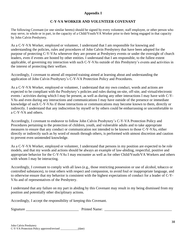# **Appendix I**

# **C-Y-VA WORKER AND VOLUNTEER COVENANT**

The following Covenant (or one similar hereto) should be signed by every volunteer, staff employee, or other person who may serve, in whole or in part, in the capacity of a Child/Youth/VA Worker prior to their being engaged in that capacity by John Calvin Presbytery.

As a C-Y-VA Worker, employed or volunteer, I understand that I am responsible for knowing and understanding the policies, rules and procedures of John Calvin Presbytery that have been adopted for the purpose of protecting C-Y-VAs whenever they are present at Presbytery events or under the oversight of church leaders, even if events are hosted by other entities. I understand that I am responsible, to the fullest extent applicable, of governing my interaction with such C-Y-VAs outside of this Presbytery's events and activities in the interest of protecting their welfare.

Accordingly, I covenant to attend all required training aimed at learning about and understanding the application of John Calvin Presbytery's C-Y-VA Protection Policy and Procedures.

As a C-Y-VA Worker, employed or volunteer, I understand that my own conduct, words and actions are expected to be compliant with the Presbytery's policies and rules during on-site, off-site, and virtual/electronic events / activities during which I may be present, as well as during any other interactions I may have with C-Y-VAs and even during any interactions and communications I may have outside of the presence or immediate knowledge of such C-Y-VAs if those interactions or communications may become known to them, directly or indirectly. I understand that any indiscretion by myself or by others could be embarrassing or uncomfortable to a C-Y-VA and others.

Accordingly, I covenant to endeavor to follow John Calvin Presbytery's C-Y-VA Protection Policy and Procedures pertaining to the protection of children, youth, and vulnerable adults and to take appropriate measures to ensure that any conduct or communication not intended to be known to those C-Y-VAs, either directly or indirectly such as by word of mouth through others, is performed with utmost discretion and caution to prevent even unintended knowledge.

As a C-Y-VA Worker, employed or volunteer, I understand that persons in my position are expected to be role models, and that my words and actions should be always an example of law-abiding, respectful, positive and appropriate behavior for the C-Y-VAs I may encounter as well as for other Child/Youth/VA Workers and others with whom I may be interacting.

Accordingly, I covenant to comply with all laws (e.g., those restricting possession or use of alcohol, tobacco or controlled substances), to treat others with respect and compassion, to avoid foul or inappropriate language, and to otherwise ensure that my behavior is consistent with the highest expectations of conduct for a leader of C-Y-VAs and of representatives of the Presbytery.

I understand that any failure on my part in abiding by this Covenant may result in my being dismissed from my position and potentially other disciplinary actions.

Accordingly, I accept the responsibility of keeping this Covenant.

Signature \_\_\_\_\_\_\_\_\_\_\_\_\_\_\_\_\_\_\_\_\_\_\_\_\_\_\_\_\_ Printed Name: \_\_\_\_\_\_\_\_\_\_\_\_\_\_\_\_\_\_\_\_\_\_\_\_\_\_\_\_\_\_\_\_\_\_\_\_\_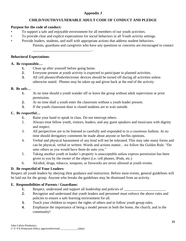# **Appendix J**

# **CHILD/YOUTH/VULNERABLE ADULT CODE OF CONDUCT AND PLEDGE**

## **Purpose for the code of conduct:**

- To support a safe and enjoyable environment for all members of our youth activities.
- To provide clear and explicit expectations for social behaviors in all Youth activity settings.
- Provide leaders, students, and staff with appropriate actions that address student behaviors. Parents, guardians and caregivers who have any questions or concerns are encouraged to contact

\_\_\_\_\_\_\_\_\_\_\_\_\_\_\_\_\_\_\_\_\_\_\_\_\_\_\_\_\_\_\_\_..

### **Behavioral Expectations**:

# **A. Be responsible…**

- **1.** Clean up after yourself before going home.
- **2.** Everyone present at youth activity is expected to participate in planned activities.
- **3.** All cell phones/iPods/electronic devices should be turned off during all activities unless otherwise stated. Phones may be taken up and given back at the end of the activity.

# **B. Be safe…**

- **1.** At no time should a youth wander off or leave the group without adult supervision or prior permission.
- **2.** At no time shall a youth enter the classroom without a youth leader present.
- **3.** If the youth classroom door is closed students are to wait outside.

# **C. Be respectful…**

- **1.** Raise your hand to speak in class. Do not interrupt others.
- 2. Always treat fellow youth, visitors, leaders, and any guest speakers and musicians with dignity and respect.
- 3. All perspectives are to be listened to carefully and responded to in a courteous fashion. At no time should derogatory comments be made about anyone or her/his opinions.
- 4. Verbal and physical harassment of any kind will not be tolerated. This may take many forms and can be physical, verbal or written. Words and actions matter…we follow the Golden Rule. "Do unto others as you would have them do unto you."
- 5. Taking another youth or leader's property is unacceptable unless express permission has been given to you by the owner of the object (i.e. cell phones, iPods, etc.)
- 6. Alcohol, drugs, tobacco, weapons, or fireworks are never allowed at youth events.

# **D. Be respectful of Your Leaders:**

Respect all youth leaders by obeying their guidance and instruction. Before most events, general guidelines will be laid out for the group. Anyone who breaks the guidelines may be dismissed from an activity.

# **E. Responsibilities of Parents / Guardians:**

- **1.** Respect, understand and support all leadership and policies of \_\_\_\_\_\_\_\_\_\_\_\_
- **2.** Recognize and understand that youth leaders and personnel must enforce the above rules and policies to ensure a safe learning environment for all.
- **3.** Teach your children to respect the rights of others and to follow youth group rules.
- **4.** Emphasize the importance of being a model person in both the home, the church, and in the community!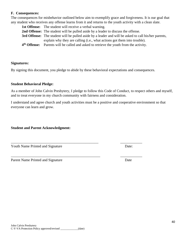#### **F. Consequences:**

The consequences for misbehavior outlined below aim to exemplify grace and forgiveness. It is our goal that any student who receives any offense learns from it and returns to the youth activity with a clean slate.

| <b>1st Offense:</b> The student will receive a verbal warning.                                              |
|-------------------------------------------------------------------------------------------------------------|
| <b>2nd Offense:</b> The student will be pulled aside by a leader to discuss the offense.                    |
| <b>3rd Offense:</b> The student will be pulled aside by a leader and will be asked to call his/her parents, |
| explain why they are calling (i.e., what actions got them into trouble).                                    |
| 4 <sup>th</sup> Offense: Parents will be called and asked to retrieve the youth from the activity.          |

#### **Signatures:**

By signing this document, you pledge to abide by these behavioral expectations and consequences.

#### **Student Behavioral Pledge:**

As a member of John Calvin Presbytery, I pledge to follow this Code of Conduct, to respect others and myself, and to treat everyone in my church community with fairness and consideration.

I understand and agree church and youth activities must be a positive and cooperative environment so that everyone can learn and grow.

\_\_\_\_\_\_\_\_\_\_\_\_\_\_\_\_\_\_\_\_\_\_\_\_\_\_\_\_\_\_\_\_\_\_\_\_\_\_\_\_\_\_\_\_\_\_\_\_ \_\_\_\_\_\_\_\_\_\_\_\_

\_\_\_\_\_\_\_\_\_\_\_\_\_\_\_\_\_\_\_\_\_\_\_\_\_\_\_\_\_\_\_\_\_\_\_\_\_\_\_\_\_\_\_\_\_\_\_\_\_ \_\_\_\_\_\_\_\_\_\_\_\_

**Student and Parent Acknowledgment:**

Youth Name Printed and Signature Date: Date:

Parent Name Printed and Signature Date

40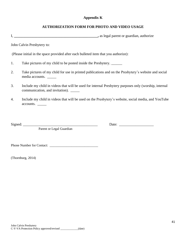## **Appendix K**

# **AUTHORIZATION FORM FOR PHOTO AND VIDEO USAGE**

I, **\_\_\_\_\_\_\_\_\_\_\_\_\_\_\_\_\_\_\_\_\_\_\_\_\_\_\_\_\_\_\_\_\_\_\_\_\_\_\_\_\_\_\_\_\_\_,** as legal parent or guardian, authorize

John Calvin Presbytery to:

(Please initial in the space provided after each bulleted item that you authorize):

- 1. Take pictures of my child to be posted inside the Presbytery. \_\_\_\_\_\_\_\_
- 2. Take pictures of my child for use in printed publications and on the Presbytery's website and social media accounts. \_\_\_\_\_
- 3. Include my child in videos that will be used for internal Presbytery purposes only (worship, internal communication, and invitation). \_\_\_\_\_
- 4. Include my child in videos that will be used on the Presbytery's website, social media, and YouTube accounts. \_\_\_\_\_

Parent or Legal Guardian

Signed: \_\_\_\_\_\_\_\_\_\_\_\_\_\_\_\_\_\_\_\_\_\_\_\_\_\_\_\_\_\_\_\_\_\_\_\_\_\_\_\_\_ Date: \_\_\_\_\_\_\_\_\_\_\_\_\_\_\_\_\_\_\_

Phone Number for Contact: \_\_\_\_\_\_\_\_\_\_\_\_\_\_\_\_\_\_\_\_\_\_\_\_\_\_\_\_\_

(Thornburg, 2014)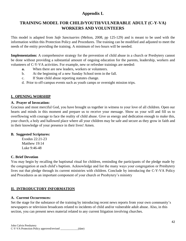# **Appendix L**

# **TRAINING MODEL FOR CHILD/YOUTH/VULNERABLE ADULT (C-Y-VA) WORKERS AND VOLUNTEERS**

This model is adapted from *Safe Sanctuaries* (Melton, 2008, pp 125-129) and is meant to be used with the information within this Protection Policy and Procedures. The training can be modified and adjusted to meet the needs of the entity providing the training. A minimum of two hours will be needed.

**Implementation:** A comprehensive strategy for the prevention of child abuse in a church or Presbytery cannot be done without providing a substantial amount of ongoing education for the parents, leadership, workers and volunteers of C-Y-VA activities. For example, new or refresher trainings are needed:

- **a.** When there are new leaders, workers or volunteers.
- b. At the beginning of a new Sunday School term in the fall.
- c. If State child abuse reporting statutes change.
- d. Prior to off-campus events such as youth camps or overnight mission trips.

# **I. OPENING WORSHIP**

### **A. Prayer of Invocation:**

Gracious and most merciful God, you have brought us together in witness to your love of all children. Open our hearts and minds in this moment and prepare us to receive your message. Show us your will and fill us to overflowing with courage to face the reality of child abuse. Give us energy and dedication enough to make this, your church, a holy and hallowed place where all your children may be safe and secure as they grow in faith and in their knowledge of your presence in their lives! Amen.

### **B. Suggested Scriptures:**

Exodus 22:21-23 Matthew 19:14 Luke 9:46-48

#### **C. Brief Devotion**

You may begin by recalling the baptismal ritual for children, reminding the participants of the pledge made by the congregation at each child's baptism. Acknowledge and list the many ways your congregation or Presbytery lives out that pledge through its current ministries with children. Conclude by introducing the C-Y-VA Policy and Procedures as an important component of your church or Presbytery's ministry

# **II. INTRODUCTORY INFORMATION**

### **A. Current Occurrences:**

Set the stage for the substance of the training by introducing recent news reports from your own community's newspapers or television broadcasts related to incidents of child and/or vulnerable adult abuse. Also, in this section, you can present news material related to any current litigation involving churches.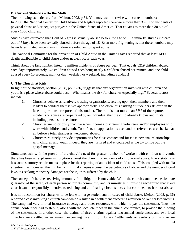# **B. Current Statistics – Do the Math**

The following statistics are from Melton, 2008, p.34. You may want to revise with current numbers: In 2008, the National Center for Child Abuse and Neglect reported there were more than 3 million incidents of physical abuse and/or neglect per year in the United States of America. That equates to more than 30 out of every 1000 children.

Studies have estimated that 1 out of 3 girls is sexually abused before the age of 18. Similarly, studies indicate 1 out of 7 boys have been sexually abused before the age of 18. Even more frightening is that these numbers may be underestimated since many children are reluctant to report abuse.

The National Committee for the prevention of Child Abuse in the United States reported that at least 1490 deaths attributable to child abuse and/or neglect occur each year.

Think about the first number listed: 3 million incidents of abuse per year. That equals 8219 children abused each day; approximately 343 children abused each hour; nearly 6 children abused per minute; and one child abused every 10 seconds, night or day, weekday or weekend, including Sundays!

# **C. The Church at Risk**

In light of the statistics, Melton (2008, pp 35-36) suggests that any organization involved with children and youth is a place where abuse could occur. What makes the risk for churches especially high? Several factors include:

- **1.** Churches behave as relatively trusting organizations, relying upon their members and their leaders to conduct themselves appropriately. Too often, this trusting attitude persists even in the face of questions or reports of misconduct. The truth is that more than 85% of the reported incidents of abuse are perpetrated by an individual that the child already knows and trusts, including persons in the church.
- **2**. Churches are notoriously inactive when it comes to screening volunteers and/or employees who work with children and youth. Too often, no application is used and no references are checked at all before a total stranger is welcomed aboard.
- **3.** Churches routinely provide opportunities for close contact and for close personal relationships with children and youth. Indeed, they are nurtured and encouraged as we try to live out the gospel message.

Simultaneously with the growth of the church's need for greater numbers of workers with children and youth, there has been an explosion in litigation against the church for incidents of child sexual abuse. Every state now has some statutory requirements in place for the reporting of an incident of child abuse. This, coupled with media attention has increased the number of criminal charges against the perpetrators of abuse and the number of civil lawsuits seeking monetary damages for the injuries suffered by the child.

The concept of churches receiving immunity from litigation is not viable. While the church cannot be the absolute guarantor of the safety of each person within its community and its ministries, it must be recognized that every church can be responsibly attentive to reducing and eliminating circumstances that could lead to harm or abuse.

It is not uncommon for churches to be left with large settlements in cases of child abuse. Melton (2008, p. 36) reported a case involving a church camp which resulted in a settlement exceeding a million dollars for two victims. The camp had very limited insurance coverage and other resources with which to pay the settlement. Thus, the annual conference had to step in, along with the local churches in the annual conference, to provide the funding of the settlement. In another case, the claims of three victims against two annual conferences and two local churches were settled in an amount exceeding five million dollars. Settlements or verdicts of this size are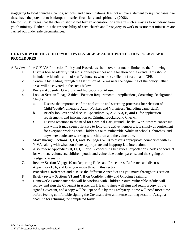staggering to local churches, camps, schools, and denominations. It is not an overstatement to say that cases like these have the potential to bankrupt ministries financially and spiritually (2008).

Melton (2008) urges that the church should not fear an accusation of abuse in such a way as to withdraw from youth ministry. Rather, it is the responsibility of each church and Presbytery to work to assure that ministries are carried out under safe circumstances.

# **III. REVIEW OF THE CHILD/YOUTH/VULNERABLE ADULT PROTECTION POLICY AND PROCEDURES**

A Review of the C-Y-VA Protection Policy and Procedures shall cover but not be limited to the following:

- **1.** Discuss how to identify first aid supplies/practices at the location of the events. This should include the identification of staff/volunteers who are certified in first aid and CPR.
- **2**. Continue by reading through the Definition of Terms near the beginning of the policy. Other areas will be covered in the steps below.
- **3**. Review **Appendix G** Signs and Indications of Abuse.
- **4**. Look at **Section I**, page 3 titled "Position Requirements…Applications, Screening, Background Checks."
	- **a.** Discuss the importance of the application and screening processes for selection of Child/Youth/Vulnerable Adult Workers and Volunteers (including camp staff).
	- **b.** Briefly look over and discuss Appendices **A, A-2, A-3, B, and C** for application requirements and information on Criminal Background Checks.
	- **c.** Discuss reactions to the need for Criminal Background Checks. Work toward consensus that while it may seem offensive to long-time active members, it is simply a requirement for everyone working with Children/Youth/Vulnerable Adults in schools, churches, and anywhere adults are working with children and the vulnerable.
- **5**. Move through **Sections II, III, and IV** (pages 5-10) to discuss appropriate boundaries with C-Y-VAs along with what constitutes appropriate and inappropriate interaction.
- **6**. Also review Appendices **D, H, I, J, and K** concerning behavioral expectations, codes of conduct for workers, volunteers, children, youth, and vulnerable adults, parents, and the signing of pledged covenants.
- **7.** Review **Section V** page 10 on Reporting Rules and Procedures. Reference and discuss Appendices E, F, and G as you move through this section. Procedures. Reference and discuss the different Appendices as you move through this section.
- **8**. Briefly review Sections **VI and VII** on Confidentiality and Ongoing Training.
- **9.** Homework: Participants who will be working with Children/Youth/Vulnerable Adults will review and sign the Covenant in Appendix I. Each trainee will sign and retain a copy of the signed Covenant, and a copy will be kept on file by the Presbytery. Some will need more time before feeling comfortable signing the Covenant after an intense training session. Assign a deadline for returning the completed forms.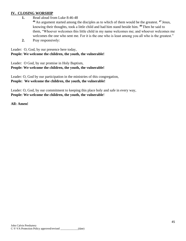### **IV. CLOSING WORSHIP**

**1.** Read aloud from Luke 8:46-48

**<sup>46</sup>** An argument started among the disciples as to which of them would be the greatest. **<sup>47</sup>** Jesus, knowing their thoughts, took a little child and had him stand beside him. **<sup>48</sup>**Then he said to them, "Whoever welcomes this little child in my name welcomes me; and whoever welcomes me welcomes the one who sent me. For it is the one who is least among you all who is the greatest."

**2.** Pray responsively:

Leader: O, God, by our presence here today, **People: We welcome the children, the youth, the vulnerable!**

Leader: O God, by our promise in Holy Baptism, **People: We welcome the children, the youth, the vulnerable!**

Leader: O, God by our participation in the ministries of this congregation, **People: We welcome the children, the youth, the vulnerable!**

Leader: O, God, by our commitment to keeping this place holy and safe in every way, **People: We welcome the children, the youth, the vulnerable**!

**All: Amen!**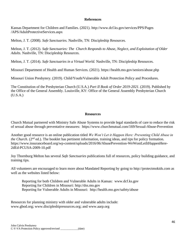#### **References**

Kansas Department for Children and Families. (2021).<http://www.dcf.ks.gov/services/PPS/Pages> /APS/AdultProtectiveServices.aspx

Melton, J. T. (2008). *Safe Sanctuaries.* Nashville, TN: Discipleship Resources.

Melton, J. T. (2012). *Safe Sanctuaries: The Church Responds to Abuse, Neglect, and Exploitation of Older Adults.* Nashville, TN: Discipleship Resources.

Melton, J. T. (2014). *Safe Sanctuaries in a Virtual World.* Nashville, TN: Discipleship Resources.

Missouri Department of Health and Human Services. (2021). https://health.mo.gov/seniors/abuse.php

Missouri Union Presbytery. (2019). Child/Youth/Vulnerable Adult Protection Policy and Procedures.

The Constitution of the Presbyterian Church (U.S.A.) *Part II Book of Order 2019-2021*. (2019). Published by the Office of the General Assembly. Louisville, KY: Office of the General Assembly Presbyterian Church (U.S.A.)

#### **Resources**

Church Mutual partnered with Ministry Safe Abuse Systems to provide legal standards of care to reduce the risk of sexual abuse through preventative measures: https://www.churchmutual.com/169/Sexual-Abuse-Prevention

Another good resource is an online publication titled *We Won't Let it Happen Here: Preventing Child Abuse in the Church.* ( $2<sup>nd</sup>$  ed.). The booklet has pertinent information, training ideas, and tips for policy formation. https://www.insuranceboard.org/wp-content/uploads/2016/06/AbusePrevention-WeWontLetItHappenHere-2dEd-PCUSA-2009-10.pdf

Joy Thornburg Melton has several *Safe Sanctuaries* publications full of resources, policy building guidance, and training tips.

All volunteers are encouraged to learn more about Mandated Reporting by going to [http://protectmokids.com](http://protectmokids.com/) as well as the websites listed below:

Reporting for both Children and Vulnerable Adults in Kansas: www.dcf.ks.gov Reporting for Children in Missouri: [http://dss.mo.gov](http://dss.mo.gov/) Reporting for Vulnerable Adults in Missouri: http://health.mo.gov/safety/abuse

Resources for planning ministry with older and vulnerable adults include: [www.gbod.org;](http://www.gbod.org/) [www.discipleshipresources.org;](http://www.discipleshipresources.org/) and [www.aarp.org](http://www.aarp.org/)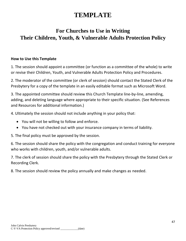# **TEMPLATE**

# **For Churches to Use in Writing Their Children, Youth, & Vulnerable Adults Protection Policy**

# **How to Use this Template**

1. The session should appoint a committee (or function as a committee of the whole) to write or revise their Children, Youth, and Vulnerable Adults Protection Policy and Procedures.

2. The moderator of the committee (or clerk of session) should contact the Stated Clerk of the Presbytery for a copy of the template in an easily editable format such as Microsoft Word.

3. The appointed committee should review this Church Template line-by-line, amending, adding, and deleting language where appropriate to their specific situation. (See References and Resources for additional information.)

4. Ultimately the session should not include anything in your policy that:

- You will not be willing to follow and enforce.
- You have not checked out with your insurance company in terms of liability.

5. The final policy must be approved by the session.

6. The session should share the policy with the congregation and conduct training for everyone who works with children, youth, and/or vulnerable adults.

7. The clerk of session should share the policy with the Presbytery through the Stated Clerk or Recording Clerk.

8. The session should review the policy annually and make changes as needed.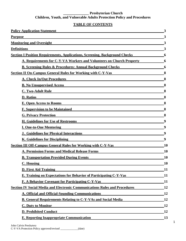#### **\_\_\_\_\_\_\_\_\_\_\_\_\_\_ Presbyterian Church Children, Youth, and Vulnerable Adults Protection Policy and Procedures**

# **TABLE OF CONTENTS**

| <b>Policy Application Statement</b>                                                | 3                |
|------------------------------------------------------------------------------------|------------------|
| <b>Purpose</b><br><u> 1980 - Johann Stein, Amerikaansk politiker (</u>             | 3                |
| <b>Monitoring and Oversight</b>                                                    |                  |
| <b>Definitions</b>                                                                 | 3                |
| <b>Section I Position Requirements, Applications, Screening, Background Checks</b> | 6                |
| A. Requirements for C-Y-VA Workers and Volunteers on Church Property               | 6                |
| <b>B. Screening Rules &amp; Procedures: Annual Background Checks</b>               | 6                |
| <b>Section II On-Campus General Rules for Working with C-Y-Vas</b>                 | 8                |
| <b>A. Check In/Out Procedures</b>                                                  | 8                |
| <b>B. No Unsupervised Access</b>                                                   | 8                |
| <b>C. Two-Adult Rule</b>                                                           | 8                |
| <b>D.</b> Ratios                                                                   | 8                |
| <b>E. Open Access to Rooms</b>                                                     | 8                |
| <b>F. Supervision to be Maintained</b>                                             | 8                |
| <b>G. Privacy Protection</b>                                                       | 8                |
| H. Guidelines for Use of Restrooms                                                 | 9                |
| <b>I. One-to-One Mentoring</b>                                                     | 9                |
| <b>J. Guidelines for Physical Interactions</b>                                     | $\boldsymbol{Q}$ |
| K. Guidelines for Disciplining                                                     | 9                |
| <b>Section III Off-Campus General Rules for Working with C-Y-Vas</b>               | 10               |
| <b>A. Permission Forms and Medical Release Forms</b>                               | 10               |
| <b>B. Transportation Provided During Events</b>                                    | 10               |
| C. Housing                                                                         | 10               |
| <b>D. First Aid Training</b>                                                       | 11               |
| <b>E. Training on Expectations for Behavior of Participating C-Y-Vas</b>           | 11               |
| F. A Behavior Covenant for Participating C-Y-Vas                                   | 11               |
| <b>Section IV Social Media and Electronic Communications Rules and Procedures</b>  | 12               |
| <b>A. Official and Official-Sounding Communications</b>                            | 12               |
| <b>B. General Requirements Relating to C-Y-VAs and Social Media</b>                | 12               |
| <b>C. Duty to Monitor</b>                                                          | 12               |
| <b>D. Prohibited Conduct</b>                                                       | 12               |
| <b>E. Reporting Inappropriate Communication</b>                                    | 13               |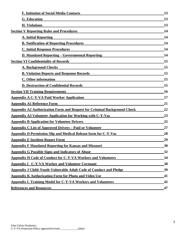| <b>F. Initiation of Social Media Contacts</b>                                   | 13 |
|---------------------------------------------------------------------------------|----|
| <b>G.</b> Education                                                             | 13 |
| <b>H.</b> Violations                                                            | 13 |
| <b>Section V Reporting Rules and Procedures</b>                                 | 14 |
| <b>A. Initial Reporting</b>                                                     | 14 |
| <b>B. Notification of Reporting Procedures</b>                                  | 14 |
| <b>C. Initial Response Procedures</b>                                           | 14 |
| <b>D. Mandated Reporting – Governmental Reporting</b>                           | 14 |
| <b>Section VI Confidentiality of Records</b>                                    | 15 |
| <b>A. Background Checks</b>                                                     | 15 |
| <b>B. Violation Reports and Response Records</b>                                | 15 |
| C. Other information                                                            | 15 |
| <b>D. Destruction of Confidential Records</b>                                   | 15 |
| <b>Section VII Training Requirements</b>                                        | 16 |
| <b>Appendix A C-Y-VA Paid Worker Application</b>                                | 17 |
| <b>Appendix A1 Reference Form</b>                                               | 21 |
| <b>Appendix A2 Authorization Form and Request for Criminal Background Check</b> | 22 |
| <b>Appendix A3 Volunteer Application for Working with C-Y-Vas</b>               | 23 |
| <b>Appendix B Application for Volunteer Drivers</b>                             | 25 |
| <b>Appendix C List of Approved Drivers – Paid or Volunteer</b>                  | 27 |
| <b>Appendix D Permission Slip and Medical Release form for C-Y-Vas</b>          | 28 |
| <b>Appendix E Incident Report Form</b>                                          | 29 |
| <b>Appendix F Mandated Reporting for Kansas and Missouri</b>                    | 30 |
| <b>Appendix G Possible Signs and Indicators of Abuse</b>                        | 32 |
| <b>Appendix H Code of Conduct for C-Y-VA Workers and Volunteers</b>             | 34 |
| <b>Appendix I C-Y-VA Worker and Volunteer Covenant</b>                          | 38 |
| <b>Appendix J Child-Youth-Vulnerable Adult Code of Conduct and Pledge</b>       | 39 |
| <b>Appendix K Authorization Form for Photo and Video Use</b>                    | 41 |
| <b>Appendix L Training Model for C-Y-VA Workers and Volunteers</b>              | 42 |
| <b>References and Resources</b>                                                 | 47 |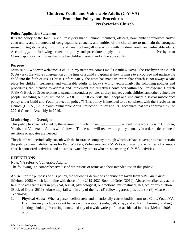# **Children, Youth, and Vulnerable Adults (C-Y-VA) Protection Policy and Procedures**

**\_\_\_\_\_\_\_\_\_\_\_\_\_\_\_\_\_\_\_\_ Presbyterian Church**

### **Policy Application Statement**

It is the policy of the John Calvin Presbytery that all church members, officers, nonmember employees and/or contractors, and volunteers of congregations, councils, and entities of the church are to maintain the strongest sense of integrity, safety, nurturing, and care involving all interactions with children, youth, and vulnerable adults. Accordingly, the following protection policy and procedures apply to all Presbyterian Church sponsored activities that involve children, youth, and vulnerable adults.

### **Purpose**

Jesus said, "Whoever welcomes a child in my name welcomes me." (Matthew 18:5). The Presbyterian Church (USA) asks the whole congregation at the time of a child's baptism if they promise to encourage and nurture the child into the faith of Jesus Christ. Unfortunately, the news has made us aware that church is not always a safe place for children, teenagers, and vulnerable adults in today's world. Accordingly, the following policies and procedures are intended to address and implement the directives contained within the Presbyterian Church (USA)'s Book of Order relating to sexual misconduct policies as they impact youth, children and other vulnerable people, including but not limited to G-3.0106. ("All councils shall adopt and implement a sexual misconduct policy and a Child and Youth protection policy.") This policy is intended to be consistent with the Presbyterian Church (U.S.A.) Child/Youth/Vulnerable Adult Protection Policy and Its Procedures that was approved by the 222nd General Assembly in 2016.

# **Monitoring and Oversight**

This policy has been adopted by the session of this church on  $\Box$  and all those working with Children, Youth, and Vulnerable Adults will follow it. The session will review this policy annually in order to determine if revisions or updates are needed.

The church will periodically consult with the insurance company through which we have coverage to make certain the policy covers liability issues for Paid Workers, Volunteers, and C-Y-VAs at on-campus activities, off-campus church-sponsored activities, and at camps owned by others who are sponsoring C-Y-VA activities.

### **DEFINITIONS**

Note: VA refers to Vulnerable Adults.

The following is a comprehensive list of definitions of terms and their intended use in this policy:

**Abuse**: For the purposes of this policy, the following definitions of abuse are taken from *Safe Sanctuaries* (Melton, 2008) which fall in line with those of the 2019-2021 Book of Order (2019). Abuse describes any act or failure to act that results in physical, sexual, psychological, or emotional mistreatment, neglect, or exploitation (Book of Order, 2019). Abuse may fall within any of the five (5) following areas plus item six (6) Misuse of Technology.

**1. Physical Abuse:** When a person deliberately and intentionally causes bodily harm to a Child/Youth/VA. Examples may include violent battery with a weapon (knife, belt, strap, and so forth), burning, shaking, kicking, choking, fracturing bones, and any of a wide variety of non-accidental injuries (Melton, 2008, p. 30).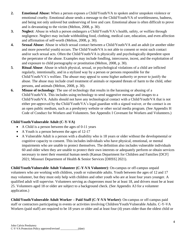- **2. Emotional Abuse:** When a person exposes a Child/Youth/VA to spoken and/or unspoken violence or emotional cruelty. Emotional abuse sends a message to the Child/Youth/VA of worthlessness, badness, and being not only unloved but undeserving of love and care. Emotional abuse is often difficult to prove and is devastating to the victim (Melton, 2008, p. 30).
- **3. Neglect**: Abuse in which a person endangers a Child/Youth/VA's health, safety, or welfare through negligence. Neglect may include withholding food, clothing, medical care, education, and even affection and affirmation of self-worth (Melton, 2008, p. 30).
- **4. Sexual Abuse:** Abuse in which sexual contact between a Child/Youth/VA and an adult (or another older and more powerful youth) occurs. The Child/Youth/VA is not able to consent or resist such contact and/or such sexual acts. Often the Child/Youth/VA is physically and psychologically dependent upon the perpetrator of the abuse. Examples may include fondling, intercourse, incest, and the exploitation of and exposure to child pornography or prostitution (Melton, 2008, p. 30).
- **5**. **Ritual Abuse**: Abuse in which physical, sexual, or psychological violations of a child are inflicted regularly, intentionally, and in a stylized way by a person or persons responsible for the Child/Youth/VA's welfare. The abuser may appeal to some higher authority or power to justify the abuse. The abuse may include cruel treatment of animals or repeated threats of harm to the child, other persons, and animals (Melton, 2008, p. 30).
- **6. Misuse of technology**: The use of technology that results in the harassing or abusing of a Child/Youth/VA. This includes using technology to send suggestive message and images to a Child/Youth/VA. Adults should not have any technological contact with a Child/Youth/VA that is not either pre-approved by the Child/Youth/VA's legal guardian with a signed waiver, or the contact is on an open public medium, such as a presbytery website or other social media program. (See Appendix H Code of Conduct for Workers and Volunteers. See Appendix I Covenant for Workers and Volunteers.)

# **Child/Youth/Vulnerable Adult (C-Y-VA)**

- A Child is a person between the ages of 0-11 years
- A Youth is a person between the ages of 12-17
- A Vulnerable Adult is a person with a disability who is 18 years or older without the developmental or cognitive capacity to consent. This includes individuals who have physical, emotional, or mental impairments who are unable to protect themselves. The definition also includes vulnerable individuals 60 and older when they are unable to protect their own interests or adequately perform or obtain services necessary to meet their essential human needs (Kansas Department for Children and Families [DCF] 2021; Missouri Department of Health & Senior Services [DHSS] 2021).

**Child/Youth/Vulnerable Adult Volunteer (C-Y-VA Volunteer)**: On-campus or off-campus unpaid volunteers who are working with children, youth or vulnerable adults. Youth between the ages of 12 and 17 may volunteer, but they must only help with children and other youth who are at least four years younger. A qualified adult will supervise. Volunteers serving as chaperones must be at least 18, and drivers must be at least 25. Volunteers aged 18 or older are subject to a background check. (See Appendix A3 for a volunteer application.)

**Child/Youth/Vulnerable Adult Worker – Paid Staff (C-Y-VA Worker)**: On-campus or off-campus paid staff or contractors participating in events or activities involving Children/Youth/Vulnerable Adults. C-Y-VA Workers (paid staff) are required to be 18 years or older and at least four (4) years older than the oldest child or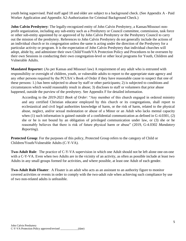youth being supervised. Paid staff aged 18 and older are subject to a background check. (See Appendix A - Paid Worker Application and Appendix A2-Authorization for Criminal Background Check.)

**John Calvin Presbytery**: The legally-recognized entity of John Calvin Presbytery, a Kansas/Missouri nonprofit organization, including any sub-entity such as a Presbytery or Council committee, commission, task force or other sub-entity appointed by or approved of by John Calvin Presbytery or the Presbytery Council to carry out the mission of the presbytery. References to John Calvin Presbytery do not generally include the actions of an individual church or its congregation unless the same is acting under the direction of the Presbytery for a particular activity or program. It is the expectation of John Calvin Presbytery that individual churches will adopt, abide by, and administer their own Child/Youth/VA Protection Policy and Procedures to be overseen by their own Sessions in conducting their own congregation-level or other local programs for Youth, Children and Vulnerable Adults.

**Mandated Reporter:** (As per Kansas and Missouri law) A requirement of any adult who is entrusted with responsibility or oversight of children, youth, or vulnerable adults to report to the appropriate state agency and any other persons required by the PCUSA's Book of Order if they have reasonable cause to suspect that one of these persons: 1.) has been subjected to abuse by staff or other participants; 2) is subjected to conditions and circumstances which would reasonably result in abuse; 3) discloses to staff or volunteers that prior abuse happened, outside the purview of the presbytery. See Appendix F for detailed information.

According to the *2019-2021 Book of Order*: "Any member of this church engaged in ordered ministry and any certified Christian educator employed by this church or its congregations, shall report to ecclesiastical and civil legal authorities knowledge of harm, or the risk of harm, related to the physical abuse, neglect, and/or sexual molestation or abuse of a Minor or an Adult who lacks mental capacity when (1) such information is gained outside of a confidential communication as defined in G-4.0301, (2) she or he is not bound by an obligation of privileged communication under law, or (3) she or he reasonably believes that there is risk of future physical harm or abuse" (2019, G-4.0302 *Mandatory Reporting*).

**Protected Group**: For the purposes of this policy, Protected Group refers to the category of Child or Children/Youth/Vulnerable Adults (C-Y-VA).

**Two-Adult Rule**: The practice of C-Y-VA supervision in which one Adult should not be left alone one-on-one with a C-Y-VA. Even when two Adults are in the vicinity of an activity, as often as possible include at least two Adults in any small groups formed for activities, and where possible, at least one Adult of each gender.

**Two-Adult Rule Floater**: A Floater is an adult who acts as an assistant to an authority figure to monitor covered activities or events in order to comply with the two-adult rule when achieving such compliance by use of two non-related adults is unfeasible.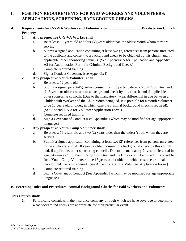# **I. POSITION REQUIREMENTS FOR PAID WORKERS AND VOLUNTEERS: APPLICATIONS, SCREENING, BACKGROUND CHECKS**

# **A. Requirements for C-Y-VA Workers and Volunteers on \_\_\_\_\_\_\_\_\_\_\_\_\_\_\_\_\_\_ Presbyterian Church Property**

# **1. Any prospective C-Y-VA Worker shall:**

- **a.** Be at least 18-years-old and four (4) years older than the oldest Youth whom they are serving.
- **b.** Submit a signed application containing at least two (2) references from persons unrelated to the applicant and consent to a background check to be obtained by this church and, if applicable, other sponsoring councils. (See Appendix A for Application and Appendix A2 for Authorization Form for Criminal Background Check.)
- **c.** Complete required training.
- **d**. Sign a Conduct Covenant. (see Appendix I)

# **2. Any prospective Youth Volunteer shall:**

- **a**. Be at least 12 years old.
- **b.** Submit a signed parental/guardian consent form to participate as a Youth Volunteer and, if 18 years or older, consent to a background check by this church, and if applicable, other sponsoring councils. (Due to the mandatory 4-year differential in age between a Child/Youth Worker and the Child/Youth being led, it is possible for a Youth Volunteer to be 18 years old or older, in which case the criminal background check is required). (See Appendix A-3 for Volunteer Application Form.)
- **c** Complete required training.
- **d.** Sign a Covenant of Conduct (See Appendix I which may be modified for age-appropriate language.)

# **3. Any prospective Youth Camp Volunteer shall:**

- **a**. Be at least 16-years-old and two (2) years older than the oldest Youth whom they are serving.
- **b.** Submit a signed application containing at least two (2) references from persons unrelated to the applicant, and, if 18 years or older, consent to a background check by this church and, if applicable, other sponsoring councils. Due to the mandatory 2- year differential in age between a Child/Youth Camp Volunteer and the Child/Youth being led, it is possible for a Youth Camp Volunteer to be 18 years old or older, in which case the criminal background check is required. (See Appendix A3 for a Volunteer Application Form.)
- **c.** Complete required training.
- **d**. Sign a Covenant of Conduct (See Appendix I which may be modified for age-appropriate language.)

# **B. Screening Rules and Procedures: Annual Background Checks for Paid Workers and Volunteers**

# **This Church shall:**

**1.** Periodically consult with the insurance company through which we have coverage to determine what background checks are appropriate for their particular event.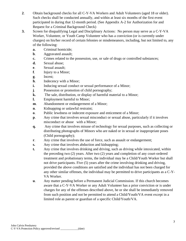- **2**. Obtain background checks for all C-Y-VA Workers and Adult Volunteers (aged 18 or older). Such checks shall be conducted annually, and within at least six months of the first event participated in during that 12-month period. (See Appendix A-2 for Authorization for and Request for a Criminal Background Check)
- **3.** Screen for disqualifying Legal and Disciplinary Actions: No person may serve as a C-Y-VA Worker, Volunteer, or Youth Camp Volunteer who has a conviction (or is currently under charges) on his/her record of certain felonies or misdemeanors, including, but not limited to, any of the following:
	- **a.** Criminal homicide;
	- **b**. Aggravated assault;
	- **c.** Crimes related to the possession, use, or sale of drugs or controlled substances;
	- **d.** Sexual abuse;
	- **e**. Sexual assault;
	- **f**. Injury to a Minor;
	- **g**. Incest;
	- **h**. Indecency with a Minor;
	- **i.** Inducing sexual conduct or sexual performance of a Minor;
	- **j**. Possession or promotion of child pornography;
	- **k.** The sale, distribution, or display of harmful material to a Minor;
	- **l.** Employment harmful to Minor;
	- **m**. Abandonment or endangerment of a Minor;
	- **n.** Kidnapping or unlawful restraint;
	- **o**. Public lewdness or indecent exposure and enticement of a Minor;
	- **p**. Any crime that involves sexual misconduct or sexual abuse, particularly if it involves misconduct or abuse with a Minor;
	- **q.** Any crime that involves misuse of technology for sexual purposes, such as collecting or distributing photographs of Minors who are naked or in sexual or inappropriate poses (Child pornography);
	- **r.** Any crime that involves the use of force, such as assault or endangerment;
	- **s.** Any crime that involves abduction and kidnapping;
	- **t.** Any crime that involves drinking and driving, such as driving while intoxicated, within the preceding two (2) years. After two (2) years and completion of any court-ordered treatment and probationary terms, the individual may be a Child/Youth Worker but shall not drive participants. Five (5) years after the crime involving drinking and driving, provided the above conditions are satisfied and the individual has not been charged for any other similar offenses, the individual may be permitted to drive participants as a C-Y-VA Worker.
	- **u**. Any matter pending before a Permanent Judicial Commission. If this church becomes aware that a C-Y-VA Worker or any Adult Volunteer has a prior conviction or is under charges for any of the offenses described above, he or she shall be immediately removed from such position and not be permitted to attend a Child/Youth/VA event except in a limited role as parent or guardian of a specific Child/Youth/VA.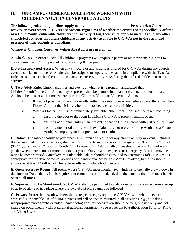# **II. ON-CAMPUS GENERAL RULES FOR WORKING WITH CHILDREN/YOUTH/VULNERABLE ADULTS**

**The following rules and guidelines apply to any \_\_\_\_\_\_\_\_\_\_\_\_\_\_\_\_\_\_\_\_\_\_\_\_\_Presbyterian Church activity or event where C-Y-VAs are present, regardless of whether the event is being specifically offered as a Child/Youth/Vulnerable Adult event or activity. Thus, these rules apply to meetings and any other church-led activities that offers childcare or any activity available to C-Y-VAs not in the continued presence of their parents or guardians.** 

# **Whenever Children, Youth, or Vulnerable Adults are present….**

**A. Check In/Out Procedures**: All Children's programs will require a parent or other responsible Adult to check in/out each Child upon entering or leaving the program.

**B. No Unsupervised Access:** When any childcare or any activity is offered for C-Y-VAs during any church event, a sufficient number of Adults shall be assigned to supervise the same, in compliance with the Two-Adult Rule, so as to ensure that there is no unsupervised access to C-Y-VAs during the offered childcare or other activity.

**C. Two-Adult Rule:** Church activities and events at which it is reasonably anticipated that

Children/Youth/Vulnerable Adults may be present shall be planned in a manner that enables two unrelated Adults to be present at all times where there are Children, Youth, or Vulnerable Adults.

- **1.** If it is not possible to have two Adults within the same room or immediate space, there shall be a Floater Adult in the vicinity who is able to freely check on activities.
- **2.** When a Floater Adult is not immediately available, other precautions shall be taken, including
	- **a**. ensuring the door to the room in which a C-Y-VA is present remains open,
	- **b.** ensuring additional Children are present so that no Child is alone with just one Adult, and
	- **c**. ensuring the period during which two Adults are not present (or one Adult and a Floater Adult) is temporary and not predictable or routine.

**D. Ratios:** The ratio of Adults to participating Children and Youth for any church activity or event, including the provision of childcare services, shall be 2:8 for infants and toddlers (birth - age 2), 2:10 ratio for Children (3 - 11 years), and 2:12 ratio for Youth (12 - 17 years old). Additionally, there should be one Adult of each gender when there is one or more minors in a group. Only in an unexpected or emergency situation may the ratios be compromised. Caretakers of Vulnerable Adults should be consulted to determine Staff-to-VA ratios appropriate for the developmental abilities of the individual Vulnerable Adults involved, but ratios should always be at least 1 Staff to 5 Vulnerable Adults and include both genders.

**E. Open Access to Rooms**: All rooms where C-Y-VAs meet should have windows to the hallway, windows in the doors or Dutch doors. If this requirement cannot be accommodated, then the doors to the room must be left open at all times.

**F. Supervision to be Maintained**: No C-Y-VA shall be permitted to walk alone or to walk away from a group so as to be alone or in a place where the Two-Adult Rule cannot be followed.

**G. Privacy Protection**: Adult workers should respect the privacy of the C-Y-VAs with whom they are entrusted. Responsible use of digital devices and cell phones is required in all situations, *e.g.,* not taking inappropriate photographs or videos. Any photographs or videos taken should be for group use only and not shared on social media without parental/guardian permission. (See Appendix K Authorization Form for Photo and Video Use.)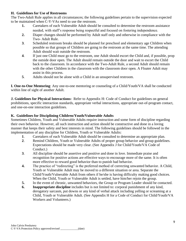## **H. Guidelines for Use of Restrooms**

The Two-Adult Rule applies in all circumstances; the following guidelines pertain to the supervision expected to be maintained when C-Y-VAs need to use the restroom.

- **1.** Caretakers of each Vulnerable Adult should be consulted to determine the restroom assistance needed, with staff's response being respectful and focused on fostering independence.
- **2.** Diaper changes should be performed by Adult staff only and otherwise in compliance with the Two- Adult Rule.
- **3**. Scheduled restroom breaks should be planned for preschool and elementary age Children when possible so that groups of Children are going to the restroom at the same time. The attending Adult should wait outside the restroom.
- **4**. If just one Child must go to the restroom, one Adult should escort the Child and, if possible, prop the outside door open. The Adult should remain outside the door and wait to escort the Child back to the classroom. In accordance with the Two-Adult Rule, a second Adult should remain with the other Children in the classroom with the classroom door open. A Floater Adult may assist in this process.
- **5**. Adults should not be alone with a Child in an unsupervised restroom.

**I. One-to-One Mentoring**: Any one-to-one mentoring or counseling of a Child/Youth/VA shall be conducted within line of sight of another Adult.

**J. Guidelines for Physical Interactions:** Refer to Appendix H: Code of Conduct for guidelines on general prohibitions, specific interaction standards, appropriate verbal interactions, appropriate out-of-program contact, and one-on-one interaction guidelines.

# **K. Guidelines for Disciplining Children/Youth/Vulnerable Adults**

Sometimes Children, Youth and Vulnerable Adults require instruction and some form of discipline regarding their own behavior. However, all such instruction and action should be constructive and done in a loving manner that keeps their safety and best interests in mind. The following guidelines should be followed in the implementation of any discipline for Children, Youth or Vulnerable Adults:

- **1**. Caretakers of each Vulnerable Adult should be consulted to determine an appropriate plan.
- **2**. Remind Children, Youth or Vulnerable Adults of proper group behavior and group guidelines. Expectations should be made very clear. (See Appendix J for Child/Youth/VA Code of Conduct.)
- **3**. All discipline should be assertive and positive and done in love. Immediate praise and recognition for positive actions are effective ways to encourage more of the same. It is often more effective to reward good behavior than to punish bad behavior.
- **4.** The practice of "redirecting" is the preferred method of correcting unwanted behavior. A Child, Youth or Vulnerable Adult may be moved to a different situation or area. Separate the Child/Youth/Vulnerable Adult from others if he/she is having difficulty making good choices. When the Child, Youth or Vulnerable Adult is settled, have him/her rejoin the group.
- **5.** In the event of chronic, unwanted behaviors, the Group or Program Leader should be contacted.
- **6. Inappropriate discipline** includes but is not limited to: corporal punishment of any kind, derogatory sarcasm, put downs or any kind of verbal attack including yelling or screaming at a Child, Youth or Vulnerable Adult. (See Appendix H for a Code of Conduct for Child/Youth/VA Workers and Volunteers.)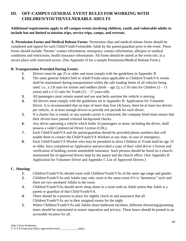# **III. OFF-CAMPUS GENERAL EVENT RULES FOR WORKING WITH CHILDREN/YOUTH/VULNERABLE ADULTS**

# **Additional requirements apply to off-campus events involving children, youth, and vulnerable adults to include but not limited to mission trips, service trips, camps, and retreats.**

**A**. **Permission Forms and Medical Release Forms**: Permission slips and medical release forms should be completed and signed for each Child/Youth/Vulnerable Adult by the parent/guardian prior to the event. These forms should include: Parents' contact information; emergency contact information; allergies or medical conditions and restrictions; health insurance information. All forms should be stored at the event site, in a secure place with restricted access. (See Appendix D for a sample Permission/Medical Release Form.)

# **B. Transportation Provided During Events**:

- **1**. Drivers must be age 25 or older and must comply with the guidelines in Appendix B
- **2.** The same general Adult/Child or Adult/Youth ratios applicable to Children/Youth/VA events shall be maintained during transportation within the safe loading limits of all vehicles being used: i.e., a 2:8 ratio for infants and toddlers (birth – age 2); a 2:10 ratio for Children  $(3 - 11)$ years) and a 2:12 ratio for Youth  $(12 – 17$  years old).
- **3.** All passengers must remain seated and use seat belts anytime the vehicle is moving.
- **4.** All drivers must comply with the guidelines set in Appendix B: Application for Volunteer Driver. It is recommended that on trips of more than four (4) hours, there be at least two drivers per vehicle, or at least enough drivers to provide rest periods for each driver.
- **5.** If a charter bus is rented, or any outside carrier is contracted, the company hired must ensure that their drivers have passed criminal background checks.
- **6.** Any driver operating a vehicle which holds 16 passengers or more, including the driver, shall possess a valid Commercial Driver License (CDL).
- **7.** Each Child/Youth/VA and the parent/guardian should be provided phone numbers that will enable them to contact the Child/Youth/VA Workers at any time, in case of emergency.
- **8.** Each Child/Youth/VA Worker who may be permitted to drive Children or Youth shall be age 25 or older, have completed an Application and provided a copy of their valid driver's license and verification of holding current automobile insurance. Such persons should be listed on a churchmaintained list of approved drivers kept by the pastor and the church office. (See Appendix B Application for Volunteer Driver and Appendix C List of Approved Drivers.)

# **C. Housing:**

- **1.** Children/Youth/VAs should room with Children/Youth/VAs of the same age range and gender.
- **2.** Children/Youth/VAs and Adults may only room in the same room if it is "dormitory" style and there are two unrelated Adults in the room.
- **3.** Children/Youth/VAs should never sleep alone in a room with an Adult unless that Adult is a parent or guardian of that Child/Youth/VA.
- **4.** There should be a process in place for nightly check-in and assurance that all Children/Youth/VAs are in their assigned rooms for the night.
- **5.** Where Children/Youth/VAs and Adults share bathroom facilities, different showering/grooming times should be maintained to ensure separation and privacy. These hours should be posted in an accessible location for all.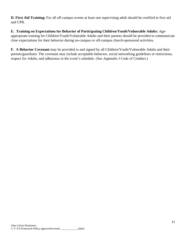**D. First Aid Training:** For all off-campus events at least one supervising adult should be certified in first aid and CPR.

**E. Training on Expectations for Behavior of Participating Children/Youth/Vulnerable Adults:** Ageappropriate training for Children/Youth/Vulnerable Adults and their parents should be provided to communicate clear expectations for their behavior during on-campus or off-campus church-sponsored activities.

**F. A Behavior Covenant** may be provided to and signed by all Children/Youth/Vulnerable Adults and their parents/guardians. The covenant may include acceptable behavior, social networking guidelines or restrictions, respect for Adults, and adherence to the event's schedule. (See Appendix J Code of Conduct.)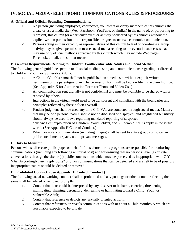# **IV. SOCIAL MEDIA / ELECTRONIC COMMUNICATIONS RULES & PROCEDURES**

# **A. Official and Official-Sounding Communications**:

- **1**. No person (including employees, contractors, volunteers or clergy members of this church) shall create or use a media site (Web, Facebook, YouTube, or similar) in the name of, or purporting to represent, this church (or a particular event or activity sponsored by this church) without the explicit written permission of the responsible designee to oversee electronic communication.
- **2.** Persons acting in their capacity as representatives of this church to lead or coordinate a group activity may be given permission to use social media relating to the event; in such cases, each may use only official methods approved by this church which may include Web pages, Facebook, e-mail, and similar means.

# **B. General Requirements Relating to Children/Youth/Vulnerable Adults and Social Media:**

The following general guidelines pertain to all social media posting and communications regarding or directed to Children, Youth, or Vulnerable Adults:

- **1.** A Child's/Youth's name shall not be published on a media site without explicit written permission of the parent/guardian. The permission form will be kept on file in the church office. (See Appendix K for Authorization Form for Photo and Video Use.)
- **2.** All communication sent digitally is not confidential and must be available to be shared with or reposted by others.
- **3.** Interactions in the virtual world need to be transparent and compliant with the boundaries and principles reflected by these policies overall.
- **4.** Prudent judgment shall be used any time C-Y-VAs are contacted through social media. Matters that may be of a personal nature should not be discussed or displayed, and heightened sensitivity should always be used. Laws regarding mandated reporting of suspected abuse/neglect/exploitation of Children, Youth, elders, and Vulnerable Adults apply in the virtual world. (See Appendix H Code of Conduct.)
- **5.** When possible, communication (including images) shall be sent to entire groups or posted in public social media space, not in private messages.

# **C. Duty to Monitor:**

Persons who shall create public pages on behalf of this church or its programs are responsible for monitoring communications (including any following an initial post) and for ensuring that no persons have: (a) private conversations through the site or (b) public conversations which may be perceived as inappropriate with C-Y-VAs. Accordingly, any "reply posts" or other communications that can be detected and are felt to be of possibly inappropriate nature should be deleted or removed.

# **D. Prohibited Conduct: (See Appendix H Code of Conduct.)**

The following social networking conduct shall be prohibited and any postings or other content reflecting the same shall be deleted or removed promptly:

- **1.** Content that is or could be interpreted by any observer to be harsh, coercive, threatening, intimidating, shaming, derogatory, demeaning or humiliating toward a Child, Youth or Vulnerable Adult;
- **2.** Content that reference or depicts any sexually oriented activity;
- **3.** Content that references or reveals communications with or about a Child/Youth/VA which are reasonably expected to be private.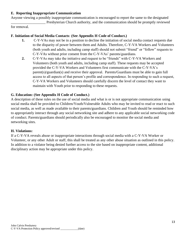# **E. Reporting Inappropriate Communication**

Anyone viewing a possibly inappropriate communication is encouraged to report the same to the designated Presbyterian Church authority, and the communication should be promptly reviewed

for removal.

### **F. Initiation of Social Media Contacts**: **(See Appendix H Code of Conduct.)**

- **1.** C-Y-VAs may not be in a position to decline the initiation of social media contact requests due to the disparity of power between them and Adults. Therefore, C-Y-VA Workers and Volunteers (both youth and adults, including camp staff) should not submit "friend" or "follow" requests to C-Y-VAs without prior consent from the C-Y-VAs' parents/guardians.
- **2.** C-Y-VAs may take the initiative and request to be "friends" with C-Y-VA Workers and Volunteers (both youth and adults, including camp staff). These requests may be accepted provided the C-Y-VA Workers and Volunteers first communicate with the C-Y-VA's parent(s)/guardian(s) and receive their approval. Parents/Guardians must be able to gain full access to all aspects of that person's profile and correspondence. In responding to such a request, C-Y-VA Workers and Volunteers should carefully discern the level of contact they want to maintain with Youth prior to responding to these requests.

#### **G. Education: (See Appendix H Code of Conduct.)**

A description of these rules on the use of social media and what is or is not appropriate communication using social media shall be provided to Children/Youth/Vulnerable Adults who may be invited to read or react to such social media, as well as made available to their parents/guardians. Children and Youth should be reminded how to appropriately interact through any social networking site and adhere to any applicable social networking code of conduct. Parents/guardians should periodically also be encouraged to monitor the social media and networking sites.

#### **H. Violations:**

If a C-Y-VA reveals abuse or inappropriate interactions through social media with a C-Y-VA Worker or Volunteer, or any other Adult or staff, this shall be treated as any other abuse situation as outlined in this policy. In addition to a violator being denied further access to the site based on inappropriate content, additional disciplinary action may be appropriate under this policy.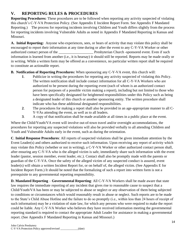# **V. REPORTING RULES & PROCEDURES**

**Reporting Procedures:** These procedures are to be followed when reporting any activity suspected of violating this church's C-Y-VA Protection Policy. (See Appendix E Incident Report Form. See Appendix F Mandated Reporting.) The process for reporting incidents involving Children and Youth differs slightly from the process for reporting incidents involving Vulnerable Adults as noted in Appendix F Mandated Reporting in Kansas and Missouri.

**A. Initial Reporting:** Anyone who experiences, sees, or hears of activity that may violate this policy shall be encouraged to report their information at any time during or after the event to any C-Y-VA Worker or other authorized contact person of the **Example 2** Presbyterian Church -sponsored event. Even if such information is learned from another (i.e., it is hearsay) it should still be reported. Reports may be made orally or in writing. While a written form may be offered as a convenience, no particular written report shall be required to constitute an actionable report.

# **B. Notification of Reporting Procedures:** When sponsoring any C-Y-VA event, this church will:

- **1**. Publicize in writing the procedures for reporting any activity suspected of violating this Policy. The written notification shall include contact information for all C-Y-VA Workers who are authorized to be present during the reporting event (each of whom is an authorized contact person for purposes of a possible victim making a report), including but not limited to those who have been specifically designated for heightened responsibilities under this Policy such as being a designated leader of this church or another sponsoring entity. The written procedure shall indicate who has these additional designated responsibilities.
- **2**. The procedures for making a report shall also be provided in an age-appropriate manner to all C-Y-VAs attending the event, as well as to all leaders.
- **3**. A copy of that notification shall be made available at all times in a public place at the event.

Where the Child/Youth/VA event will involve out-of-town travel and/or overnight accommodations, the procedures for reporting any suspected violations will also be provided verbally to all attending Children and Youth and Vulnerable Adults early in the event, such as during the orientation.

**C**. **Initial Response Procedures**: All reports of suspected violations shall be given immediate attention by the Event Leader(s) and others authorized to receive such information. Upon receiving any report of activity which may violate this Policy (whether or not in writing), a C-Y-VA Worker or other authorized contact person shall, after ensuring any C-Y-VA who is the alleged victim is safe, immediately share such information with the event leader (pastor, session member, event leader, etc.). Contact shall also be promptly made with the parents or guardian of the C-Y-VA. Once the safety of the alleged victim of any suspected conduct is assured, event leader(s) will obtain a written Incident Report for, or on behalf of, the alleged victim. (See Appendix E for Incident Report Form.) It should be noted that the formalizing of such a report into written form is not a prerequisite to any governmental reporting responsibility.

**D. Mandated Reporting** – **Governmental Reporting**: All C-Y-VA Workers shall be made aware that state law requires the immediate reporting of any incident that gives rise to reasonable cause to suspect that a Child/Youth/VA has been or may be subjected to abuse or neglect or any observation of them being subjected to conditions or circumstances which would reasonably result in abuse or neglect. Such reports are to be made to the State's Child Abuse Hotline and the failure to do so promptly (i.e., within less than 24 hours of receipt of such information) may be a violation of state law, for which any persons who were required to make the report could be liable. Any C-Y-VA Worker who believes they have received information meeting the governmental reporting standard is required to contact the appropriate Adult Leader for assistance in making a governmental report. (See Appendix F Mandated Reporting in Kansas and Missouri.)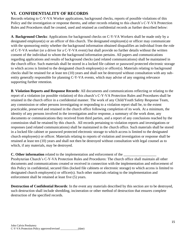# **VI. CONFIDENTIALITY OF RECORDS**

Records relating to C-Y-VA Worker applications, background checks, reports of possible violations of this Policy and the investigation or response thereto, and other records relating to this church's C-Y-VA Protection Rules and Procedures shall be created, used and retained as confidential records as further described below:

**A**. **Background Checks**: Applications for background checks on C-Y-VA Workers shall be made only by a designated employee(s) or an officer of this church. The designated employee(s) or officer may communicate with the sponsoring entity whether the background information obtained disqualifies an individual from the role of C-Y-VA worker (or a driver for a C-Y-VA event) but shall provide no further details without the written consent of the individual to whom the background information pertains. All papers and communications regarding applications and results of background checks (and related communications) shall be maintained in the church office. Such materials shall be stored in a locked file cabinet or password protected electronic storage to which access is limited to the designated church employee(s) or officer(s). Materials relating to background checks shall be retained for at least ten (10) years and shall not be destroyed without consultation with any subentity generally responsible for planning C-Y-VA events, which may advise of any ongoing relevance supporting further retention.

**B**. **Violation Reports and Response Records**: All documents and communications reflecting or relating to the report of a violation (or possible violation) of this church's C-Y-VA Protection Rules and Procedures shall be retained in the church office in a confidential manner. The work of any Child/Youth Safety Response Team, any commission or other persons investigating or responding to a violation report shall be, to the extent practicable, preserved and retained in the church office following completion of its work. At a minimum, the identity of any persons involved in the investigation and/or response, a summary of the work done, any documents or communications they received from third parties, and a report of any conclusions reached by the commission shall be retained by this church. All records pertaining to violation reports and investigations or responses (and related communications) shall be maintained in the church office. Such materials shall be stored in a locked file cabinet or password protected electronic storage to which access is limited to the designated church employee(s) or officer. Materials relating to reports of violation and investigation or response shall be retained at least ten (10) years and shall not then be destroyed without consultation with legal counsel as to which, if any materials, may be destroyed.

# **C.** Other information related to the implementation and enforcement of the

Presbyterian Church's C-Y-VA Protection Rules and Procedures: The church office shall maintain all other documents and communications created or received in connection with the implementation and enforcement of this Policy in confidential, secured files (locked file cabinets or electronic storage) to which access is limited to designated church employee(s) or officer(s). Such other materials relating to the implementation and enforcement shall be retained at least five (5) years.

**Destruction of Confidential Records**: In the event any materials described by this section are to be destroyed, such destruction shall include shredding, incineration or other method of destruction that ensures complete destruction of the specified records.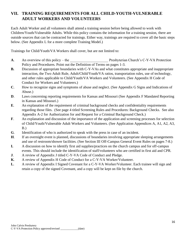# **VII. TRAINING REQUIREMENTS FOR ALL CHILD-YOUTH-VULNERABLE ADULT WORKERS AND VOLUNTEERS**

Each Adult Worker and all volunteers shall attend a training session before being allowed to work with Children/Youth/Vulnerable Adults. While this policy contains the information for a training session, there are outside sources that can be contracted for trainings. Either way, trainings are required to cover all the basic steps below. (See Appendix L for a more complete Training Model.)

Trainings for Child/Youth/VA Workers shall cover, but are not limited to:

- **A.** An overview of this policy the **Presbyterian Church's C-Y-VA Protection** Policy and Procedures. Point out the Definition of Terms on pages 1-3.
- **B.** Discussion of appropriate boundaries with C-Y-VAs and what constitutes appropriate and inappropriate interaction, the Two Adult Rule, Adult/Child/Youth/VA ratios, transportation rules, use of technology, and other rules applicable to Child/Youth/VA Workers and Volunteers. (See Appendix H Code of Conduct for Workers and Volunteers.)
- **C**. How to recognize signs and symptoms of abuse and neglect. (See Appendix G Signs and Indications of Abuse.)
- **D.** Laws concerning reporting requirements for Kansas and Missouri (See Appendix F Mandated Reporting in Kansas and Missouri.)
- **E**. An explanation of the requirement of criminal background checks and confidentiality requirements regarding those files. (See page 4 titled Screening Rules and Procedures: Background Checks. See also Appendix A-2 for Authorization for and Request for a Criminal Background Check.)
- **F**. An explanation and discussion of the importance of the application and screening processes for selection of Child/Youth/Vulnerable Adult Workers and Volunteers. (See Application Appendices A, A1, A2, A3, B.)
- **G**. Identification of who is authorized to speak with the press in case of an incident.
- **H**. If an overnight event is planned, discussions of boundaries involving appropriate sleeping arrangements and use of restroom/shower facilities. (See Section III Off-Campus General Event Rules on pages 7-8.)
- **I.** A discussion on how to identify first aid supplies/practices on the church campus and for off-campus events. This should include the identification of staff/volunteers who are certified in first aid and CPR.
- **J.** A review of Appendix J titled C-Y-VA Code of Conduct and Pledge.
- **K**. A review of Appendix H Code of Conduct for a C-Y-VA Worker/Volunteer.
- **L**. A review of Appendix I Signed Covenant for a C-Y-VA Worker/Volunteer. Each trainee will sign and retain a copy of the signed Covenant, and a copy will be kept on file by the church.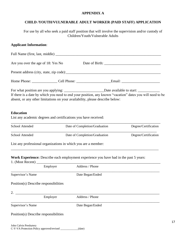#### **APPENDIX A**

# **CHILD /YOUTH/VULNERABLE ADULT WORKER (PAID STAFF) APPLICATION**

For use by all who seek a paid staff position that will involve the supervision and/or custody of Children/Youth/Vulnerable Adults

# **Applicant Information**:

| Are you over the age of 18: Yes No    |                                                                 |                                                                                                                                                                                            |                      |
|---------------------------------------|-----------------------------------------------------------------|--------------------------------------------------------------------------------------------------------------------------------------------------------------------------------------------|----------------------|
|                                       |                                                                 |                                                                                                                                                                                            |                      |
|                                       |                                                                 |                                                                                                                                                                                            |                      |
|                                       |                                                                 | If there is a date by which you need to end your position, any known "vacation" dates you will need to be<br>absent, or any other limitations on your availability, please describe below: |                      |
| <b>Education</b>                      | List any academic degrees and certifications you have received: |                                                                                                                                                                                            |                      |
| School Attended                       |                                                                 | Date of Completion/Graduation                                                                                                                                                              | Degree/Certification |
| School Attended                       |                                                                 | Date of Completion/Graduation                                                                                                                                                              | Degree/Certification |
|                                       | List any professional organizations in which you are a member:  |                                                                                                                                                                                            |                      |
|                                       |                                                                 | Work Experience: Describe each employment experience you have had in the past 5 years:                                                                                                     |                      |
|                                       | Employer                                                        | Address / Phone                                                                                                                                                                            |                      |
| Supervisor's Name                     |                                                                 | Date Began/Ended                                                                                                                                                                           |                      |
| Position(s) Describe responsibilities |                                                                 |                                                                                                                                                                                            |                      |
| 2.                                    |                                                                 |                                                                                                                                                                                            |                      |
|                                       | Employer                                                        | Address / Phone                                                                                                                                                                            |                      |
| Supervisor's Name                     |                                                                 | Date Began/Ended                                                                                                                                                                           |                      |
| Position(s) Describe responsibilities |                                                                 |                                                                                                                                                                                            |                      |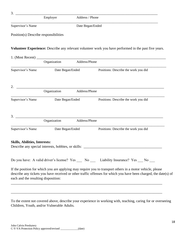| 3.                                    | Employer | Address / Phone  |
|---------------------------------------|----------|------------------|
| Supervisor's Name                     |          | Date Began/Ended |
| Position(s) Describe responsibilities |          |                  |

## **Volunteer Experience:** Describe any relevant volunteer work you have performed in the past five years.

| 1. (Most Recent)                     |              |                  |                                                                                                                                                                                                                               |
|--------------------------------------|--------------|------------------|-------------------------------------------------------------------------------------------------------------------------------------------------------------------------------------------------------------------------------|
|                                      | Organization | Address/Phone    |                                                                                                                                                                                                                               |
| Supervisor's Name                    |              | Date Began/Ended | Positions: Describe the work you did                                                                                                                                                                                          |
| 2.                                   |              |                  |                                                                                                                                                                                                                               |
|                                      | Organization | Address/Phone    |                                                                                                                                                                                                                               |
| Supervisor's Name                    |              | Date Began/Ended | Positions: Describe the work you did                                                                                                                                                                                          |
| 3.                                   | Organization | Address/Phone    |                                                                                                                                                                                                                               |
|                                      |              |                  |                                                                                                                                                                                                                               |
| Supervisor's Name                    |              | Date Began/Ended | Positions: Describe the work you did                                                                                                                                                                                          |
| <b>Skills, Abilities, Interests:</b> |              |                  |                                                                                                                                                                                                                               |
|                                      |              |                  | Do you have: A valid driver's license? Yes __ No __ Liability Insurance? Yes __ No __                                                                                                                                         |
| each and the resulting disposition:  |              |                  | If the position for which you are applying may require you to transport others in a motor vehicle, please<br>describe any tickets you have received or other traffic offenses for which you have been charged, the date(s) of |

To the extent not covered above, describe your experience in working with, teaching, caring for or overseeing Children, Youth, and/or Vulnerable Adults.

\_\_\_\_\_\_\_\_\_\_\_\_\_\_\_\_\_\_\_\_\_\_\_\_\_\_\_\_\_\_\_\_\_\_\_\_\_\_\_\_\_\_\_\_\_\_\_\_\_\_\_\_\_\_\_\_\_\_\_\_\_\_\_\_\_\_\_\_\_\_\_\_\_\_\_\_\_\_\_\_\_\_\_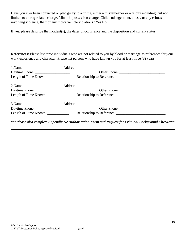Have you ever been convicted or pled guilty to a crime, either a misdemeanor or a felony including, but not limited to a drug-related charge, Minor in possession charge, Child endangerment, abuse, or any crimes involving violence, theft or any motor vehicle violations? Yes No

If yes, please describe the incident(s), the dates of occurrence and the disposition and current status:

**References:** Please list three individuals who are not related to you by blood or marriage as references for your work experience and character. Please list persons who have known you for at least three (3) years.

| Length of Time Known: ______________ |              |  |
|--------------------------------------|--------------|--|
|                                      |              |  |
|                                      |              |  |
|                                      |              |  |
|                                      |              |  |
|                                      | Other Phone: |  |
| Length of Time Known: _____________  |              |  |

*\*\*\*Please also complete Appendix A2 Authorization Form and Request for Criminal Background Check.\*\*\**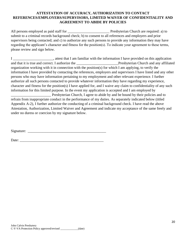# **ATTESTATION OF ACCURACY, AUTHORIZATION TO CONTACT REFERENCES/EMPLOYERS/SUPERVISORS, LIMITED WAIVER OF CONFIDENTIALITY AND AGREEMENT TO ABIDE BY POLICIES**

All persons employed as paid staff for **New All persons employed** as paid staff for **New All persons employed** as paid staff for **New All persons employed** as paid staff for **New All persons** Presbyterian Church are requir submit to a criminal records background check; b) to consent to all references and employers and prior supervisors being contacted; and c) to authorize any such persons to provide any information they may have regarding the applicant's character and fitness for the position(s). To indicate your agreement to these terms, please review and sign below.

I \_\_\_\_\_\_\_\_\_\_\_\_\_\_\_\_\_\_\_\_\_\_, attest that I am familiar with the information I have provided on this application and that it is true and correct. I authorize the **Figure 1** Presbyterian Church and any affiliated organization working with it in connection with the position(s) for which I am applying, to verify the information I have provided by contacting the references, employers and supervisors I have listed and any other persons who may have information pertaining to my employment and other relevant experience. I further authorize all such persons contacted to provide whatever information they have regarding my experience, character and fitness for the position(s) I have applied for, and I waive any claim to confidentiality of any such information for this limited purpose. In the event my application is accepted and I am employed by \_\_\_\_\_\_\_\_\_\_\_\_\_\_\_\_\_\_\_\_\_\_ Presbyterian Church, I agree to abide by and be bound by their policies and to

refrain from inappropriate conduct in the performance of my duties. As separately indicated below (titled Appendix A-2), I further authorize the conducting of a criminal background check. I have read the above Attestation, Authorization, Limited Waiver and Agreement and indicate my acceptance of the same freely and under no duress or coercion by my signature below.

Signature:

Date: \_\_\_\_\_\_\_\_\_\_\_\_\_\_\_\_\_\_\_\_\_\_\_\_\_\_\_\_\_\_\_\_\_\_\_\_\_\_\_\_\_\_\_\_\_\_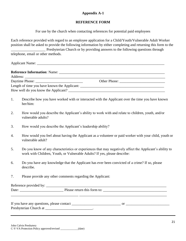# **Appendix A-1**

## **REFERENCE FORM**

For use by the church when contacting references for potential paid employees

Each reference provided with regard to an employee application for a Child/Youth/Vulnerable Adult Worker position shall be asked to provide the following information by either completing and returning this form to the Presbyterian Church or by providing answers to the following questions through telephone, email or other methods.

Applicant Name: \_\_\_\_\_\_\_\_\_\_\_\_\_\_\_\_\_\_\_\_\_\_\_\_\_\_\_\_\_\_\_\_\_\_\_\_\_\_\_\_\_\_\_\_\_\_\_\_\_\_\_\_\_\_\_\_\_\_\_\_\_\_\_\_\_\_\_\_\_\_

|                                              | Other Phone: |  |
|----------------------------------------------|--------------|--|
| Length of time you have known the Applicant: |              |  |
|                                              |              |  |

- 1. Describe how you have worked with or interacted with the Applicant over the time you have known her/him:
- 2. How would you describe the Applicant's ability to work with and relate to children, youth, and/or vulnerable adults?
- 3. How would you describe the Applicant's leadership ability?
- 4. How would you feel about having the Applicant as a volunteer or paid worker with your child, youth or vulnerable adult?
- 5. Do you know of any characteristics or experiences that may negatively affect the Applicant's ability to work with Children, Youth, or Vulnerable Adults? If yes, please describe:
- 6. Do you have any knowledge that the Applicant has ever been convicted of a crime? If so, please describe.
- 7. Please provide any other comments regarding the Applicant:

Reference provided by: \_\_\_\_\_\_\_\_\_\_\_\_\_\_\_\_\_\_\_\_\_\_\_\_\_\_\_\_\_\_\_\_\_\_\_\_\_\_\_\_\_\_\_\_\_\_\_\_\_\_\_\_\_\_\_\_\_\_\_\_\_\_\_\_\_\_ Date: \_\_\_\_\_\_\_\_\_\_\_\_\_\_\_\_\_\_\_\_\_\_\_\_ Please return this form to: \_\_\_\_\_\_\_\_\_\_\_\_\_\_\_\_\_\_\_\_\_\_\_\_\_\_\_\_\_\_\_\_\_\_\_ \_\_\_\_\_\_\_\_\_\_\_\_\_\_\_\_\_\_\_\_\_\_\_\_\_\_\_\_\_\_\_\_\_\_\_\_\_ \_\_\_\_\_\_\_\_\_\_\_\_\_\_\_\_\_\_\_\_\_\_\_\_\_\_\_\_\_\_\_\_\_\_\_\_\_\_\_\_\_\_\_\_\_\_\_\_

If you have any questions, please contact \_\_\_\_\_\_\_\_\_\_\_\_\_\_\_\_\_\_\_\_\_\_\_\_\_\_\_ or \_\_\_\_\_\_\_\_\_\_\_\_\_\_\_\_\_\_\_\_\_\_\_\_ Presbyterian Church at  $\qquad \qquad$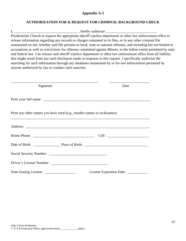### **Appendix A-2**

# **AUTHORIZATION FOR & REQUEST FOR CRIMINAL BACKGROUND CHECK**

I, \_\_\_\_\_\_\_\_\_\_\_\_\_\_\_\_\_\_\_\_\_\_\_\_\_\_\_\_\_\_\_\_\_\_\_ , hereby authorize \_\_\_\_\_\_\_\_\_\_\_\_\_\_\_\_\_\_\_\_\_\_\_\_\_\_\_\_ Presbyterian Church to request the appropriate sheriff's/police department or other law enforcement office to release information regarding any records or charges contained in its files, or in any other criminal file maintained on me, whether said file pertains to local, state or national offenses, and including but not limited to accusations as well as convictions for offenses committed against Minors, to the fullest extent permitted by state and federal law. I do release said sheriff's/police department or other law enforcement office from all liability that might result from any such disclosure made in response to this request. I specifically authorize the searching for such information through any databases maintained by or for law enforcement personnel by anyone authorized by law to conduct such searches.

| Signature                                                              | Date |
|------------------------------------------------------------------------|------|
|                                                                        |      |
| Print any other names you have used (e.g., maiden names or nicknames): |      |
|                                                                        |      |
|                                                                        |      |
|                                                                        |      |
|                                                                        |      |
| Driver's License Number:                                               |      |
|                                                                        |      |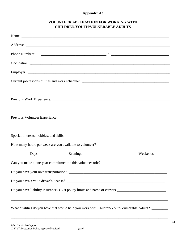# **Appendix A3**

# **VOLUNTEER APPLICATION FOR WORKING WITH CHILDREN/YOUTH/VULNERABLE ADULTS**

| ,我们也不能会在这里的人,我们也不能会在这里,我们也不能会在这里,我们也不能会在这里,我们也不能会在这里,我们也不能会在这里,我们也不能会不能会不能会。""我们,                   |  |  |
|-----------------------------------------------------------------------------------------------------|--|--|
| ,我们也不会有什么?""我们的人,我们也不会有什么?""我们的人,我们也不会有什么?""我们的人,我们也不会有什么?""我们的人,我们也不会有什么?""我们的人                    |  |  |
|                                                                                                     |  |  |
|                                                                                                     |  |  |
|                                                                                                     |  |  |
|                                                                                                     |  |  |
|                                                                                                     |  |  |
|                                                                                                     |  |  |
|                                                                                                     |  |  |
| What qualities do you have that would help you work with Children/Youth/Vulnerable Adults? ________ |  |  |

\_\_\_\_\_\_\_\_\_\_\_\_\_\_\_\_\_\_\_\_\_\_\_\_\_\_\_\_\_\_\_\_\_\_\_\_\_\_\_\_\_\_\_\_\_\_\_\_\_\_\_\_\_\_\_\_\_\_\_\_\_\_\_\_\_\_\_\_\_\_\_\_\_\_\_\_\_\_\_\_\_\_\_\_\_\_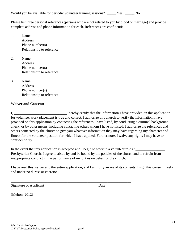Would you be available for periodic volunteer training sessions? \_\_\_\_\_ Yes \_\_\_\_\_ No

Please list three personal references (persons who are not related to you by blood or marriage) and provide complete address and phone information for each. References are confidential.

1. Name **Address** Phone number(s) Relationship to reference:

2. Name Address Phone number(s) Relationship to reference:

3. Name Address Phone number(s) Relationship to reference:

# **Waiver and Consent:**

I, \_\_\_\_\_\_\_\_\_\_\_\_\_\_\_\_\_\_\_\_\_\_\_\_\_\_, hereby certify that the information I have provided on this application for volunteer work placement is true and correct. I authorize this church to verify the information I have provided on this application by contacting the references I have listed, by conducting a criminal background check, or by other means, including contacting others whom I have not listed. I authorize the references and others contacted by the church to give you whatever information they may have regarding my character and fitness for the volunteer position for which I have applied. Furthermore, I waive any rights I may have to confidentiality.

In the event that my application is accepted and I begin to work in a volunteer role at \_\_\_\_\_\_\_\_\_\_\_\_\_\_\_\_\_\_\_\_\_\_ Presbyterian Church, I agree to abide by and be bound by the policies of the church and to refrain from inappropriate conduct in the performance of my duties on behalf of the church.

\_\_\_\_\_\_\_\_\_\_\_\_\_\_\_\_\_\_\_\_\_\_\_\_\_\_\_\_\_\_\_\_\_\_\_\_\_\_\_\_\_\_\_\_\_\_\_\_\_\_\_\_\_\_\_\_\_\_\_\_\_\_\_\_\_\_

I have read this waiver and the entire application, and I am fully aware of its contents. I sign this consent freely and under no duress or coercion.

Signature of Applicant Date

(Melton, 2012)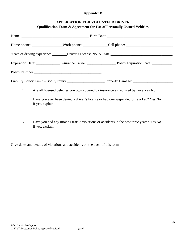# **Appendix B**

# **APPLICATION FOR VOLUNTEER DRIVER**

|               | Liability Policy Limit – Bodily Injury ___________________________Property Damage: ___________________________ |
|---------------|----------------------------------------------------------------------------------------------------------------|
| 1.            | Are all licensed vehicles you own covered by insurance as required by law? Yes No                              |
| 2.            | Have you ever been denied a driver's license or had one suspended or revoked? Yes No<br>If yes, explain:       |
| $\mathcal{R}$ | Have you had any moving traffic violations or accidents in the past three years? $\chi_{\alpha}$ No            |

3. Have you had any moving traffic violations or accidents in the past three years? Yes No If yes, explain:

Give dates and details of violations and accidents on the back of this form.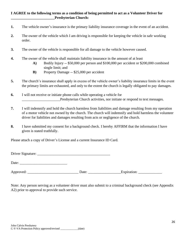## **I AGREE to the following terms as a condition of being permitted to act as a Volunteer Driver for \_\_\_\_\_\_\_\_\_\_\_\_\_\_\_\_\_\_\_\_\_\_\_\_Presbyterian Church:**

- **1.** The vehicle owner's insurance is the primary liability insurance coverage in the event of an accident.
- **2.** The owner of the vehicle which I am driving is responsible for keeping the vehicle in safe working order.
- **3.** The owner of the vehicle is responsible for all damage to the vehicle however caused.
- **4.** The owner of the vehicle shall maintain liability insurance in the amount of at least
	- **A)** Bodily Injury -- \$50,000 per person and \$100,000 per accident or \$200,000 combined single limit; and
	- **B)** Property Damage -- \$25,000 per accident
- **5.** The church's insurance shall apply in excess of the vehicle owner's liability insurance limits in the event the primary limits are exhausted, and only to the extent the church is legally obligated to pay damages.
- **6.** I will not receive or initiate phone calls while operating a vehicle for Presbyterian Church activities, nor initiate or respond to text messages.
- **7.** I will indemnify and hold the church harmless from liabilities and damage resulting from my operation of a motor vehicle not owned by the church. The church will indemnify and hold harmless the volunteer driver for liabilities and damages resulting from acts or negligence of the church.
- **8.** I have submitted my consent for a background check. I hereby AFFIRM that the information I have given is stated truthfully.

Please attach a copy of Driver's License and a current Insurance ID Card.

Driver Signature: \_\_\_\_\_\_\_\_\_\_\_\_\_\_\_\_\_\_\_\_\_\_\_\_\_\_\_\_\_\_\_\_\_\_\_\_\_\_\_\_

Date:

Approved: \_\_\_\_\_\_\_\_\_\_\_\_\_\_\_\_\_\_\_\_\_\_\_\_\_\_\_\_ Date: \_\_\_\_\_\_\_\_\_\_\_\_\_\_\_\_\_\_Expiration: \_\_\_\_\_\_\_\_\_\_\_\_\_

Note: Any person serving as a volunteer driver must also submit to a criminal background check (see Appendix A2) prior to approval to provide such service.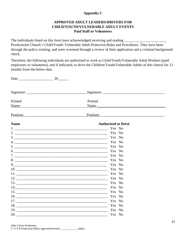## **Appendix C**

## **APPROVED ADULT LEADERS/DRIVERS FOR CHILD/YOUTH/VULNERABLE ADULT EVENTS Paid Staff or Volunteers**

The individuals listed on this form have acknowledged receiving and reading \_\_\_\_\_\_\_\_\_\_\_ Presbyterian Church's Child/Youth/ Vulnerable Adult Protection Rules and Procedures. They have been through the policy training, and were screened through a review of their application and a criminal background check.

Therefore, the following individuals are authorized to work as Child/Youth/Vulnerable Adult Workers (paid employees or volunteers), and if indicated, to drive the Children/Youth/Vulnerable Adults of this church for 12 months from the below date.

| Printed                                                                                                                                                                                                                        | Printed                                                                                                        |
|--------------------------------------------------------------------------------------------------------------------------------------------------------------------------------------------------------------------------------|----------------------------------------------------------------------------------------------------------------|
| Name: Name and the second state of the second state of the second state of the second state of the second state of the second state of the second state of the second state of the second state of the second state of the sec | Name:                                                                                                          |
| <u>Position:</u>                                                                                                                                                                                                               | Position:                                                                                                      |
| <b>Name</b>                                                                                                                                                                                                                    | <b>Authorized to Drive</b>                                                                                     |
|                                                                                                                                                                                                                                | Yes No                                                                                                         |
|                                                                                                                                                                                                                                | Yes No                                                                                                         |
|                                                                                                                                                                                                                                | Yes No                                                                                                         |
|                                                                                                                                                                                                                                |                                                                                                                |
|                                                                                                                                                                                                                                |                                                                                                                |
|                                                                                                                                                                                                                                | Yes No                                                                                                         |
|                                                                                                                                                                                                                                | Yes No                                                                                                         |
|                                                                                                                                                                                                                                | Yes No                                                                                                         |
|                                                                                                                                                                                                                                | $9.$ Yes No                                                                                                    |
|                                                                                                                                                                                                                                | Yes No                                                                                                         |
|                                                                                                                                                                                                                                | Yes No                                                                                                         |
|                                                                                                                                                                                                                                | 12. The Vest No. 2014. The Vest No. 2014. The Vest No. 2014. The Vest No. 2014. The Vest No. 2014. The Vest No |
|                                                                                                                                                                                                                                | Yes No                                                                                                         |
|                                                                                                                                                                                                                                | Yes No                                                                                                         |
|                                                                                                                                                                                                                                | Yes No                                                                                                         |
|                                                                                                                                                                                                                                | Yes No                                                                                                         |
|                                                                                                                                                                                                                                | Yes No                                                                                                         |
|                                                                                                                                                                                                                                | Yes No                                                                                                         |
|                                                                                                                                                                                                                                | Yes No                                                                                                         |
| 20.                                                                                                                                                                                                                            | Yes No                                                                                                         |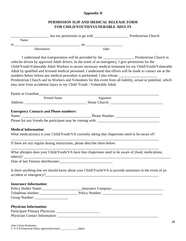## **Appendix D**

## **PERMISSION SLIP AND MEDICAL RELEASE FORM FOR CHILD/YOUTH/VULNERABLE ADULTS**

| Name                                         |                                                                                                                                    |                                                                                                                                                                                                                     |
|----------------------------------------------|------------------------------------------------------------------------------------------------------------------------------------|---------------------------------------------------------------------------------------------------------------------------------------------------------------------------------------------------------------------|
| $\frac{10}{2}$                               | $\sim$ 00 $\sim$                                                                                                                   |                                                                                                                                                                                                                     |
| Destination                                  | Date                                                                                                                               |                                                                                                                                                                                                                     |
|                                              | vehicles driven by approved Adult drivers. In the event of an emergency, I give permission for the                                 | I understand that transportation will be provided by the _______________________ Presbyterian Church in<br>Child/Youth/Vulnerable Adult Workers to secure necessary medical treatment for my Child/Youth/Vulnerable |
|                                              | numbers below before any medical procedure is performed. I also release ___________________________                                | Adult by qualified and licensed medical personnel. I understand that efforts will be made to contact me at the                                                                                                      |
|                                              | may arise from accidental injury to my Child /Youth / Vulnerable Adult.                                                            | Presbyterian Church and its Workers and Volunteers for this event from all liability, actual or potential, which                                                                                                    |
|                                              |                                                                                                                                    |                                                                                                                                                                                                                     |
| <b>Printed Name</b>                          | Signature                                                                                                                          |                                                                                                                                                                                                                     |
| <b>Emergency Contacts and Phone numbers:</b> |                                                                                                                                    |                                                                                                                                                                                                                     |
|                                              |                                                                                                                                    |                                                                                                                                                                                                                     |
|                                              |                                                                                                                                    |                                                                                                                                                                                                                     |
|                                              |                                                                                                                                    |                                                                                                                                                                                                                     |
| <b>Medical Information:</b>                  | What medication(s) is your Child/Youth/VA currently taking that chaperones need to be aware of?                                    |                                                                                                                                                                                                                     |
|                                              | If there are any regular dosing instructions, please describe them below:                                                          |                                                                                                                                                                                                                     |
|                                              | What allergies does your Child/Youth/VA have that chaperones need to be aware of (food, medications,                               |                                                                                                                                                                                                                     |
|                                              |                                                                                                                                    |                                                                                                                                                                                                                     |
|                                              | Is there anything else we should know about your Child/Youth/VA to provide assistance in the event of an<br>accident or emergency? |                                                                                                                                                                                                                     |
| <b>Insurance Information:</b>                |                                                                                                                                    |                                                                                                                                                                                                                     |
|                                              |                                                                                                                                    |                                                                                                                                                                                                                     |
|                                              |                                                                                                                                    |                                                                                                                                                                                                                     |
|                                              |                                                                                                                                    |                                                                                                                                                                                                                     |
| <b>Physician Information:</b>                |                                                                                                                                    |                                                                                                                                                                                                                     |
|                                              |                                                                                                                                    |                                                                                                                                                                                                                     |
|                                              |                                                                                                                                    |                                                                                                                                                                                                                     |
|                                              |                                                                                                                                    | າ                                                                                                                                                                                                                   |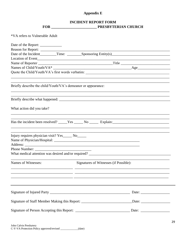## **Appendix E**

## **INCIDENT REPORT FORM**

\*VA refers to Vulnerable Adult

| Date of the Report: ______________                            |                                                                                                      |  |  |  |
|---------------------------------------------------------------|------------------------------------------------------------------------------------------------------|--|--|--|
|                                                               |                                                                                                      |  |  |  |
|                                                               |                                                                                                      |  |  |  |
|                                                               |                                                                                                      |  |  |  |
|                                                               |                                                                                                      |  |  |  |
|                                                               |                                                                                                      |  |  |  |
|                                                               |                                                                                                      |  |  |  |
| Briefly describe the child/Youth/VA's demeanor or appearance: |                                                                                                      |  |  |  |
|                                                               |                                                                                                      |  |  |  |
| What action did you take?                                     |                                                                                                      |  |  |  |
|                                                               |                                                                                                      |  |  |  |
| Injury requires physician visit? Yes _______ No_______        |                                                                                                      |  |  |  |
|                                                               |                                                                                                      |  |  |  |
|                                                               | What medical attention was desired and/or required? _____________________________                    |  |  |  |
| Names of Witnesses:                                           | Signatures of Witnesses (if Possible):                                                               |  |  |  |
|                                                               |                                                                                                      |  |  |  |
|                                                               |                                                                                                      |  |  |  |
|                                                               | Signature of Staff Member Making this Report: ________________________________Date: ________________ |  |  |  |
|                                                               |                                                                                                      |  |  |  |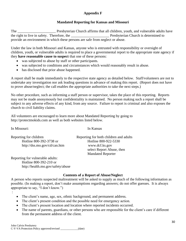## **Appendix F**

## **Mandated Reporting for Kansas and Missouri**

The The Presbyterian Church affirms that all children, youth, and vulnerable adults have the right to live in safety. Therefore, the Presbyterian Church is determined to provide an environment in which these persons are safe from neglect or abuse.

Under the law in both Missouri and Kansas, anyone who is entrusted with responsibility or oversight of children, youth, or vulnerable adults is required to place a governmental report to the appropriate state agency if they **have reasonable cause to suspect** that one of these persons:

- was subjected to abuse by staff or other participants.
- was subjected to conditions and circumstances which would reasonably result in abuse.
- has disclosed that prior abuse happened.

A report shall be made immediately to the respective state agency as detailed below. Staff/volunteers are not to undertake any investigation nor ask leading questions in advance of making this report. (Report does not have to prove abuse/neglect; the call enables the appropriate authorities to take the next steps.)

No other procedure, such as informing a staff person or supervisor, takes the place of this reporting. Reports may not be made anonymously but confidentiality is maintained. No person making such a report shall be subject to any adverse effects of any kind, from any source. Failure to report is criminal and also exposes the church to civil liability claims.

All volunteers are encouraged to learn more about Mandated Reporting by going to [http://protectmokids.com](http://protectmokids.com/) as well as both websites listed below.

In Missouri: In Kansas

:

| Reporting for children       | Reporting for both children and adults |
|------------------------------|----------------------------------------|
|                              |                                        |
| Hotline 800-392-3738 or      | Hotline 800-922-5330                   |
| http://dss.mo.gov/cd/can.htm | www.dcf.ks.gov                         |
|                              | select Report Abuse, then              |
|                              | <b>Mandated Reporter</b>               |
|                              |                                        |

Reporting for vulnerable adults: Hotline 800-392-210 or <http://health.mo.gov/safety/abuse>

## **Contents of a Report of Abuse/Neglect**

A person who reports suspected maltreatment will be asked to supply as much of the following information as possible. (In making a report, don't make assumptions regarding answers; do not offer guesses. It is always appropriate to say, "I don't know.")

- The client's name, age, sex, ethnic background, and permanent address.
- The client's present condition and the possible need for emergency action.
- The client's present location and location where reported incidents occurred.
- The name of parents, guardians, or other persons who are responsible for the client's care if different from the permanent address of the client.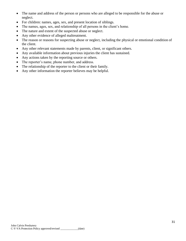- The name and address of the person or persons who are alleged to be responsible for the abuse or neglect.
- For children: names, ages, sex, and present location of siblings.
- The names, ages, sex, and relationship of all persons in the client's home.
- The nature and extent of the suspected abuse or neglect.
- Any other evidence of alleged maltreatment.
- The reason or reasons for suspecting abuse or neglect, including the physical or emotional condition of the client.
- Any other relevant statements made by parents, client, or significant others.
- Any available information about previous injuries the client has sustained.
- Any actions taken by the reporting source or others.
- The reporter's name, phone number, and address.
- The relationship of the reporter to the client or their family.
- Any other information the reporter believes may be helpful.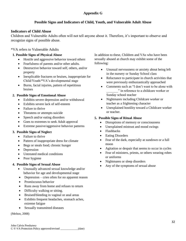## **Appendix G**

## **Possible Signs and Indicators of Child, Youth, and Vulnerable Adult Abuse**

## **Indicators of Child Abuse**

Children and Vulnerable Adults often will not tell anyone about it. Therefore, it's important to observe and recognize signs of possible abuse.

## \*VA refers to Vulnerable Adults

## **1. Possible Signs of Physical Abuse**

- Hostile and aggressive behavior toward others
- Fearfulness of parents and/or other adults.
- Destructive behavior toward self, others, and/or property
- Inexplicable fractures or bruises, inappropriate for Child/Youth/\*VA's developmental stage
- Burns, facial injuries, pattern of repetitious bruises

## **2. Possible Signs of Emotional Abuse**

- Exhibits severe depression and/or withdrawal
- Exhibits severe lack of self-esteem
- Failure to thrive
- Threatens or attempts suicide
- Speech and/or eating disorders
- Goes to extremes to seek Adult approval
- Extreme passive/aggressive behavior patterns

## **3. Possible Signs of Neglect**

- Failure to thrive
- Pattern of inappropriate dress for climate
- Begs or steals food; chronic hunger
- Depression
- Untreated medical conditions
- Poor hygiene

#### **4. Possible Signs of Sexual Abuse**

- Unusually advanced sexual knowledge and/or behavior for age and developmental stage
- Depression cries often for no apparent reason
- Promiscuous behavior
- Runs away from home and refuses to return
- Difficulty walking or sitting.
- Bruised/bleeding in vaginal or anal areas
- Exhibits frequent headaches, stomach aches, extreme fatigue
- Sexually transmitted diseases

(Melton, 2008)

In addition to these, Children and VAs who have been sexually abused at church may exhibit some of the following:

- Unusual nervousness or anxiety about being left in the nursery or Sunday School class
- Reluctance to participate in church activities that were previously enthusiastically approached
- Comments such as "I don't want to be alone with \_\_\_\_\_\_\_" in reference to a childcare worker or Sunday school teacher
- Nightmares including Childcare worker or teacher as a frightening character
- Unexplained hostility toward a Childcare worker or teacher.

#### **5. Possible Signs of Ritual Abuse**

- Disruptions of memory or consciousness
- Unexplained mistrust and mood swings
- Flashbacks
- Eating Disorders
- Fear of the dark, especially at sundown or a full moon
- Agitation or despair that seems to occur in cycles
- Fear of ministers, priests, or others wearing robes or uniforms
- Nightmares or sleep disorders
- Any of the symptoms of sexual abuse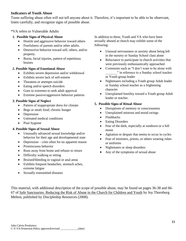#### **Indicators of Youth Abuse**

Teens suffering abuse often will not tell anyone about it. Therefore, it's important to be able to be observant, listen carefully, and recognize signs of possible abuse.

\*VA refers to Vulnerable Adults

#### **1. Possible Signs of Physical Abuse**

- Hostile and aggressive behavior toward others
- Fearfulness of parents and/or other adults.
- Destructive behavior toward self, others, and/or property.
- Burns, facial injuries, pattern of repetitious bruises

#### **2. Possible Signs of Emotional Abuse**

- Exhibits severe depression and/or withdrawal
- Exhibits severe lack of self-esteem
- Threatens or attempts suicide
- Eating and/or speech disorders
- Goes to extremes to seek adult approval
- Extreme passive/aggressive behavior patterns

#### **3. Possible Signs of Neglect**

- Pattern of inappropriate dress for climate
- Begs or steals food; chronic hunger
- Depression
- Untreated medical conditions
- Poor hygiene

## **4. Possible Signs of Sexual Abuse**

- Unusually advanced sexual knowledge and/or behavior for their age and developmental state
- Depression cries often for no apparent reason
- Promiscuous behavior
- Runs away from home and refuses to return
- Difficulty walking or sitting
- Bruised/bleeding in vaginal or anal areas
- Exhibits frequent headaches, stomach aches, extreme fatigue
- Sexually transmitted diseases

In addition to these, Youth and VA who have been sexually abused at church may exhibit some of the following:

- Unusual nervousness or anxiety about being left in the nursery or Sunday School class alone
- Reluctance to participate in church activities that were previously enthusiastically approached
- Comments such as "I don't want to be alone with " in reference to a Sunday school teacher or Youth group leader
- Nightmares including a Youth group Adult leader or Sunday school teacher as a frightening character
- Unexplained hostility toward a Youth group Adult leader or teacher.

#### **5. Possible Signs of Ritual Abuse**

- Disruptions of memory or consciousness
- Unexplained mistrust and mood swings
- Flashbacks
- Eating Disorders
- Fear of the dark, especially at sundown or a full moon
- Agitation or despair that seems to occur in cycles
- Fear of ministers, priests, or others wearing robes or uniforms
- Nightmares or sleep disorders
- Any of the symptoms of sexual abuse

This material, with additional description of the scope of possible abuse, may be found on pages 36-38 and 66- 67 of Safe Sanctuaries: Reducing the Risk of Abuse in the Church for Children and Youth by Joy Thornburg Melton, published by Discipleship Resources (2008).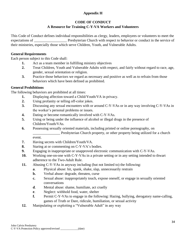## **Appendix H**

## **CODE OF CONDUCT A Resource for Training C-Y-VA Workers and Volunteers**

This Code of Conduct defines individual responsibilities as clergy, leaders, employees or volunteers to meet the expectations of **EXECUTE:** Presbyterian Church with respect to behavior or conduct in the service of their ministries, especially those which serve Children, Youth, and Vulnerable Adults.

## **General Requirements**

Each person subject to this Code shall:

- **1.** Act as a team member in fulfilling ministry objectives
- **2.** Treat Children, Youth and Vulnerable Adults with respect, and fairly without regard to race, age, gender, sexual orientation or religion.
- **3.** Practice those behaviors we regard as necessary and positive as well as to refrain from those behaviors which have been defined as prohibited.

## **General Prohibitions**

The following behaviors are prohibited at all times:

- **1.** Displaying affection toward a Child/Youth/VA in privacy.
- **2.** Using profanity or telling off-color jokes.
- **3.** Discussing any sexual encounters with or around C-Y-VAs or in any way involving C-Y-VAs in the worker's personal problems or issues.
- **4.** Dating or become romantically involved with C-Y-VAs.
- **5.** Using or being under the influence of alcohol or illegal drugs in the presence of Children/Youth/VAs.
- **6.** Possessing sexually oriented materials, including printed or online pornography, on \_\_\_\_\_\_\_\_\_\_\_\_\_\_\_ Presbyterian Church property, or other property being utilized for a church event.
- **7.** Having secrets with Children/Youth/VA.
- **8.** Staring at or commenting on C-Y-VA's bodies.
- **9.** Engaging in inappropriate or unapproved electronic communication with C-Y-VAs.
- **10.** Working one-on-one with C-Y-VAs in a private setting or in any setting intended to thwart adherence to the Two-Adult Rule.
- **11.** Abusing C-Y-VAs in anyway including (but not limited to) the following:
	- **a**. Physical abuse: hit, spank, shake, slap, unnecessarily restrain
		- **b.** Verbal abuse: degrade, threaten, curse
		- **c.** Sexual abuse: inappropriately touch, expose oneself, or engage in sexually oriented conversations
		- **d**. Mental abuse: shame, humiliate, act cruelly
		- **e**. Neglect: withhold food, water, shelter
		- **f.** Permit C-Y-VAs to engage in the following: Hazing, bullying, derogatory name-calling, games of Truth or Dare, ridicule, humiliation, or sexual activity
- **12.** Manipulating or exploiting a "Vulnerable Adult" in any way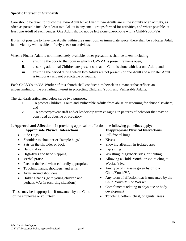## **Specific Interaction Standards**

Care should be taken to follow the Two- Adult Rule: Even if two Adults are in the vicinity of an activity, as often as possible include at least two Adults in any small groups formed for activities, and where possible, at least one Adult of each gender. One Adult should not be left alone one-on-one with a Child/Youth/VA.

If it is not possible to have two Adults within the same room or immediate space, there shall be a Floater Adult in the vicinity who is able to freely check on activities.

When a Floater Adult is not immediately available, other precautions shall be taken, including

- **i**. ensuring the door to the room in which a C-Y-VA is present remains open,
- **ii.** ensuring additional Children are present so that no Child is alone with just one Adult, and
- **iii.** ensuring the period during which two Adults are not present (or one Adult and a Floater Adult) is temporary and not predictable or routine.

Each Child/Youth/VA Worker of this church shall conduct him/herself in a manner that reflects an understanding of the prevailing interest in protecting Children, Youth and Vulnerable Adults.

The standards articulated below serve two purposes:

- **1.** To protect Children, Youth and Vulnerable Adults from abuse or grooming for abuse elsewhere; and
- **2.** To protect/prevent staff and/or leadership from engaging in patterns of behavior that may be construed as abusive or predatory.

**1. Approval and Affection** – In providing approval or affection, the following guidelines apply:

- Side Hugs
- Shoulder-to-shoulder or "temple hugs"
- Pats on the shoulder or back
- Handshakes
- High-fives and hand slapping
- Verbal praise
- Pats on the head when culturally appropriate
- Touching hands, shoulders, and arms
- Arms around shoulders
- Holding hands (with young children and perhaps VAs in escorting situations)

These may be inappropriate if unwanted by the Child or the employee or volunteer.

## **Appropriate Physical Interactions Inappropriate Physical Interactions**

- Full-frontal hugs
- Kisses
- Showing affection in isolated area
- Lap sitting
- Wrestling, piggyback rides, or tickling
- Allowing a Child, Youth, or VA to cling to Worker's leg
- Any type of massage given by or to a Child/Youth/VA
- Any form of affection that is unwanted by the Child/Youth/VA or Worker
- Compliments relating to physique or body development
- Touching bottom, chest, or genital areas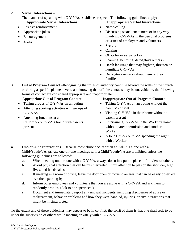## **2. Verbal Interactions** –

The manner of speaking with C-Y-VAs establishes respect. The following guidelines apply:

- Positive reinforcement
- Appropriate jokes
- Encouragement
- Praise

## **Appropriate Verbal Interactions Inappropriate Verbal Interactions**

- Name-calling
- Discussing sexual encounters or in any way involving C-Y-VAs in the personal problems or issues of employees and volunteers
- Secrets
- Cursing
- Off-color or sexual jokes
- Shaming, belittling, derogatory remarks
- Harsh language that may frighten, threaten or humiliate C-Y-VAs
- Derogatory remarks about them or their families

**3. Out of Program Contact** –Recognizing that roles of authority continue beyond the walls of the church or during a specific planned event, and knowing that off-site contacts may be unavoidable, the following forms of contact are considered appropriate and inappropriate:

- Taking groups of C-Y-VAs on an outing
- Attending sporting activities with groups of C-Y-VAs
- Attending functions at a Children/Youth/VA's home with parents present

## **Appropriate Out-of-Program Contact Inappropriate Out-of-Program Contact**

- Taking C-Y-VAs on an outing without the parents' consent
- Visiting C-Y-VAs in their home without a parent present
- Entertaining C-Y-VAs in the Worker's home without parent permission and another Worker
- A lone Child/Youth/VA spending the night with a Worker.
- **4. One-on-One Interactions** Because most abuse occurs when an Adult is alone with a Child/Youth/VA, private one-on-one meetings with a Child/Youth/VA are prohibited unless the following guidelines are followed:
	- **a.** When meeting one-on-one with a C-Y-VA, always do so in a public place in full view of others.
	- **b**. Avoid physical affection that can be misinterpreted. Limit affection to pats on the shoulder, high fives, and handshakes.
	- **c.** If meeting in a room or office, leave the door open or move to an area that can be easily observed by others passing by.
	- **d.** Inform other employees and volunteers that you are alone with a C-Y-VA and ask them to randomly drop in. (Ask to be supervised.)
	- **e**. Document and immediately report any unusual incidents, including disclosures of abuse or maltreatment, behavior problems and how they were handled, injuries, or any interactions that might be misinterpreted.

To the extent any of these guidelines may appear to be in conflict, the spirit of them is that one shall seek to be under the supervision of others while meeting privately with a C-Y-VA.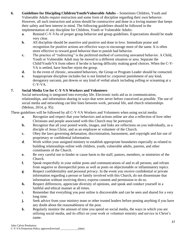- **6. Guidelines for Discipling Children/Youth/Vulnerable Adults –** Sometimes Children, Youth and Vulnerable Adults require instruction and some form of discipline regarding their own behavior. However, all such instruction and action should be constructive and done in a loving manner that keeps their safety and best interest in mind. The following guidelines should be followed in the implementation of any discipline for Children, Youth or Vulnerable Adults:
	- **a.** Remind C-Y-VAs of proper group behavior and group guidelines. Expectations should be made very clear.
	- **b**. All discipline should be assertive and positive and done in love. Immediate praise and recognition for positive actions are effective ways to encourage more of the same. It is often more effective to reward good behavior than to punish bad behavior.
	- **c.** The practice of "redirecting" is the preferred method of correcting unwanted behavior. A Child, Youth or Vulnerable Adult may be moved to a different situation or area. Separate the Child/Youth/VA from others if he/she is having difficulty making good choices. When the C-Y-VA is settled, have him/her rejoin the group.
	- **d.** In the event of chronic, unwanted behaviors, the Group or Program Leader should be contacted.
	- **e.** Inappropriate discipline includes but is not limited to: corporeal punishment of any kind, derogatory sarcasm, put downs or any kind of verbal attack including yelling or screaming at a C-Y-VA.

## **7. Social Media Use for C-Y-VA Workers and Volunteers**

Social networking is integrated into everyday life. Electronic tools aid us in communication, relationships, and information sharing in ways that were never before conceived as possible. The use of social media and networking can blur lines between work, personal life, and church relationships (Melton, 2014, p. 95).

These guidelines will be followed by all C-Y-VA Workers and Volunteers when using social media:

- **a**. Recognize and respect that your behaviors and actions online are also a reflection of how other Christians and people associated with this Church may be portrayed.
- **b.** Recognize that all your posted words, images, and links are reflections on you individually, as a disciple of Jesus Christ, and as an employee or volunteer of the Church.
- **c.** Obey the laws governing defamation, discrimination, harassment, and copyright and fair use of proprietary or confidential information.
- **d**. Work within your assigned ministry to establish appropriate boundaries especially as related to building relationships online with children, youth, vulnerable adults, parents, and other constituents of the Church.
- **e.** Be very careful not to hinder or cause harm to the staff, pastors, members, or ministries of the Church.
- **f.** Speak respectfully in your online posts and communications of and to all persons; and refrain from negative or disrespectful posts as well as posts on objectionable or inflammatory topics.
- **g**. Respect confidentiality and personal privacy. In the event you receive confidential or private information regarding a person or family involved with this Church, do not disseminate that information without receiving direct, express consent and permission to do so.
- **h.** Respect differences, appreciate diversity of opinions, and speak and conduct yourself in a faithful and ethical manner at all times.
- **i.** Remember that everything you post online is discoverable and can be seen and shared for a very long time.
- **j.** Seek advice from your ministry team or other trusted leaders before posting anything if you have any doubt about the reasonableness of the post.
- **k**. Regularly monitor the amount of time you spend on social media, the ways in which you are utilizing social media, and its effect on your work or volunteer ministry and service in Christ's name.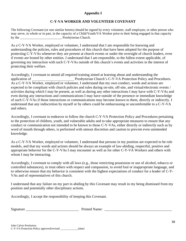## **Appendix I**

## **C-Y-VA WORKER AND VOLUNTEER COVENANT**

The following Covenant (or one similar hereto) should be signed by every volunteer, staff employee, or other person who may serve, in whole or in part, in the capacity of a Child/Youth/VA Worker prior to their being engaged in that capacity by the **Presbyterian Church**.

As a C-Y-VA Worker, employed or volunteer, I understand that I am responsible for knowing and understanding the policies, rules and procedures of this church that have been adopted for the purpose of protecting C-Y-VAs whenever they are present at church events or under the oversight of church leaders, even if events are hosted by other entities. I understand that I am responsible, to the fullest extent applicable, of governing my interaction with such C-Y-VAs outside of this church's events and activities in the interest of protecting their welfare.

Accordingly, I covenant to attend all required training aimed at learning about and understanding the application of **EXECUTE:** Presbyterian Church's C-Y-VA Protection Policy and Procedures. As a C-Y-VA Worker, employed or volunteer, I understand that my own conduct, words and actions are expected to be compliant with church policies and rules during on-site, off-site, and virtual/electronic events / activities during which I may be present, as well as during any other interactions I may have with C-Y-VAs and even during any interactions and communications I may have outside of the presence or immediate knowledge of such C-Y-VAs if those interactions or communications may become known to them, directly or indirectly. I understand that any indiscretion by myself or by others could be embarrassing or uncomfortable to a C-Y-VA and others.

Accordingly, I covenant to endeavor to follow the church C-Y-VA Protection Policy and Procedures pertaining to the protection of children, youth, and vulnerable adults and to take appropriate measures to ensure that any conduct or communication not intended to be known to those C-Y-VAs, either directly or indirectly such as by word of mouth through others, is performed with utmost discretion and caution to prevent even unintended knowledge.

As a C-Y-VA Worker, employed or volunteer, I understand that persons in my position are expected to be role models, and that my words and actions should be always an example of law-abiding, respectful, positive and appropriate behavior for the C-Y-VAs I may encounter as well as for other C-Y-VA Workers and others with whom I may be interacting.

Accordingly, I covenant to comply with all laws (e.g., those restricting possession or use of alcohol, tobacco or controlled substances), to treat others with respect and compassion, to avoid foul or inappropriate language, and to otherwise ensure that my behavior is consistent with the highest expectations of conduct for a leader of C-Y-VAs and of representatives of this church.

I understand that any failure on my part in abiding by this Covenant may result in my being dismissed from my position and potentially other disciplinary actions.

Accordingly, I accept the responsibility of keeping this Covenant.

Signature \_\_\_\_\_\_\_\_\_\_\_\_\_\_\_\_\_\_\_\_\_\_\_\_\_\_\_\_\_ Printed Name: \_\_\_\_\_\_\_\_\_\_\_\_\_\_\_\_\_\_\_\_\_\_\_\_\_\_\_\_\_\_\_\_\_\_\_\_\_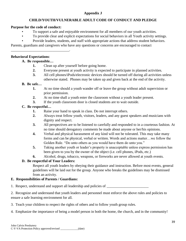## **Appendix J**

## **CHILD/YOUTH/VULNERABLE ADULT CODE OF CONDUCT AND PLEDGE**

#### **Purpose for the code of conduct:**

- To support a safe and enjoyable environment for all members of our youth activities.
- To provide clear and explicit expectations for social behaviors in all Youth activity settings.
- Provide leaders, students, and staff with appropriate actions that address student behaviors.

Parents, guardians and caregivers who have any questions or concerns are encouraged to contact

#### **Behavioral Expectations**:

## **A. Be responsible…**

\_\_\_\_\_\_\_\_\_\_\_\_\_\_\_\_\_\_\_\_\_\_\_\_\_\_\_\_\_\_\_\_.

- **1.** Clean up after yourself before going home.
- **2.** Everyone present at youth activity is expected to participate in planned activities.
- **3.** All cell phones/iPods/electronic devices should be turned off during all activities unless otherwise stated. Phones may be taken up and given back at the end of the activity.

#### **B. Be safe…**

- **1.** At no time should a youth wander off or leave the group without adult supervision or prior permission.
- **2.** At no time shall a youth enter the classroom without a youth leader present.
- **3.** If the youth classroom door is closed students are to wait outside.

## **C. Be respectful…**

- **1.** Raise your hand to speak in class. Do not interrupt others.
- **2.** Always treat fellow youth, visitors, leaders, and any guest speakers and musicians with dignity and respect.
- **3.** All perspectives are to be listened to carefully and responded to in a courteous fashion. At no time should derogatory comments be made about anyone or her/his opinions.
- **4.** Verbal and physical harassment of any kind will not be tolerated. This may take many forms and can be physical, verbal or written. Words and actions matter…we follow the Golden Rule. "Do unto others as you would have them do unto you."
- **5.** Taking another youth or leader's property is unacceptable unless express permission has been given to you by the owner of the object (i.e. cell phones, iPods, etc.)
- **6.** Alcohol, drugs, tobacco, weapons, or fireworks are never allowed at youth events.

## **D. Be respectful of Your Leaders:**

Respect all youth leaders by obeying their guidance and instruction. Before most events, general guidelines will be laid out for the group. Anyone who breaks the guidelines may be dismissed from an activity.

## **E. Responsibilities of Parents / Guardians:**

1. Respect, understand and support all leadership and policies of

2. Recognize and understand that youth leaders and personnel must enforce the above rules and policies to ensure a safe learning environment for all.

- 3. Teach your children to respect the rights of others and to follow youth group rules.
- 4. Emphasize the importance of being a model person in both the home, the church, and in the community!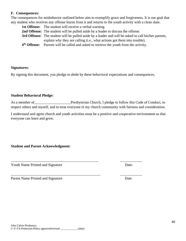#### **F. Consequences:**

The consequences for misbehavior outlined below aim to exemplify grace and forgiveness. It is our goal that any student who receives any offense learns from it and returns to the youth activity with a clean slate.

|                          | <b>1st Offense:</b> The student will receive a verbal warning.                                              |
|--------------------------|-------------------------------------------------------------------------------------------------------------|
|                          | <b>2nd Offense:</b> The student will be pulled aside by a leader to discuss the offense.                    |
|                          | <b>3rd Offense:</b> The student will be pulled aside by a leader and will be asked to call his/her parents, |
|                          | explain why they are calling (i.e., what actions got them into trouble).                                    |
| 4 <sup>th</sup> Offense: | Parents will be called and asked to retrieve the youth from the activity.                                   |

#### **Signatures:**

By signing this document, you pledge to abide by these behavioral expectations and consequences.

#### **Student Behavioral Pledge:**

As a member of Presbyterian Church, I pledge to follow this Code of Conduct, to respect others and myself, and to treat everyone in my church community with fairness and consideration.

I understand and agree church and youth activities must be a positive and cooperative environment so that everyone can learn and grow.

\_\_\_\_\_\_\_\_\_\_\_\_\_\_\_\_\_\_\_\_\_\_\_\_\_\_\_\_\_\_\_\_\_\_\_\_\_\_\_\_\_\_\_\_\_\_\_\_ \_\_\_\_\_\_\_\_\_\_\_\_

## **Student and Parent Acknowledgment:**

Youth Name Printed and Signature Date:

Parent Name Printed and Signature Date

\_\_\_\_\_\_\_\_\_\_\_\_\_\_\_\_\_\_\_\_\_\_\_\_\_\_\_\_\_\_\_\_\_\_\_\_\_\_\_\_\_\_\_\_\_\_\_\_\_ \_\_\_\_\_\_\_\_\_\_\_\_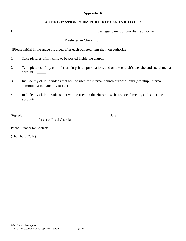## **Appendix K**

## **AUTHORIZATION FORM FOR PHOTO AND VIDEO USE**

|                   | Presbyterian Church to:                                                                                                                    |  |
|-------------------|--------------------------------------------------------------------------------------------------------------------------------------------|--|
|                   | (Please initial in the space provided after each bulleted item that you authorize):                                                        |  |
| 1.                | Take pictures of my child to be posted inside the church.                                                                                  |  |
| 2.                | Take pictures of my child for use in printed publications and on the church's website and social media<br>accounts.                        |  |
| 3.                | Include my child in videos that will be used for internal church purposes only (worship, internal<br>communication, and invitation). _____ |  |
| 4.                | Include my child in videos that will be used on the church's website, social media, and YouTube<br>accounts.                               |  |
|                   |                                                                                                                                            |  |
|                   | Parent or Legal Guardian                                                                                                                   |  |
|                   |                                                                                                                                            |  |
| (Thornburg, 2014) |                                                                                                                                            |  |
|                   |                                                                                                                                            |  |
|                   |                                                                                                                                            |  |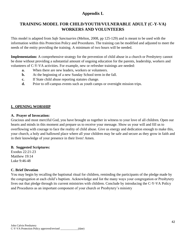# **Appendix L**

# **TRAINING MODEL FOR CHILD/YOUTH/VULNERABLE ADULT (C-Y-VA) WORKERS AND VOLUNTEERS**

This model is adapted from *Safe Sanctuaries* (Melton, 2008, pp 125-129) and is meant to be used with the information within this Protection Policy and Procedures. The training can be modified and adjusted to meet the needs of the entity providing the training. A minimum of two hours will be needed.

**Implementation:** A comprehensive strategy for the prevention of child abuse in a church or Presbytery cannot be done without providing a substantial amount of ongoing education for the parents, leadership, workers and volunteers of C-Y-VA activities. For example, new or refresher trainings are needed:

- **a.** When there are new leaders, workers or volunteers.
- **b.** At the beginning of a new Sunday School term in the fall.
- **c.** If State child abuse reporting statutes change.
- **d.** Prior to off-campus events such as youth camps or overnight mission trips.

## **I. OPENING WORSHIP**

#### **A. Prayer of Invocation:**

Gracious and most merciful God, you have brought us together in witness to your love of all children. Open our hearts and minds in this moment and prepare us to receive your message. Show us your will and fill us to overflowing with courage to face the reality of child abuse. Give us energy and dedication enough to make this, your church, a holy and hallowed place where all your children may be safe and secure as they grow in faith and in their knowledge of your presence in their lives! Amen.

## **B. Suggested Scriptures:**

Exodus 22:21-23 Matthew 19:14 Luke 9:46-48

## **C. Brief Devotion**

You may begin by recalling the baptismal ritual for children, reminding the participants of the pledge made by the congregation at each child's baptism. Acknowledge and list the many ways your congregation or Presbytery lives out that pledge through its current ministries with children. Conclude by introducing the C-Y-VA Policy and Procedures as an important component of your church or Presbytery's ministry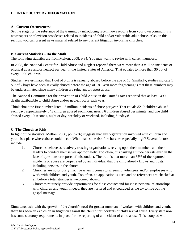## **II. INTRODUCTORY INFORMATION**

## **A. Current Occurrences:**

Set the stage for the substance of the training by introducing recent news reports from your own community's newspapers or television broadcasts related to incidents of child and/or vulnerable adult abuse. Also, in this section, you can present news material related to any current litigation involving churches.

## **B. Current Statistics – Do the Math**

The following statistics are from Melton, 2008, p.34. You may want to revise with current numbers:

In 2008, the National Center for Child Abuse and Neglect reported there were more than 3 million incidents of physical abuse and/or neglect per year in the United States of America. That equates to more than 30 out of every 1000 children.

Studies have estimated that 1 out of 3 girls is sexually abused before the age of 18. Similarly, studies indicate 1 out of 7 boys have been sexually abused before the age of 18. Even more frightening is that these numbers may be underestimated since many children are reluctant to report abuse.

The National Committee for the prevention of Child Abuse in the United States reported that at least 1490 deaths attributable to child abuse and/or neglect occur each year.

Think about the first number listed: 3 million incidents of abuse per year. That equals 8219 children abused each day; approximately 343 children abused each hour; nearly 6 children abused per minute; and one child abused every 10 seconds, night or day, weekday or weekend, including Sundays!

## **C. The Church at Risk**

In light of the statistics, Melton (2008, pp 35-36) suggests that any organization involved with children and youth is a place where abuse could occur. What makes the risk for churches especially high? Several factors include:

- **1.** Churches behave as relatively trusting organizations, relying upon their members and their leaders to conduct themselves appropriately. Too often, this trusting attitude persists even in the face of questions or reports of misconduct. The truth is that more than 85% of the reported incidents of abuse are perpetrated by an individual that the child already knows and trusts, including persons in the church.
- **2**. Churches are notoriously inactive when it comes to screening volunteers and/or employees who work with children and youth. Too often, no application is used and no references are checked at all before a total stranger is welcomed aboard.
- **3.** Churches routinely provide opportunities for close contact and for close personal relationships with children and youth. Indeed, they are nurtured and encouraged as we try to live out the gospel message.

Simultaneously with the growth of the church's need for greater numbers of workers with children and youth, there has been an explosion in litigation against the church for incidents of child sexual abuse. Every state now has some statutory requirements in place for the reporting of an incident of child abuse. This, coupled with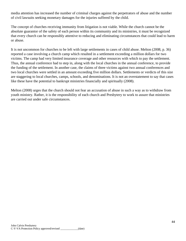media attention has increased the number of criminal charges against the perpetrators of abuse and the number of civil lawsuits seeking monetary damages for the injuries suffered by the child.

The concept of churches receiving immunity from litigation is not viable. While the church cannot be the absolute guarantor of the safety of each person within its community and its ministries, it must be recognized that every church can be responsibly attentive to reducing and eliminating circumstances that could lead to harm or abuse.

It is not uncommon for churches to be left with large settlements in cases of child abuse. Melton (2008, p. 36) reported a case involving a church camp which resulted in a settlement exceeding a million dollars for two victims. The camp had very limited insurance coverage and other resources with which to pay the settlement. Thus, the annual conference had to step in, along with the local churches in the annual conference, to provide the funding of the settlement. In another case, the claims of three victims against two annual conferences and two local churches were settled in an amount exceeding five million dollars. Settlements or verdicts of this size are staggering to local churches, camps, schools, and denominations. It is not an overstatement to say that cases like these have the potential to bankrupt ministries financially and spiritually (2008).

Melton (2008) urges that the church should not fear an accusation of abuse in such a way as to withdraw from youth ministry. Rather, it is the responsibility of each church and Presbytery to work to assure that ministries are carried out under safe circumstances.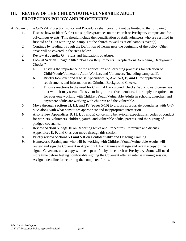# **III. REVIEW OF THE CHILD/YOUTH/VULNERABLE ADULT PROTECTION POLICY AND PROCEDURES**

A Review of the C-Y-VA Protection Policy and Procedures shall cover but not be limited to the following:

- **1.** Discuss how to identify first aid supplies/practices on the church or Presbytery campus and for off-campus events. This should include the identification of staff/volunteers who are certified in first aid and CPR working on-campus at the church as well as at off-campus event(s).
- **2**. Continue by reading through the Definition of Terms near the beginning of the policy. Other areas will be covered in the steps below.
- **3**. Review **Appendix G** Signs and Indications of Abuse.
- **4**. Look at **Section I**, page 3 titled "Position Requirements…Applications, Screening, Background Checks."
	- **a.** Discuss the importance of the application and screening processes for selection of Child/Youth/Vulnerable Adult Workers and Volunteers (including camp staff).
	- **b.** Briefly look over and discuss Appendices **A**, **A-2**, **A-3**, **B**, and **C** for application requirements and information on Criminal Background Checks.
	- **c.** Discuss reactions to the need for Criminal Background Checks. Work toward consensus that while it may seem offensive to long-time active members, it is simply a requirement for everyone working with Children/Youth/Vulnerable Adults in schools, churches, and anywhere adults are working with children and the vulnerable.
- **5**. Move through **Sections II, III, and IV** (pages 5-10) to discuss appropriate boundaries with C-Y-VAs along with what constitutes appropriate and inappropriate interaction.
- **6**. Also review Appendices **D, H, I, J, and K** concerning behavioral expectations, codes of conduct for workers, volunteers, children, youth, and vulnerable adults, parents, and the signing of pledged covenants.
- **7.** Review **Section V** page 10 on Reporting Rules and Procedures. Reference and discuss Appendices E, F, and G as you move through this section.
- **8**. Briefly review Sections **VI and VII** on Confidentiality and Ongoing Training.
- **9.** Homework: Participants who will be working with Children/Youth/Vulnerable Adults will review and sign the Covenant in Appendix I. Each trainee will sign and retain a copy of the signed Covenant, and a copy will be kept on file by the church or Presbytery. Some will need more time before feeling comfortable signing the Covenant after an intense training session. Assign a deadline for returning the completed forms.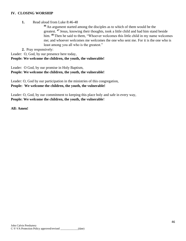#### **IV. CLOSING WORSHIP**

**1.** Read aloud from Luke 8:46-48

**<sup>46</sup>** An argument started among the disciples as to which of them would be the greatest. <sup>47</sup> Jesus, knowing their thoughts, took a little child and had him stand beside him. <sup>48</sup> Then he said to them, "Whoever welcomes this little child in my name welcomes me; and whoever welcomes me welcomes the one who sent me. For it is the one who is least among you all who is the greatest."

**2.** Pray responsively:

Leader: O, God, by our presence here today,

## **People: We welcome the children, the youth, the vulnerable!**

Leader: O God, by our promise in Holy Baptism,

**People: We welcome the children, the youth, the vulnerable!**

Leader: O, God by our participation in the ministries of this congregation, **People: We welcome the children, the youth, the vulnerable!**

Leader: O, God, by our commitment to keeping this place holy and safe in every way, **People: We welcome the children, the youth, the vulnerable**!

**All: Amen!**